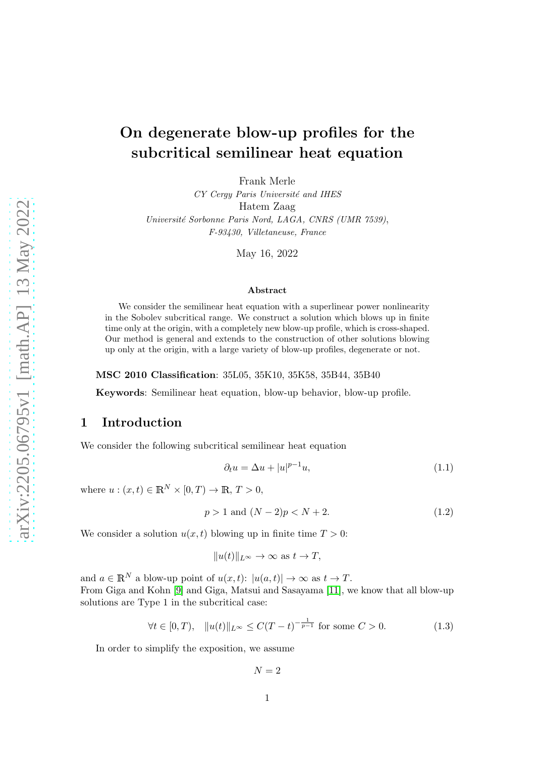# On degenerate blow-up profiles for the subcritical semilinear heat equation

Frank Merle

CY Cergy Paris Université and IHES Hatem Zaag Université Sorbonne Paris Nord, LAGA, CNRS (UMR 7539), F-93430, Villetaneuse, France

May 16, 2022

#### Abstract

We consider the semilinear heat equation with a superlinear power nonlinearity in the Sobolev subcritical range. We construct a solution which blows up in finite time only at the origin, with a completely new blow-up profile, which is cross-shaped. Our method is general and extends to the construction of other solutions blowing up only at the origin, with a large variety of blow-up profiles, degenerate or not.

MSC 2010 Classification: 35L05, 35K10, 35K58, 35B44, 35B40

Keywords: Semilinear heat equation, blow-up behavior, blow-up profile.

## 1 Introduction

We consider the following subcritical semilinear heat equation

<span id="page-0-0"></span>
$$
\partial_t u = \Delta u + |u|^{p-1} u,\tag{1.1}
$$

where  $u:(x,t)\in \mathbb{R}^N\times [0,T)\to \mathbb{R}, T>0$ ,

<span id="page-0-2"></span>
$$
p > 1 \text{ and } (N-2)p < N+2. \tag{1.2}
$$

We consider a solution  $u(x, t)$  blowing up in finite time  $T > 0$ :

$$
||u(t)||_{L^{\infty}} \to \infty \text{ as } t \to T,
$$

and  $a \in \mathbb{R}^N$  a blow-up point of  $u(x, t)$ :  $|u(a, t)| \to \infty$  as  $t \to T$ . From Giga and Kohn [\[9\]](#page-59-0) and Giga, Matsui and Sasayama [\[11\]](#page-59-1), we know that all blow-up solutions are Type 1 in the subcritical case:

<span id="page-0-1"></span>
$$
\forall t \in [0, T), \quad \|u(t)\|_{L^{\infty}} \le C(T - t)^{-\frac{1}{p - 1}} \text{ for some } C > 0. \tag{1.3}
$$

In order to simplify the exposition, we assume

$$
N = 2
$$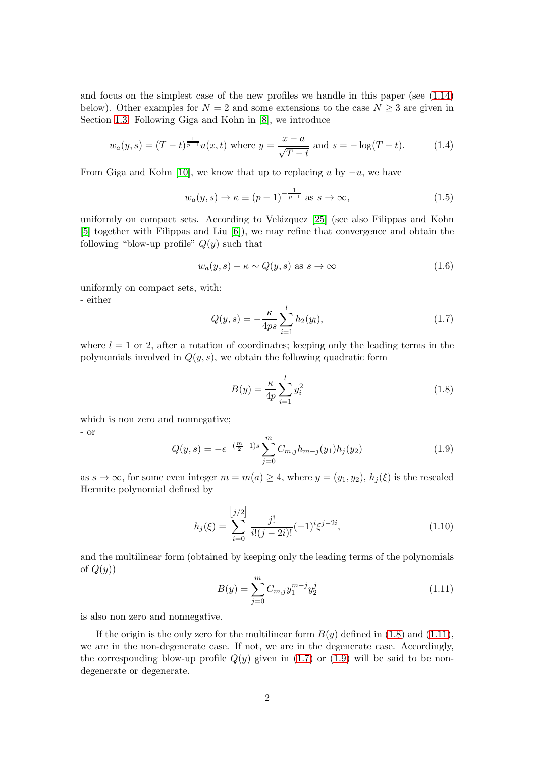and focus on the simplest case of the new profiles we handle in this paper (see [\(1.14\)](#page-3-0) below). Other examples for  $N = 2$  and some extensions to the case  $N \geq 3$  are given in Section [1.3.](#page-5-0) Following Giga and Kohn in [\[8\]](#page-59-2), we introduce

<span id="page-1-5"></span>
$$
w_a(y,s) = (T-t)^{\frac{1}{p-1}} u(x,t) \text{ where } y = \frac{x-a}{\sqrt{T-t}} \text{ and } s = -\log(T-t). \tag{1.4}
$$

From Giga and Kohn [\[10\]](#page-59-3), we know that up to replacing u by  $-u$ , we have

<span id="page-1-7"></span>
$$
w_a(y,s) \to \kappa \equiv (p-1)^{-\frac{1}{p-1}} \text{ as } s \to \infty,
$$
\n(1.5)

uniformly on compact sets. According to Velázquez  $[25]$  (see also Filippas and Kohn [\[5\]](#page-58-0) together with Filippas and Liu [\[6\]](#page-58-1)), we may refine that convergence and obtain the following "blow-up profile"  $Q(y)$  such that

<span id="page-1-4"></span>
$$
w_a(y,s) - \kappa \sim Q(y,s) \text{ as } s \to \infty \tag{1.6}
$$

uniformly on compact sets, with:

- either

<span id="page-1-2"></span>
$$
Q(y,s) = -\frac{\kappa}{4ps} \sum_{i=1}^{l} h_2(y_l),
$$
\n(1.7)

where  $l = 1$  or 2, after a rotation of coordinates; keeping only the leading terms in the polynomials involved in  $Q(y, s)$ , we obtain the following quadratic form

<span id="page-1-0"></span>
$$
B(y) = \frac{\kappa}{4p} \sum_{i=1}^{l} y_i^2
$$
 (1.8)

which is non zero and nonnegative;

- or

<span id="page-1-3"></span>
$$
Q(y,s) = -e^{-\left(\frac{m}{2}-1\right)s} \sum_{j=0}^{m} C_{m,j} h_{m-j}(y_1) h_j(y_2)
$$
\n(1.9)

as  $s \to \infty$ , for some even integer  $m = m(a) \geq 4$ , where  $y = (y_1, y_2)$ ,  $h_i(\xi)$  is the rescaled Hermite polynomial defined by

<span id="page-1-6"></span>
$$
h_j(\xi) = \sum_{i=0}^{\left[j/2\right]} \frac{j!}{i!(j-2i)!} (-1)^i \xi^{j-2i},\tag{1.10}
$$

and the multilinear form (obtained by keeping only the leading terms of the polynomials of  $Q(y)$ 

<span id="page-1-1"></span>
$$
B(y) = \sum_{j=0}^{m} C_{m,j} y_1^{m-j} y_2^j
$$
 (1.11)

is also non zero and nonnegative.

If the origin is the only zero for the multilinear form  $B(y)$  defined in [\(1.8\)](#page-1-0) and [\(1.11\)](#page-1-1), we are in the non-degenerate case. If not, we are in the degenerate case. Accordingly, the corresponding blow-up profile  $Q(y)$  given in [\(1.7\)](#page-1-2) or [\(1.9\)](#page-1-3) will be said to be nondegenerate or degenerate.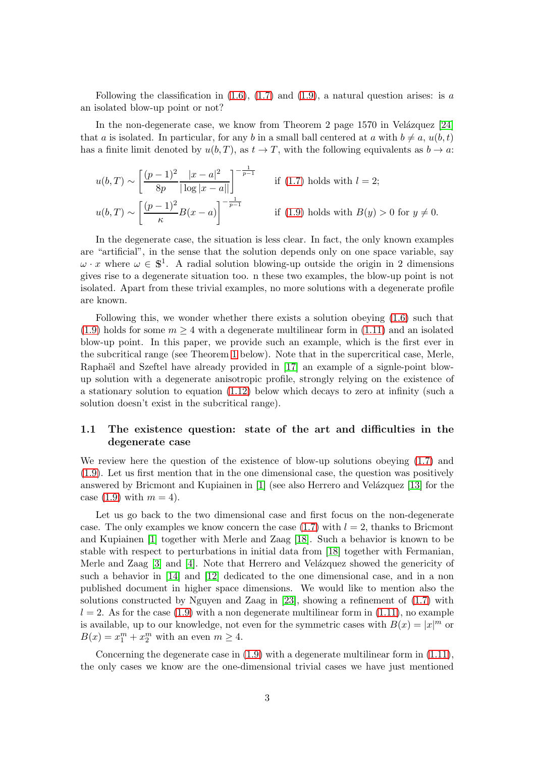Following the classification in  $(1.6)$ ,  $(1.7)$  and  $(1.9)$ , a natural question arises: is a an isolated blow-up point or not?

In the non-degenerate case, we know from Theorem 2 page 1570 in Velázquez  $[24]$ that a is isolated. In particular, for any b in a small ball centered at a with  $b \neq a, u(b, t)$ has a finite limit denoted by  $u(b,T)$ , as  $t \to T$ , with the following equivalents as  $b \to a$ .

$$
u(b,T) \sim \left[\frac{(p-1)^2}{8p} \frac{|x-a|^2}{|\log|x-a||}\right]^{-\frac{1}{p-1}} \quad \text{if (1.7) holds with } l=2;
$$
  

$$
u(b,T) \sim \left[\frac{(p-1)^2}{\kappa} B(x-a)\right]^{-\frac{1}{p-1}} \quad \text{if (1.9) holds with } B(y) > 0 \text{ for } y \neq 0.
$$

In the degenerate case, the situation is less clear. In fact, the only known examples are "artificial", in the sense that the solution depends only on one space variable, say  $\omega \cdot x$  where  $\omega \in \mathbb{S}^1$ . A radial solution blowing-up outside the origin in 2 dimensions gives rise to a degenerate situation too. n these two examples, the blow-up point is not isolated. Apart from these trivial examples, no more solutions with a degenerate profile are known.

Following this, we wonder whether there exists a solution obeying [\(1.6\)](#page-1-4) such that [\(1.9\)](#page-1-3) holds for some  $m \geq 4$  with a degenerate multilinear form in [\(1.11\)](#page-1-1) and an isolated blow-up point. In this paper, we provide such an example, which is the first ever in the subcritical range (see Theorem [1](#page-4-0) below). Note that in the supercritical case, Merle, Raphaël and Szeftel have already provided in [\[17\]](#page-59-4) an example of a signle-point blowup solution with a degenerate anisotropic profile, strongly relying on the existence of a stationary solution to equation [\(1.12\)](#page-3-1) below which decays to zero at infinity (such a solution doesn't exist in the subcritical range).

## <span id="page-2-0"></span>1.1 The existence question: state of the art and difficulties in the degenerate case

We review here the question of the existence of blow-up solutions obeying  $(1.7)$  and [\(1.9\)](#page-1-3). Let us first mention that in the one dimensional case, the question was positively answered by Bricmont and Kupiainen in  $[1]$  (see also Herrero and Velázquez  $[13]$  for the case  $(1.9)$  with  $m = 4$ ).

Let us go back to the two dimensional case and first focus on the non-degenerate case. The only examples we know concern the case  $(1.7)$  with  $l = 2$ , thanks to Bricmont and Kupiainen [\[1\]](#page-58-2) together with Merle and Zaag [\[18\]](#page-59-6). Such a behavior is known to be stable with respect to perturbations in initial data from [\[18\]](#page-59-6) together with Fermanian, Merle and Zaag  $[3]$  and  $[4]$ . Note that Herrero and Velázquez showed the genericity of such a behavior in [\[14\]](#page-59-7) and [\[12\]](#page-59-8) dedicated to the one dimensional case, and in a non published document in higher space dimensions. We would like to mention also the solutions constructed by Nguyen and Zaag in [\[23\]](#page-59-9), showing a refinement of [\(1.7\)](#page-1-2) with  $l = 2$ . As for the case [\(1.9\)](#page-1-3) with a non degenerate multilinear form in [\(1.11\)](#page-1-1), no example is available, up to our knowledge, not even for the symmetric cases with  $B(x) = |x|^m$  or  $B(x) = x_1^m + x_2^m$  with an even  $m \ge 4$ .

Concerning the degenerate case in [\(1.9\)](#page-1-3) with a degenerate multilinear form in [\(1.11\)](#page-1-1), the only cases we know are the one-dimensional trivial cases we have just mentioned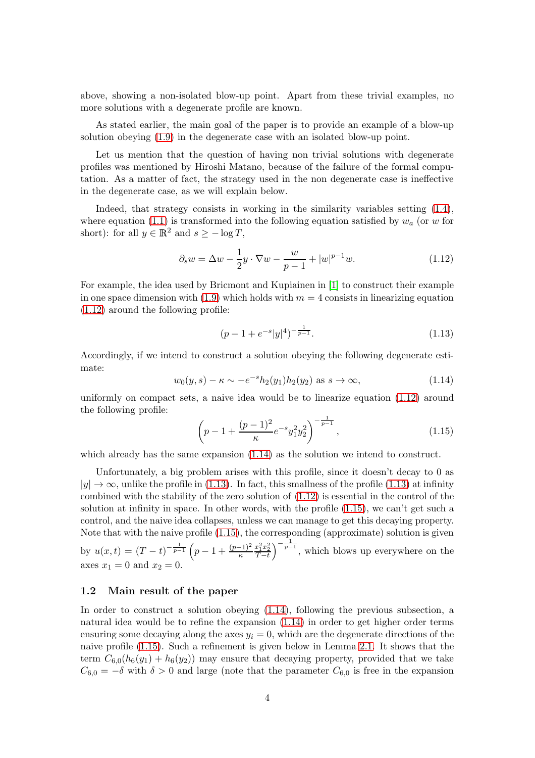above, showing a non-isolated blow-up point. Apart from these trivial examples, no more solutions with a degenerate profile are known.

As stated earlier, the main goal of the paper is to provide an example of a blow-up solution obeying [\(1.9\)](#page-1-3) in the degenerate case with an isolated blow-up point.

Let us mention that the question of having non trivial solutions with degenerate profiles was mentioned by Hiroshi Matano, because of the failure of the formal computation. As a matter of fact, the strategy used in the non degenerate case is ineffective in the degenerate case, as we will explain below.

Indeed, that strategy consists in working in the similarity variables setting [\(1.4\)](#page-1-5), where equation [\(1.1\)](#page-0-0) is transformed into the following equation satisfied by  $w_a$  (or w for short): for all  $y \in \mathbb{R}^2$  and  $s \ge -\log T$ ,

<span id="page-3-1"></span>
$$
\partial_s w = \Delta w - \frac{1}{2}y \cdot \nabla w - \frac{w}{p-1} + |w|^{p-1}w. \tag{1.12}
$$

For example, the idea used by Bricmont and Kupiainen in [\[1\]](#page-58-2) to construct their example in one space dimension with  $(1.9)$  which holds with  $m = 4$  consists in linearizing equation [\(1.12\)](#page-3-1) around the following profile:

<span id="page-3-2"></span>
$$
(p-1+e^{-s}|y|^4)^{-\frac{1}{p-1}}.\t(1.13)
$$

Accordingly, if we intend to construct a solution obeying the following degenerate estimate:

<span id="page-3-0"></span>
$$
w_0(y, s) - \kappa \sim -e^{-s} h_2(y_1) h_2(y_2)
$$
 as  $s \to \infty$ , (1.14)

uniformly on compact sets, a naive idea would be to linearize equation [\(1.12\)](#page-3-1) around the following profile:

<span id="page-3-3"></span>
$$
\left(p - 1 + \frac{(p-1)^2}{\kappa} e^{-s} y_1^2 y_2^2\right)^{-\frac{1}{p-1}},\tag{1.15}
$$

which already has the same expansion  $(1.14)$  as the solution we intend to construct.

Unfortunately, a big problem arises with this profile, since it doesn't decay to 0 as  $|y| \to \infty$ , unlike the profile in [\(1.13\)](#page-3-2). In fact, this smallness of the profile (1.13) at infinity combined with the stability of the zero solution of [\(1.12\)](#page-3-1) is essential in the control of the solution at infinity in space. In other words, with the profile [\(1.15\)](#page-3-3), we can't get such a control, and the naive idea collapses, unless we can manage to get this decaying property. Note that with the naive profile [\(1.15\)](#page-3-3), the corresponding (approximate) solution is given by  $u(x,t) = (T-t)^{-\frac{1}{p-1}} \left(p-1+\frac{(p-1)^2}{\kappa}\right)$  $\frac{x_1^2 x_2^2}{T-t}$  $\int_{0}^{-\frac{1}{p-1}}$ , which blows up everywhere on the axes  $x_1 = 0$  and  $x_2 = 0$ .

#### <span id="page-3-4"></span>1.2 Main result of the paper

In order to construct a solution obeying [\(1.14\)](#page-3-0), following the previous subsection, a natural idea would be to refine the expansion [\(1.14\)](#page-3-0) in order to get higher order terms ensuring some decaying along the axes  $y_i = 0$ , which are the degenerate directions of the naive profile [\(1.15\)](#page-3-3). Such a refinement is given below in Lemma [2.1.](#page-8-0) It shows that the term  $C_{6,0}(h_6(y_1) + h_6(y_2))$  may ensure that decaying property, provided that we take  $C_{6,0} = -\delta$  with  $\delta > 0$  and large (note that the parameter  $C_{6,0}$  is free in the expansion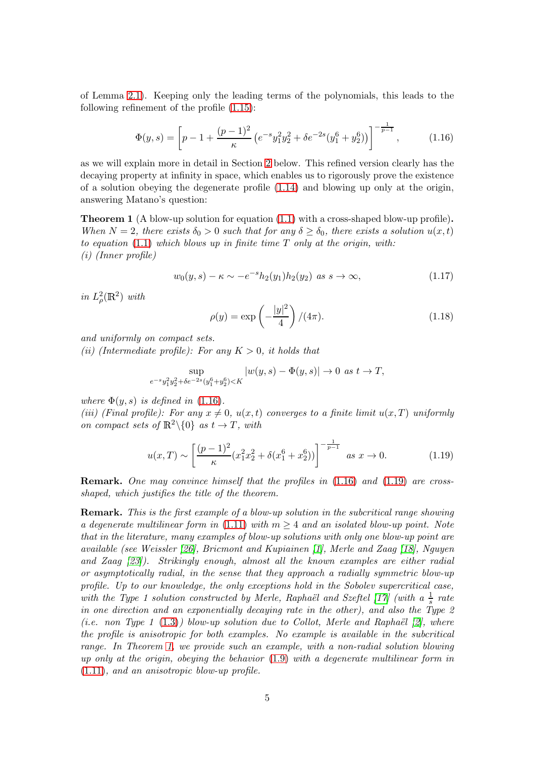of Lemma [2.1\)](#page-8-0). Keeping only the leading terms of the polynomials, this leads to the following refinement of the profile [\(1.15\)](#page-3-3):

<span id="page-4-1"></span>
$$
\Phi(y,s) = \left[ p - 1 + \frac{(p-1)^2}{\kappa} \left( e^{-s} y_1^2 y_2^2 + \delta e^{-2s} (y_1^6 + y_2^6) \right) \right]^{-\frac{1}{p-1}}, \quad (1.16)
$$

as we will explain more in detail in Section [2](#page-8-1) below. This refined version clearly has the decaying property at infinity in space, which enables us to rigorously prove the existence of a solution obeying the degenerate profile [\(1.14\)](#page-3-0) and blowing up only at the origin, answering Matano's question:

<span id="page-4-0"></span>Theorem 1 (A blow-up solution for equation [\(1.1\)](#page-0-0) with a cross-shaped blow-up profile). When  $N = 2$ , there exists  $\delta_0 > 0$  such that for any  $\delta \geq \delta_0$ , there exists a solution  $u(x, t)$ to equation  $(1.1)$  which blows up in finite time  $T$  only at the origin, with: (i) (Inner profile)

<span id="page-4-3"></span>
$$
w_0(y,s) - \kappa \sim -e^{-s} h_2(y_1) h_2(y_2) \text{ as } s \to \infty,
$$
\n(1.17)

in  $L^2_\rho(\mathbb{R}^2)$  with

<span id="page-4-4"></span>
$$
\rho(y) = \exp\left(-\frac{|y|^2}{4}\right) / (4\pi). \tag{1.18}
$$

and uniformly on compact sets.

(ii) (Intermediate profile): For any  $K > 0$ , it holds that

$$
\sup_{e^{-s}y_1^2y_2^2+\delta e^{-2s}(y_1^6+y_2^6)
$$

where  $\Phi(y, s)$  is defined in [\(1.16\)](#page-4-1).

(iii) (Final profile): For any  $x \neq 0$ ,  $u(x,t)$  converges to a finite limit  $u(x,T)$  uniformly on compact sets of  $\mathbb{R}^2 \setminus \{0\}$  as  $t \to T$ , with

<span id="page-4-2"></span>
$$
u(x,T) \sim \left[\frac{(p-1)^2}{\kappa} (x_1^2 x_2^2 + \delta(x_1^6 + x_2^6))\right]^{-\frac{1}{p-1}} \text{ as } x \to 0. \tag{1.19}
$$

**Remark.** One may convince himself that the profiles in  $(1.16)$  and  $(1.19)$  are crossshaped, which justifies the title of the theorem.

Remark. This is the first example of a blow-up solution in the subcritical range showing a degenerate multilinear form in [\(1.11\)](#page-1-1) with  $m \geq 4$  and an isolated blow-up point. Note that in the literature, many examples of blow-up solutions with only one blow-up point are available (see Weissler [\[26\]](#page-60-2), Bricmont and Kupiainen [\[1\]](#page-58-2), Merle and Zaag [\[18\]](#page-59-6), Nguyen and Zaag [\[23\]](#page-59-9)). Strikingly enough, almost all the known examples are either radial or asymptotically radial, in the sense that they approach a radially symmetric blow-up profile. Up to our knowledge, the only exceptions hold in the Sobolev supercritical case, with the Type 1 solution constructed by Merle, Raphaël and Szeftel [\[17\]](#page-59-4) (with a  $\frac{1}{s}$  rate in one direction and an exponentially decaying rate in the other), and also the Type 2 (i.e. non Type 1 [\(1.3\)](#page-0-1)) blow-up solution due to Collot, Merle and Raphaël  $[2]$ , where the profile is anisotropic for both examples. No example is available in the subcritical range. In Theorem [1,](#page-4-0) we provide such an example, with a non-radial solution blowing up only at the origin, obeying the behavior [\(1.9\)](#page-1-3) with a degenerate multilinear form in [\(1.11\)](#page-1-1), and an anisotropic blow-up profile.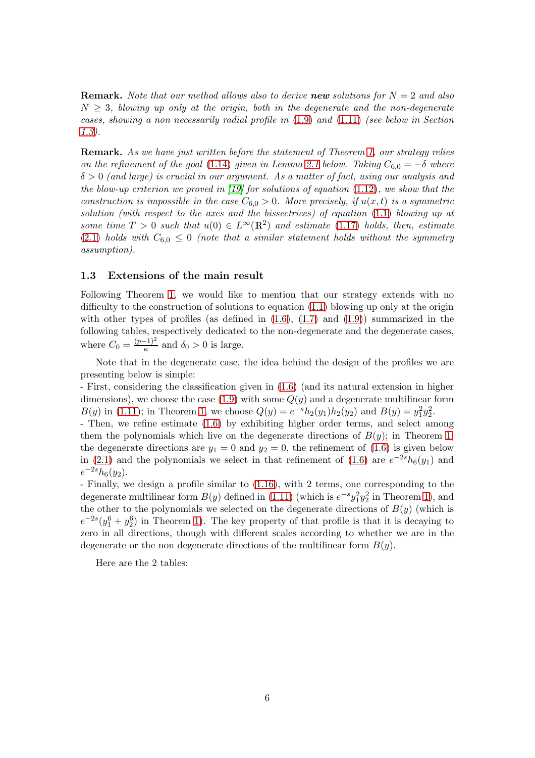**Remark.** Note that our method allows also to derive **new** solutions for  $N = 2$  and also  $N \geq 3$ , blowing up only at the origin, both in the degenerate and the non-degenerate cases, showing a non necessarily radial profile in  $(1.9)$  and  $(1.11)$  (see below in Section [1.3\)](#page-5-0).

Remark. As we have just written before the statement of Theorem [1,](#page-4-0) our strategy relies on the refinement of the goal [\(1.14\)](#page-3-0) given in Lemma [2.1](#page-8-0) below. Taking  $C_{6,0} = -\delta$  where  $\delta > 0$  (and large) is crucial in our argument. As a matter of fact, using our analysis and the blow-up criterion we proved in  $(19)$  for solutions of equation  $(1.12)$ , we show that the construction is impossible in the case  $C_{6,0} > 0$ . More precisely, if  $u(x,t)$  is a symmetric solution (with respect to the axes and the bissectrices) of equation [\(1.1\)](#page-0-0) blowing up at some time  $T > 0$  such that  $u(0) \in L^{\infty}(\mathbb{R}^2)$  and estimate [\(1.17\)](#page-4-3) holds, then, estimate [\(2.1\)](#page-8-2) holds with  $C_{6,0} \leq 0$  (note that a similar statement holds without the symmetry assumption).

#### <span id="page-5-0"></span>1.3 Extensions of the main result

Following Theorem [1,](#page-4-0) we would like to mention that our strategy extends with no difficulty to the construction of solutions to equation [\(1.1\)](#page-0-0) blowing up only at the origin with other types of profiles (as defined in  $(1.6)$ ,  $(1.7)$  and  $(1.9)$ ) summarized in the following tables, respectively dedicated to the non-degenerate and the degenerate cases, where  $C_0 = \frac{(p-1)^2}{\kappa}$  and  $\delta_0 > 0$  is large.

Note that in the degenerate case, the idea behind the design of the profiles we are presenting below is simple:

- First, considering the classification given in [\(1.6\)](#page-1-4) (and its natural extension in higher dimensions), we choose the case  $(1.9)$  with some  $Q(y)$  and a degenerate multilinear form  $B(y)$  in [\(1.11\)](#page-1-1); in Theorem [1,](#page-4-0) we choose  $Q(y) = e^{-s}h_2(y_1)h_2(y_2)$  and  $B(y) = y_1^2y_2^2$ .

- Then, we refine estimate [\(1.6\)](#page-1-4) by exhibiting higher order terms, and select among them the polynomials which live on the degenerate directions of  $B(y)$ ; in Theorem [1,](#page-4-0) the degenerate directions are  $y_1 = 0$  and  $y_2 = 0$ , the refinement of [\(1.6\)](#page-1-4) is given below in [\(2.1\)](#page-8-2) and the polynomials we select in that refinement of [\(1.6\)](#page-1-4) are  $e^{-2s}h_6(y_1)$  and  $e^{-2s}h_6(y_2).$ 

- Finally, we design a profile similar to [\(1.16\)](#page-4-1), with 2 terms, one corresponding to the degenerate multilinear form  $B(y)$  defined in [\(1.11\)](#page-1-1) (which is  $e^{-s}y_1^2y_2^2$  in Theorem [1\)](#page-4-0), and the other to the polynomials we selected on the degenerate directions of  $B(y)$  (which is  $e^{-2s}(y_1^6 + y_2^6)$  in Theorem [1\)](#page-4-0). The key property of that profile is that it is decaying to zero in all directions, though with different scales according to whether we are in the degenerate or the non degenerate directions of the multilinear form  $B(y)$ .

Here are the 2 tables: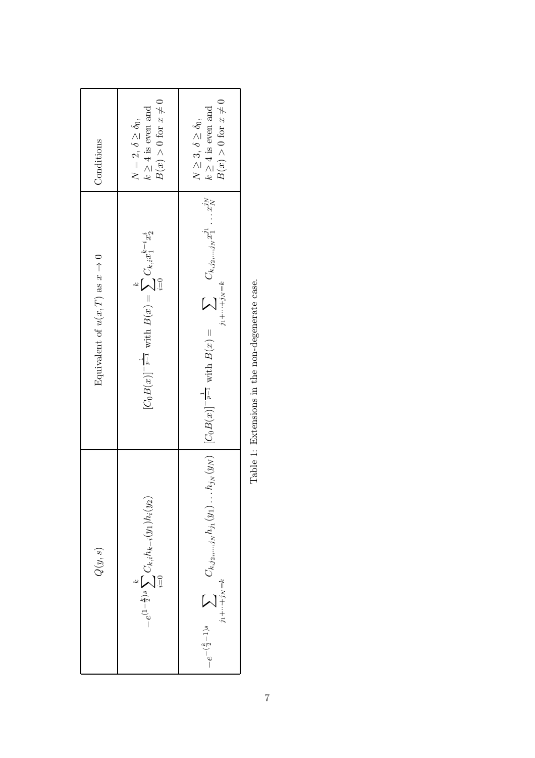| Q(y,s)                                                                                               | Equivalent of $u(x,T)$ as $x \to 0$                                                                                                  | Conditions                                                                             |
|------------------------------------------------------------------------------------------------------|--------------------------------------------------------------------------------------------------------------------------------------|----------------------------------------------------------------------------------------|
| $-e^{(1-\tfrac{k}{2})s}\sum_{i=0}^{k}C_{k,i}h_{k-i}(y_1)h_i(y_2)$                                    | $[C_0B(x)]^{-\frac{1}{p-1}} \text{ with } B(x)=\sum_{i=0}^k C_{k,i}x_1^{k-i}x_2^i$                                                   | $k\geq 4$ is even and<br>$B(x)>0 \mbox{ for } x\neq 0$<br>$N=2, \delta \geq \delta_0,$ |
| $-e^{-(\frac{k}{2}-1)s}\sum \qquad C_{k,j_{2},,,j_{N}} h_{j1}(y_{1})\,.$<br>$j_1 + \cdots + j_N = k$ | $h_{j_N}(y_N)$ $[C_0B(x)]^{-\frac{1}{p-1}}$ with $B(x) = \sum C_{k,j_2,,j_N} x_1^{j_1} \cdots x_N^{j_N}$<br>$j_1 + \cdots + j_N = k$ | $B(x) > 0$ for $x \neq 0$<br>$k\geq 4$ is even and<br>$N\geq 3,\,\delta\geq \delta_0,$ |

Table 1: Extensions in the non-degenerate case. Table 1: Extensions in the non-degenerate case.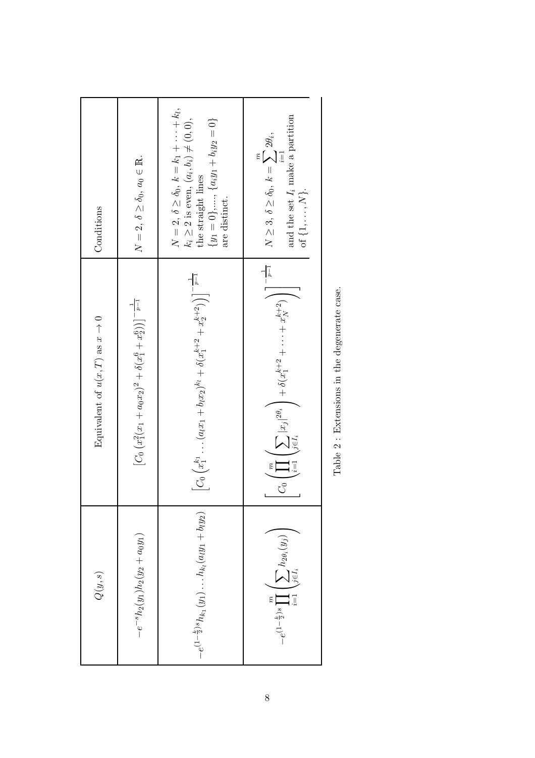| Conditions                          | $N=2, \delta \geq \delta_0, a_0 \in \mathbb{R}.$                         | $N = 2$ , $\delta \ge \delta_0$ , $k = k_1 + \cdots + k_l$ ,<br>$k_i \ge 2$ is even, $(a_i, b_i) \ne (0, 0)$ ,<br>the straight lines<br>${y_1 = 0},, {a_i y_1 + b_i y_2 = 0}$<br>are distinct. | and the set $I_i$ make a partition<br>$N\geq 3,\,\delta\geq \delta_0,\,k=\sum 2\theta_i,$<br>$i=1$<br>of $\{1,\ldots,N\}.$                  |
|-------------------------------------|--------------------------------------------------------------------------|------------------------------------------------------------------------------------------------------------------------------------------------------------------------------------------------|---------------------------------------------------------------------------------------------------------------------------------------------|
| Equivalent of $u(x,T)$ as $x \to 0$ | $[C_0 (x_1^2(x_1 + a_0x_2)^2 + \delta(x_1^6 + x_2^6))]^{-\frac{1}{p-1}}$ | $\left[C_0\left(x_1^{k_1}\ldots (a_lx_1+b_lx_2)^{k_l}+\delta(x_1^{k+2}+x_2^{k+2})\right)\right]^{-\frac{1}{p-1}}$                                                                              | $\bigcap -\frac{1}{p-1}$<br>$C_0\left(\prod_{i=1}^m\left(\sum_{j\in I_i} x_j ^{2\theta_i}\right)+\delta(x_1^{k+2}+\cdots+x_N^{k+2})\right)$ |
| $Q(y,s)$                            | $-e^{-s}h_2(y_1)h_2(y_2+a_0y_1)$                                         | $-e^{(1-\frac{k}{2})s}h_{k_1}(y_1)\ldots h_{k_l}(a_ly_1+b_ly_2)$                                                                                                                               | $-e^{\left(1-\frac{k}{2}\right)s}\prod_{i=1}^{m}\left(\sum_{j\in I_{i}}h_{2\theta_{i}}(y_{j})\right)$                                       |

Table  $2$  : Extensions in the degenerate case. Table 2 : Extensions in the degenerate case.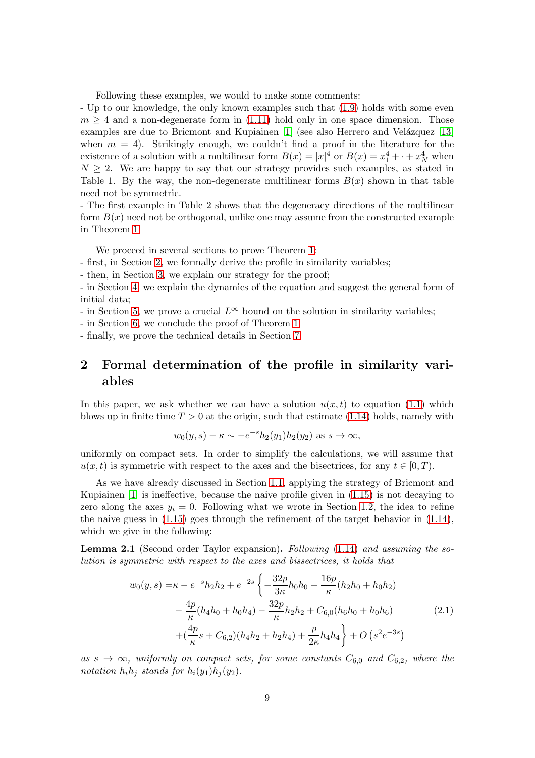Following these examples, we would to make some comments:

- Up to our knowledge, the only known examples such that [\(1.9\)](#page-1-3) holds with some even  $m \geq 4$  and a non-degenerate form in [\(1.11\)](#page-1-1) hold only in one space dimension. Those examples are due to Bricmont and Kupiainen [\[1\]](#page-58-2) (see also Herrero and Velázquez [\[13\]](#page-59-5) when  $m = 4$ ). Strikingly enough, we couldn't find a proof in the literature for the existence of a solution with a multilinear form  $B(x) = |x|^4$  or  $B(x) = x_1^4 + \cdots + x_N^4$  when  $N \geq 2$ . We are happy to say that our strategy provides such examples, as stated in Table 1. By the way, the non-degenerate multilinear forms  $B(x)$  shown in that table need not be symmetric.

- The first example in Table 2 shows that the degeneracy directions of the multilinear form  $B(x)$  need not be orthogonal, unlike one may assume from the constructed example in Theorem [1.](#page-4-0)

We proceed in several sections to prove Theorem [1:](#page-4-0)

- first, in Section [2,](#page-8-1) we formally derive the profile in similarity variables;

- then, in Section [3,](#page-12-0) we explain our strategy for the proof;

- in Section [4,](#page-16-0) we explain the dynamics of the equation and suggest the general form of initial data;

- in Section [5,](#page-19-0) we prove a crucial  $L^{\infty}$  bound on the solution in similarity variables;

- in Section [6,](#page-30-0) we conclude the proof of Theorem [1;](#page-4-0)

<span id="page-8-1"></span>- finally, we prove the technical details in Section [7.](#page-38-0)

## 2 Formal determination of the profile in similarity variables

In this paper, we ask whether we can have a solution  $u(x, t)$  to equation [\(1.1\)](#page-0-0) which blows up in finite time  $T > 0$  at the origin, such that estimate [\(1.14\)](#page-3-0) holds, namely with

$$
w_0(y, s) - \kappa \sim -e^{-s}h_2(y_1)h_2(y_2)
$$
 as  $s \to \infty$ ,

uniformly on compact sets. In order to simplify the calculations, we will assume that  $u(x, t)$  is symmetric with respect to the axes and the bisectrices, for any  $t \in [0, T)$ .

As we have already discussed in Section [1.1,](#page-2-0) applying the strategy of Bricmont and Kupiainen [\[1\]](#page-58-2) is ineffective, because the naive profile given in [\(1.15\)](#page-3-3) is not decaying to zero along the axes  $y_i = 0$ . Following what we wrote in Section [1.2,](#page-3-4) the idea to refine the naive guess in  $(1.15)$  goes through the refinement of the target behavior in  $(1.14)$ , which we give in the following:

<span id="page-8-0"></span>Lemma 2.1 (Second order Taylor expansion). Following [\(1.14\)](#page-3-0) and assuming the solution is symmetric with respect to the axes and bissectrices, it holds that

<span id="page-8-2"></span>
$$
w_0(y,s) = \kappa - e^{-s} h_2 h_2 + e^{-2s} \left\{ -\frac{32p}{3\kappa} h_0 h_0 - \frac{16p}{\kappa} (h_2 h_0 + h_0 h_2) - \frac{4p}{\kappa} (h_4 h_0 + h_0 h_4) - \frac{32p}{\kappa} h_2 h_2 + C_{6,0} (h_6 h_0 + h_0 h_6) + (\frac{4p}{\kappa} s + C_{6,2}) (h_4 h_2 + h_2 h_4) + \frac{p}{2\kappa} h_4 h_4 \right\} + O\left(s^2 e^{-3s}\right)
$$
\n(2.1)

as  $s \to \infty$ , uniformly on compact sets, for some constants  $C_{6,0}$  and  $C_{6,2}$ , where the notation  $h_i h_j$  stands for  $h_i(y_1)h_j(y_2)$ .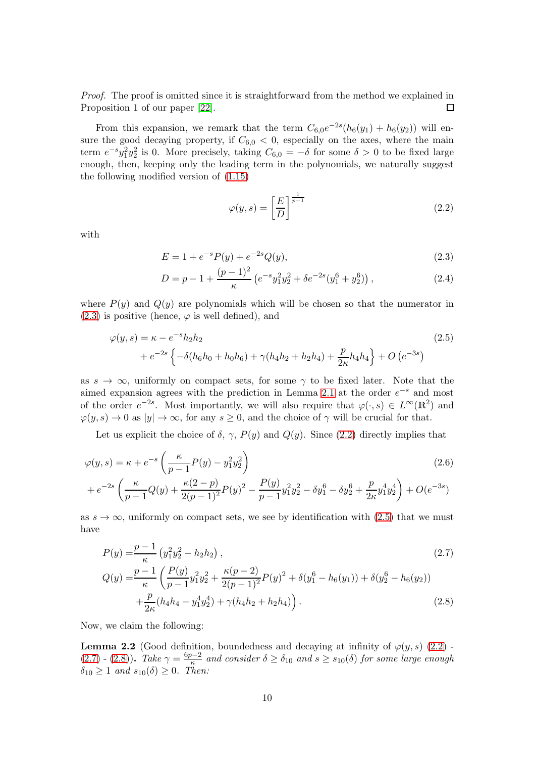Proof. The proof is omitted since it is straightforward from the method we explained in Proposition 1 of our paper [\[22\]](#page-59-11). □

From this expansion, we remark that the term  $C_{6,0}e^{-2s}(h_6(y_1) + h_6(y_2))$  will ensure the good decaying property, if  $C_{6,0} < 0$ , especially on the axes, where the main term  $e^{-s}y_1^2y_2^2$  is 0. More precisely, taking  $C_{6,0} = -\delta$  for some  $\delta > 0$  to be fixed large enough, then, keeping only the leading term in the polynomials, we naturally suggest the following modified version of [\(1.15\)](#page-3-3)

<span id="page-9-5"></span><span id="page-9-2"></span><span id="page-9-1"></span><span id="page-9-0"></span>
$$
\varphi(y,s) = \left[\frac{E}{D}\right]^{\frac{1}{p-1}}\tag{2.2}
$$

with

$$
E = 1 + e^{-s} P(y) + e^{-2s} Q(y), \tag{2.3}
$$

<span id="page-9-7"></span>
$$
D = p - 1 + \frac{(p-1)^2}{\kappa} \left( e^{-s} y_1^2 y_2^2 + \delta e^{-2s} (y_1^6 + y_2^6) \right), \tag{2.4}
$$

where  $P(y)$  and  $Q(y)$  are polynomials which will be chosen so that the numerator in  $(2.3)$  is positive (hence,  $\varphi$  is well defined), and

$$
\varphi(y,s) = \kappa - e^{-s} h_2 h_2
$$
\n
$$
+ e^{-2s} \left\{ -\delta(h_6 h_0 + h_0 h_6) + \gamma(h_4 h_2 + h_2 h_4) + \frac{p}{2\kappa} h_4 h_4 \right\} + O\left(e^{-3s}\right)
$$
\n(2.5)

as  $s \to \infty$ , uniformly on compact sets, for some  $\gamma$  to be fixed later. Note that the aimed expansion agrees with the prediction in Lemma [2.1](#page-8-0) at the order  $e^{-s}$  and most of the order  $e^{-2s}$ . Most importantly, we will also require that  $\varphi(\cdot, s) \in L^{\infty}(\mathbb{R}^2)$  and  $\varphi(y, s) \to 0$  as  $|y| \to \infty$ , for any  $s \geq 0$ , and the choice of  $\gamma$  will be crucial for that.

Let us explicit the choice of  $\delta$ ,  $\gamma$ ,  $P(y)$  and  $Q(y)$ . Since [\(2.2\)](#page-9-1) directly implies that

$$
\varphi(y,s) = \kappa + e^{-s} \left( \frac{\kappa}{p-1} P(y) - y_1^2 y_2^2 \right)
$$
  
+  $e^{-2s} \left( \frac{\kappa}{p-1} Q(y) + \frac{\kappa (2-p)}{2(p-1)^2} P(y)^2 - \frac{P(y)}{p-1} y_1^2 y_2^2 - \delta y_1^6 - \delta y_2^6 + \frac{p}{2\kappa} y_1^4 y_2^4 \right) + O(e^{-3s})$  (2.6)

as  $s \to \infty$ , uniformly on compact sets, we see by identification with [\(2.5\)](#page-9-2) that we must have

<span id="page-9-4"></span><span id="page-9-3"></span>
$$
P(y) = \frac{p-1}{\kappa} \left( y_1^2 y_2^2 - h_2 h_2 \right),
$$
\n
$$
Q(y) = \frac{p-1}{\kappa} \left( \frac{P(y)}{p-1} y_1^2 y_2^2 + \frac{\kappa(p-2)}{2(p-1)^2} P(y)^2 + \delta(y_1^6 - h_6(y_1)) + \delta(y_2^6 - h_6(y_2)) \right)
$$
\n
$$
+ \frac{p}{2\kappa} (h_4 h_4 - y_1^4 y_2^4) + \gamma (h_4 h_2 + h_2 h_4) \right).
$$
\n(2.8)

Now, we claim the following:

<span id="page-9-6"></span>**Lemma 2.2** (Good definition, boundedness and decaying at infinity of  $\varphi(y, s)$  [\(2.2\)](#page-9-1) -[\(2.7\)](#page-9-3) - [\(2.8\)](#page-9-4)). Take  $\gamma = \frac{6p-2}{\kappa}$  and consider  $\delta \ge \delta_{10}$  and  $s \ge s_{10}(\delta)$  for some large enough  $\delta_{10} \geq 1$  and  $s_{10}(\delta) \geq 0$ . Then: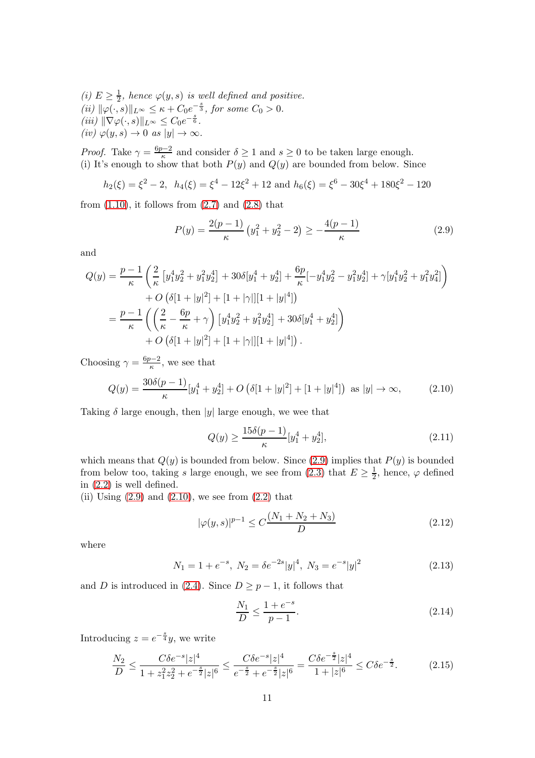(i)  $E \geq \frac{1}{2}$ , hence  $\varphi(y, s)$  is well defined and positive. 2 (ii)  $\|\varphi(\cdot, s)\|_{L^{\infty}} \leq \kappa + C_0 e^{-\frac{s}{3}},$  for some  $C_0 > 0$ .  $(iii)$   $\|\nabla \varphi(\cdot, s)\|_{L^{\infty}} \leq C_0 e^{-\frac{s}{6}}.$  $(iv) \varphi(y, s) \to 0 \text{ as } |y| \to \infty.$ 

*Proof.* Take  $\gamma = \frac{6p-2}{\kappa}$  and consider  $\delta \ge 1$  and  $s \ge 0$  to be taken large enough. (i) It's enough to show that both  $P(y)$  and  $Q(y)$  are bounded from below. Since

$$
h_2(\xi) = \xi^2 - 2
$$
,  $h_4(\xi) = \xi^4 - 12\xi^2 + 12$  and  $h_6(\xi) = \xi^6 - 30\xi^4 + 180\xi^2 - 120$ 

from  $(1.10)$ , it follows from  $(2.7)$  and  $(2.8)$  that

<span id="page-10-0"></span>
$$
P(y) = \frac{2(p-1)}{\kappa} \left( y_1^2 + y_2^2 - 2 \right) \ge -\frac{4(p-1)}{\kappa} \tag{2.9}
$$

and

$$
Q(y) = \frac{p-1}{\kappa} \left( \frac{2}{\kappa} \left[ y_1^4 y_2^2 + y_1^2 y_2^4 \right] + 30 \delta [y_1^4 + y_2^4] + \frac{6p}{\kappa} [-y_1^4 y_2^2 - y_1^2 y_2^4] + \gamma [y_1^4 y_2^2 + y_1^2 y_4^2] \right) + O\left( \delta [1 + |y|^2] + [1 + |\gamma|][1 + |y|^4] \right) = \frac{p-1}{\kappa} \left( \left( \frac{2}{\kappa} - \frac{6p}{\kappa} + \gamma \right) \left[ y_1^4 y_2^2 + y_1^2 y_2^4 \right] + 30 \delta [y_1^4 + y_2^4] \right) + O\left( \delta [1 + |y|^2] + [1 + |\gamma|][1 + |y|^4] \right).
$$

Choosing  $\gamma = \frac{6p-2}{\kappa}$ , we see that

<span id="page-10-1"></span>
$$
Q(y) = \frac{30\delta(p-1)}{\kappa} [y_1^4 + y_2^4] + O\left(\delta[1+|y|^2] + [1+|y|^4]\right) \text{ as } |y| \to \infty,
$$
 (2.10)

Taking  $\delta$  large enough, then |y| large enough, we wee that

<span id="page-10-5"></span>
$$
Q(y) \ge \frac{15\delta(p-1)}{\kappa} [y_1^4 + y_2^4],\tag{2.11}
$$

which means that  $Q(y)$  is bounded from below. Since [\(2.9\)](#page-10-0) implies that  $P(y)$  is bounded from below too, taking s large enough, we see from [\(2.3\)](#page-9-0) that  $E \ge \frac{1}{2}$  $\frac{1}{2}$ , hence,  $\varphi$  defined in [\(2.2\)](#page-9-1) is well defined.

(ii) Using  $(2.9)$  and  $(2.10)$ , we see from  $(2.2)$  that

<span id="page-10-2"></span>
$$
|\varphi(y,s)|^{p-1} \le C \frac{(N_1 + N_2 + N_3)}{D} \tag{2.12}
$$

where

$$
N_1 = 1 + e^{-s}, N_2 = \delta e^{-2s} |y|^4, N_3 = e^{-s} |y|^2
$$
\n(2.13)

and D is introduced in [\(2.4\)](#page-9-5). Since  $D \geq p-1$ , it follows that

<span id="page-10-6"></span><span id="page-10-3"></span>
$$
\frac{N_1}{D} \le \frac{1 + e^{-s}}{p - 1}.\tag{2.14}
$$

Introducing  $z = e^{-\frac{s}{4}}y$ , we write

<span id="page-10-4"></span>
$$
\frac{N_2}{D} \le \frac{C\delta e^{-s}|z|^4}{1 + z_1^2 z_2^2 + e^{-\frac{s}{2}}|z|^6} \le \frac{C\delta e^{-s}|z|^4}{e^{-\frac{s}{2}} + e^{-\frac{s}{2}}|z|^6} = \frac{C\delta e^{-\frac{s}{2}}|z|^4}{1 + |z|^6} \le C\delta e^{-\frac{s}{2}}.\tag{2.15}
$$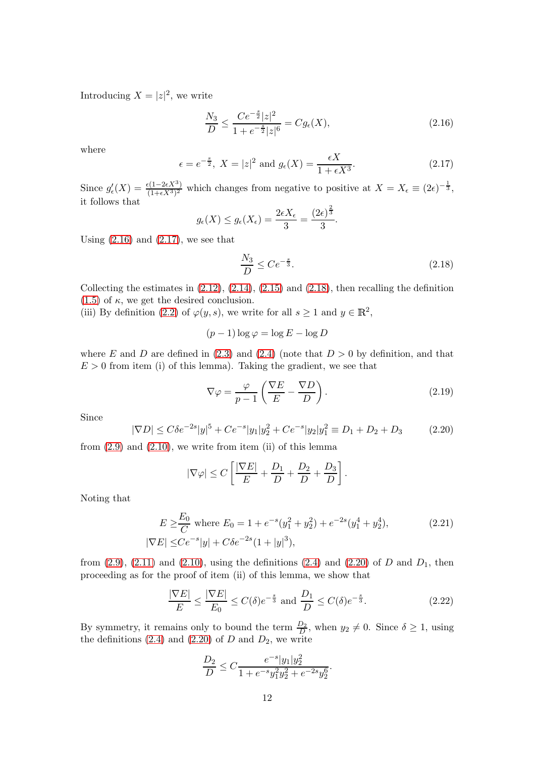Introducing  $X = |z|^2$ , we write

<span id="page-11-0"></span>
$$
\frac{N_3}{D} \le \frac{Ce^{-\frac{s}{2}}|z|^2}{1+e^{-\frac{s}{2}}|z|^6} = Cg_{\epsilon}(X),\tag{2.16}
$$

where

<span id="page-11-1"></span>
$$
\epsilon = e^{-\frac{s}{2}}, X = |z|^2 \text{ and } g_{\epsilon}(X) = \frac{\epsilon X}{1 + \epsilon X^3}.
$$
\n(2.17)

Since  $g'_{\epsilon}(X) = \frac{\epsilon(1-2\epsilon X^3)}{(1+\epsilon X^3)^2}$  $\frac{\epsilon(1-2\epsilon X^3)}{(1+\epsilon X^3)^2}$  which changes from negative to positive at  $X=X_{\epsilon}\equiv (2\epsilon)^{-\frac{1}{3}},$ it follows that

$$
g_{\epsilon}(X) \leq g_{\epsilon}(X_{\epsilon}) = \frac{2\epsilon X_{\epsilon}}{3} = \frac{(2\epsilon)^{\frac{2}{3}}}{3}.
$$

Using  $(2.16)$  and  $(2.17)$ , we see that

<span id="page-11-2"></span>
$$
\frac{N_3}{D} \le Ce^{-\frac{s}{3}}.\tag{2.18}
$$

Collecting the estimates in  $(2.12)$ ,  $(2.14)$ ,  $(2.15)$  and  $(2.18)$ , then recalling the definition  $(1.5)$  of  $\kappa$ , we get the desired conclusion.

(iii) By definition [\(2.2\)](#page-9-1) of  $\varphi(y, s)$ , we write for all  $s \ge 1$  and  $y \in \mathbb{R}^2$ ,

$$
(p-1)\log \varphi = \log E - \log D
$$

where E and D are defined in [\(2.3\)](#page-9-0) and [\(2.4\)](#page-9-5) (note that  $D > 0$  by definition, and that  $E > 0$  from item (i) of this lemma). Taking the gradient, we see that

$$
\nabla \varphi = \frac{\varphi}{p-1} \left( \frac{\nabla E}{E} - \frac{\nabla D}{D} \right). \tag{2.19}
$$

Since

<span id="page-11-3"></span>
$$
|\nabla D| \le C\delta e^{-2s}|y|^5 + Ce^{-s}|y_1|y_2^2 + Ce^{-s}|y_2|y_1^2 \equiv D_1 + D_2 + D_3 \tag{2.20}
$$

from  $(2.9)$  and  $(2.10)$ , we write from item  $(ii)$  of this lemma

$$
|\nabla \varphi| \le C \left[ \frac{|\nabla E|}{E} + \frac{D_1}{D} + \frac{D_2}{D} + \frac{D_3}{D} \right].
$$

Noting that

$$
E \ge \frac{E_0}{C} \text{ where } E_0 = 1 + e^{-s}(y_1^2 + y_2^2) + e^{-2s}(y_1^4 + y_2^4),
$$
  

$$
|\nabla E| \le Ce^{-s}|y| + C\delta e^{-2s}(1 + |y|^3),
$$
 (2.21)

from  $(2.9)$ ,  $(2.11)$  and  $(2.10)$ , using the definitions  $(2.4)$  and  $(2.20)$  of D and  $D_1$ , then proceeding as for the proof of item (ii) of this lemma, we show that

<span id="page-11-4"></span>
$$
\frac{|\nabla E|}{E} \le \frac{|\nabla E|}{E_0} \le C(\delta)e^{-\frac{s}{3}} \text{ and } \frac{D_1}{D} \le C(\delta)e^{-\frac{s}{3}}.
$$
\n(2.22)

By symmetry, it remains only to bound the term  $\frac{D_2}{D}$ , when  $y_2 \neq 0$ . Since  $\delta \geq 1$ , using the definitions  $(2.4)$  and  $(2.20)$  of D and  $D_2$ , we write

$$
\frac{D_2}{D}\leq C\frac{e^{-s}|y_1|y_2^2}{1+e^{-s}y_1^2y_2^2+e^{-2s}y_2^6}.
$$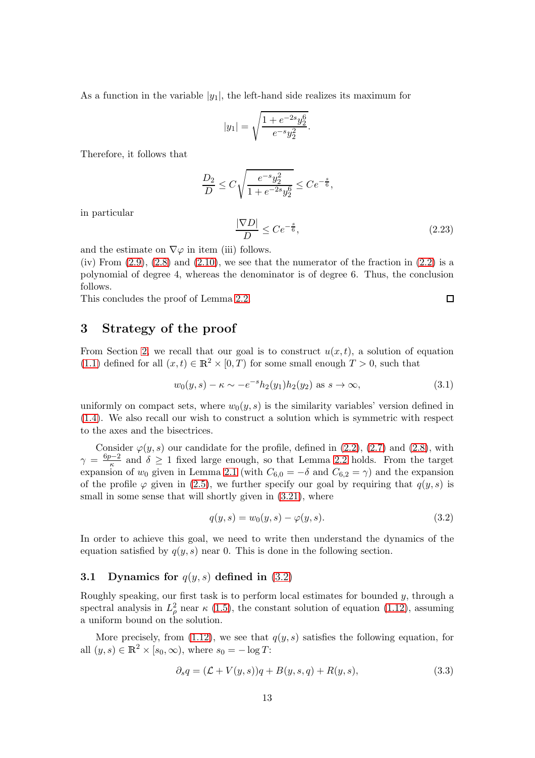As a function in the variable  $|y_1|$ , the left-hand side realizes its maximum for

$$
|y_1|=\sqrt{\frac{1+e^{-2s}y_2^6}{e^{-s}y_2^2}}.
$$

Therefore, it follows that

$$
\frac{D_2}{D} \le C\sqrt{\frac{e^{-s}y_2^2}{1+e^{-2s}y_2^6}} \le Ce^{-\frac{s}{6}},
$$

in particular

<span id="page-12-3"></span>
$$
\frac{|\nabla D|}{D} \le Ce^{-\frac{s}{6}},\tag{2.23}
$$

and the estimate on  $\nabla\varphi$  in item (iii) follows.

(iv) From  $(2.9)$ ,  $(2.8)$  and  $(2.10)$ , we see that the numerator of the fraction in  $(2.2)$  is a polynomial of degree 4, whereas the denominator is of degree 6. Thus, the conclusion follows.

<span id="page-12-0"></span>This concludes the proof of Lemma [2.2.](#page-9-6)

## 3 Strategy of the proof

From Section [2,](#page-8-1) we recall that our goal is to construct  $u(x, t)$ , a solution of equation [\(1.1\)](#page-0-0) defined for all  $(x, t) \in \mathbb{R}^2 \times [0, T)$  for some small enough  $T > 0$ , such that

$$
w_0(y, s) - \kappa \sim -e^{-s} h_2(y_1) h_2(y_2)
$$
 as  $s \to \infty$ , (3.1)

uniformly on compact sets, where  $w_0(y, s)$  is the similarity variables' version defined in [\(1.4\)](#page-1-5). We also recall our wish to construct a solution which is symmetric with respect to the axes and the bisectrices.

Consider  $\varphi(y, s)$  our candidate for the profile, defined in [\(2.2\)](#page-9-1), [\(2.7\)](#page-9-3) and [\(2.8\)](#page-9-4), with  $\gamma = \frac{6p-2}{\kappa}$  and  $\delta \geq 1$  fixed large enough, so that Lemma [2.2](#page-9-6) holds. From the target expansion of  $w_0$  given in Lemma [2.1](#page-8-0) (with  $C_{6,0} = -\delta$  and  $C_{6,2} = \gamma$ ) and the expansion of the profile  $\varphi$  given in [\(2.5\)](#page-9-2), we further specify our goal by requiring that  $q(y, s)$  is small in some sense that will shortly given in  $(3.21)$ , where

<span id="page-12-1"></span>
$$
q(y,s) = w_0(y,s) - \varphi(y,s).
$$
 (3.2)

In order to achieve this goal, we need to write then understand the dynamics of the equation satisfied by  $q(y, s)$  near 0. This is done in the following section.

#### 3.1 Dynamics for  $q(y, s)$  defined in  $(3.2)$

Roughly speaking, our first task is to perform local estimates for bounded  $y$ , through a spectral analysis in  $L^2_\rho$  near  $\kappa$  [\(1.5\)](#page-1-7), the constant solution of equation [\(1.12\)](#page-3-1), assuming a uniform bound on the solution.

More precisely, from [\(1.12\)](#page-3-1), we see that  $q(y, s)$  satisfies the following equation, for all  $(y, s) \in \mathbb{R}^2 \times [s_0, \infty)$ , where  $s_0 = -\log T$ :

<span id="page-12-2"></span>
$$
\partial_s q = (\mathcal{L} + V(y, s))q + B(y, s, q) + R(y, s), \tag{3.3}
$$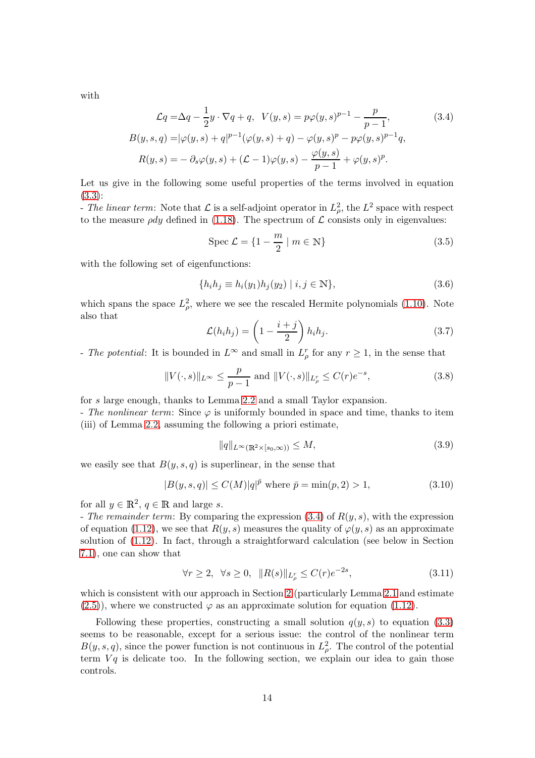with

$$
\mathcal{L}q = \Delta q - \frac{1}{2}y \cdot \nabla q + q, \quad V(y, s) = p\varphi(y, s)^{p-1} - \frac{p}{p-1},
$$
(3.4)  

$$
B(y, s, q) = |\varphi(y, s) + q|^{p-1}(\varphi(y, s) + q) - \varphi(y, s)^p - p\varphi(y, s)^{p-1}q,
$$
  

$$
R(y, s) = -\partial_s \varphi(y, s) + (\mathcal{L} - 1)\varphi(y, s) - \frac{\varphi(y, s)}{p-1} + \varphi(y, s)^p.
$$

Let us give in the following some useful properties of the terms involved in equation [\(3.3\)](#page-12-2):

- The linear term: Note that  $\mathcal{L}$  is a self-adjoint operator in  $L^2_{\rho}$ , the  $L^2$  space with respect to the measure  $\rho d\psi$  defined in [\(1.18\)](#page-4-4). The spectrum of  $\mathcal L$  consists only in eigenvalues:

<span id="page-13-6"></span><span id="page-13-0"></span>
$$
\text{Spec } \mathcal{L} = \{1 - \frac{m}{2} \mid m \in \mathbb{N}\}\tag{3.5}
$$

with the following set of eigenfunctions:

<span id="page-13-4"></span>
$$
\{h_i h_j \equiv h_i(y_1) h_j(y_2) \mid i, j \in \mathbb{N}\},\tag{3.6}
$$

which spans the space  $L^2_{\rho}$ , where we see the rescaled Hermite polynomials [\(1.10\)](#page-1-6). Note also that

<span id="page-13-5"></span>
$$
\mathcal{L}(h_i h_j) = \left(1 - \frac{i+j}{2}\right) h_i h_j. \tag{3.7}
$$

- The potential: It is bounded in  $L^{\infty}$  and small in  $L^r_{\rho}$  for any  $r \geq 1$ , in the sense that

<span id="page-13-7"></span>
$$
||V(\cdot,s)||_{L^{\infty}} \le \frac{p}{p-1} \text{ and } ||V(\cdot,s)||_{L^r_{\rho}} \le C(r)e^{-s}, \tag{3.8}
$$

for s large enough, thanks to Lemma [2.2](#page-9-6) and a small Taylor expansion.

- The nonlinear term: Since  $\varphi$  is uniformly bounded in space and time, thanks to item (iii) of Lemma [2.2,](#page-9-6) assuming the following a priori estimate,

<span id="page-13-1"></span>
$$
||q||_{L^{\infty}(\mathbb{R}^2 \times [s_0, \infty))} \le M, \tag{3.9}
$$

we easily see that  $B(y, s, q)$  is superlinear, in the sense that

<span id="page-13-3"></span>
$$
|B(y, s, q)| \le C(M)|q|^{\bar{p}} \text{ where } \bar{p} = \min(p, 2) > 1,
$$
 (3.10)

for all  $y \in \mathbb{R}^2$ ,  $q \in \mathbb{R}$  and large s.

- The remainder term: By comparing the expression  $(3.4)$  of  $R(y, s)$ , with the expression of equation [\(1.12\)](#page-3-1), we see that  $R(y, s)$  measures the quality of  $\varphi(y, s)$  as an approximate solution of [\(1.12\)](#page-3-1). In fact, through a straightforward calculation (see below in Section [7.1\)](#page-38-1), one can show that

<span id="page-13-2"></span>
$$
\forall r \ge 2, \ \forall s \ge 0, \ \ \|R(s)\|_{L^r_\rho} \le C(r)e^{-2s},\tag{3.11}
$$

which is consistent with our approach in Section [2](#page-8-1) (particularly Lemma [2.1](#page-8-0) and estimate  $(2.5)$ , where we constructed  $\varphi$  as an approximate solution for equation [\(1.12\)](#page-3-1).

Following these properties, constructing a small solution  $q(y, s)$  to equation [\(3.3\)](#page-12-2) seems to be reasonable, except for a serious issue: the control of the nonlinear term  $B(y, s, q)$ , since the power function is not continuous in  $L^2_{\rho}$ . The control of the potential term  $Vq$  is delicate too. In the following section, we explain our idea to gain those controls.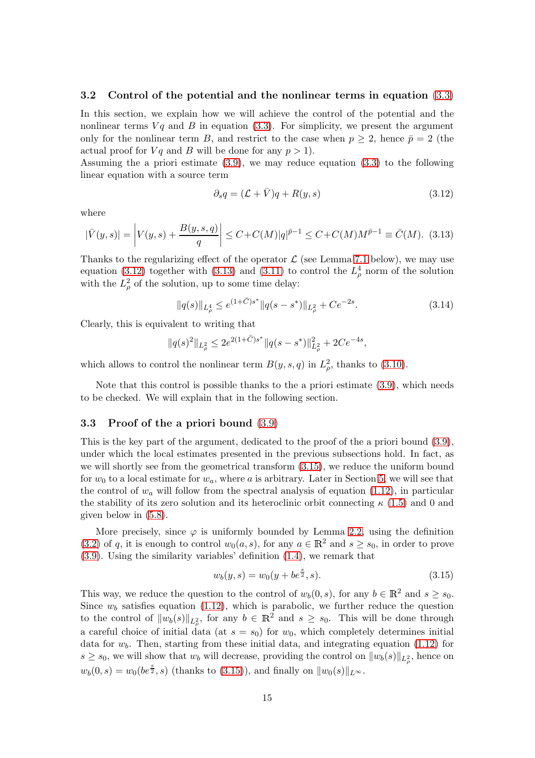#### <span id="page-14-3"></span>3.2 Control of the potential and the nonlinear terms in equation [\(3.3\)](#page-12-2)

In this section, we explain how we will achieve the control of the potential and the nonlinear terms  $Vq$  and  $B$  in equation [\(3.3\)](#page-12-2). For simplicity, we present the argument only for the nonlinear term B, and restrict to the case when  $p \geq 2$ , hence  $\bar{p} = 2$  (the actual proof for  $Vq$  and B will be done for any  $p > 1$ .

Assuming the a priori estimate [\(3.9\)](#page-13-1), we may reduce equation [\(3.3\)](#page-12-2) to the following linear equation with a source term

<span id="page-14-0"></span>
$$
\partial_s q = (\mathcal{L} + \bar{V})q + R(y, s) \tag{3.12}
$$

where

<span id="page-14-1"></span>
$$
|\bar{V}(y,s)| = \left| V(y,s) + \frac{B(y,s,q)}{q} \right| \le C + C(M)|q|^{\bar{p}-1} \le C + C(M)M^{\bar{p}-1} \equiv \bar{C}(M). \tag{3.13}
$$

Thanks to the regularizing effect of the operator  $\mathcal L$  (see Lemma [7.1](#page-39-0) below), we may use equation [\(3.12\)](#page-14-0) together with [\(3.13\)](#page-14-1) and [\(3.11\)](#page-13-2) to control the  $L^4_\rho$  norm of the solution with the  $L^2_{\rho}$  of the solution, up to some time delay:

<span id="page-14-4"></span>
$$
||q(s)||_{L^4_\rho} \le e^{(1+\bar{C})s^*} ||q(s-s^*)||_{L^2_\rho} + Ce^{-2s}.
$$
\n(3.14)

Clearly, this is equivalent to writing that

$$
\|q(s)^2\|_{L^2_\rho}\leq 2e^{2(1+\bar C)s^*}\|q(s-s^*)\|^2_{L^2_\rho}+2Ce^{-4s},
$$

which allows to control the nonlinear term  $B(y, s, q)$  in  $L^2_{\rho}$ , thanks to [\(3.10\)](#page-13-3).

Note that this control is possible thanks to the a priori estimate [\(3.9\)](#page-13-1), which needs to be checked. We will explain that in the following section.

#### 3.3 Proof of the a priori bound [\(3.9\)](#page-13-1)

This is the key part of the argument, dedicated to the proof of the a priori bound [\(3.9\)](#page-13-1), under which the local estimates presented in the previous subsections hold. In fact, as we will shortly see from the geometrical transform [\(3.15\)](#page-14-2), we reduce the uniform bound for  $w_0$  to a local estimate for  $w_a$ , where a is arbitrary. Later in Section [5,](#page-19-0) we will see that the control of  $w_a$  will follow from the spectral analysis of equation [\(1.12\)](#page-3-1), in particular the stability of its zero solution and its heteroclinic orbit connecting  $\kappa$  [\(1.5\)](#page-1-7) and 0 and given below in [\(5.8\)](#page-20-0).

More precisely, since  $\varphi$  is uniformly bounded by Lemma [2.2,](#page-9-6) using the definition [\(3.2\)](#page-12-1) of q, it is enough to control  $w_0(a, s)$ , for any  $a \in \mathbb{R}^2$  and  $s \geq s_0$ , in order to prove [\(3.9\)](#page-13-1). Using the similarity variables' definition [\(1.4\)](#page-1-5), we remark that

<span id="page-14-2"></span>
$$
w_b(y, s) = w_0(y + be^{\frac{s}{2}}, s).
$$
\n(3.15)

This way, we reduce the question to the control of  $w_b(0, s)$ , for any  $b \in \mathbb{R}^2$  and  $s \geq s_0$ . Since  $w_b$  satisfies equation [\(1.12\)](#page-3-1), which is parabolic, we further reduce the question to the control of  $||w_b(s)||_{L^2_{\rho}}$ , for any  $b \in \mathbb{R}^2$  and  $s \geq s_0$ . This will be done through a careful choice of initial data (at  $s = s_0$ ) for  $w_0$ , which completely determines initial data for  $w_b$ . Then, starting from these initial data, and integrating equation [\(1.12\)](#page-3-1) for  $s \geq s_0$ , we will show that  $w_b$  will decrease, providing the control on  $||w_b(s)||_{L^2_{\rho}}$ , hence on  $w_b(0, s) = w_0(b e^{\frac{s}{2}}, s)$  (thanks to [\(3.15\)](#page-14-2)), and finally on  $||w_0(s)||_{L^{\infty}}$ .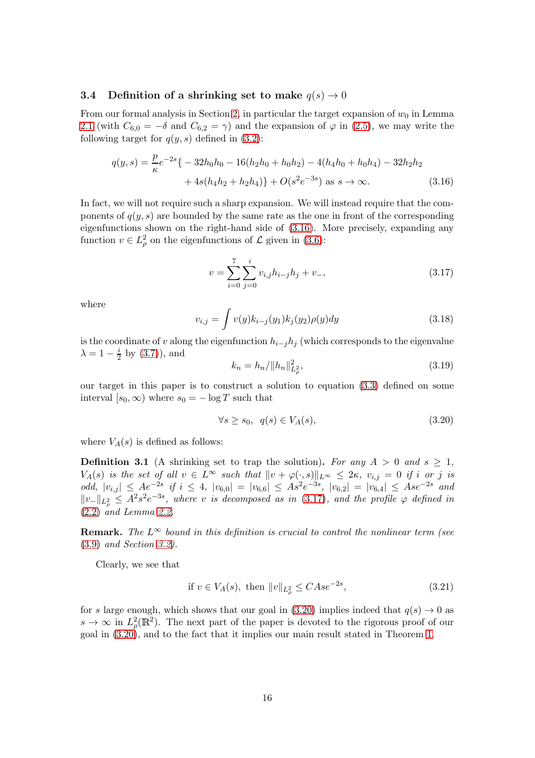#### 3.4 Definition of a shrinking set to make  $q(s) \rightarrow 0$

From our formal analysis in Section [2,](#page-8-1) in particular the target expansion of  $w_0$  in Lemma [2.1](#page-8-0) (with  $C_{6,0} = -\delta$  and  $C_{6,2} = \gamma$ ) and the expansion of  $\varphi$  in [\(2.5\)](#page-9-2), we may write the following target for  $q(y, s)$  defined in  $(3.2)$ :

$$
q(y,s) = \frac{p}{\kappa}e^{-2s}\{-32h_0h_0 - 16(h_2h_0 + h_0h_2) - 4(h_4h_0 + h_0h_4) - 32h_2h_2 + 4s(h_4h_2 + h_2h_4)\} + O(s^2e^{-3s}) \text{ as } s \to \infty.
$$
 (3.16)

In fact, we will not require such a sharp expansion. We will instead require that the components of  $q(y, s)$  are bounded by the same rate as the one in front of the corresponding eigenfunctions shown on the right-hand side of [\(3.16\)](#page-15-1). More precisely, expanding any function  $v \in L^2_\rho$  on the eigenfunctions of  $\mathcal L$  given in [\(3.6\)](#page-13-4):

<span id="page-15-2"></span><span id="page-15-1"></span>
$$
v = \sum_{i=0}^{7} \sum_{j=0}^{i} v_{i,j} h_{i-j} h_j + v_-, \qquad (3.17)
$$

where

<span id="page-15-5"></span>
$$
v_{i,j} = \int v(y)k_{i-j}(y_1)k_j(y_2)\rho(y)dy
$$
\n(3.18)

is the coordinate of v along the eigenfunction  $h_{i-j}h_j$  (which corresponds to the eigenvalue  $\lambda = 1 - \frac{i}{2}$  $\frac{i}{2}$  by [\(3.7\)](#page-13-5)), and

<span id="page-15-6"></span>
$$
k_n = h_n / \|h_n\|_{L^2_{\rho}}^2,\tag{3.19}
$$

our target in this paper is to construct a solution to equation [\(3.3\)](#page-12-2) defined on some interval  $[s_0, \infty)$  where  $s_0 = -\log T$  such that

<span id="page-15-3"></span>
$$
\forall s \ge s_0, \ q(s) \in V_A(s), \tag{3.20}
$$

where  $V_A(s)$  is defined as follows:

<span id="page-15-4"></span>**Definition 3.1** (A shrinking set to trap the solution). For any  $A > 0$  and  $s > 1$ ,  $V_A(s)$  is the set of all  $v \in L^{\infty}$  such that  $||v + \varphi(\cdot, s)||_{L^{\infty}} \leq 2\kappa$ ,  $v_{i,j} = 0$  if i or j is odd,  $|v_{i,j}| \leq Ae^{-2s}$  if  $i \leq 4$ ,  $|v_{6,0}| = |v_{6,6}| \leq Ae^{-3s}$ ,  $|v_{6,2}| = |v_{6,4}| \leq Ase^{-2s}$  and  $||v_-||_{L^2_{\rho}} \leq A^2 s^2 e^{-3s}$ , where v is decomposed as in [\(3.17\)](#page-15-2), and the profile  $\varphi$  defined in [\(2.2\)](#page-9-1) and Lemma [2.2.](#page-9-6)

**Remark.** The  $L^{\infty}$  bound in this definition is crucial to control the nonlinear term (see [\(3.9\)](#page-13-1) and Section [3.2\)](#page-14-3).

Clearly, we see that

<span id="page-15-0"></span>if 
$$
v \in V_A(s)
$$
, then  $||v||_{L^2_{\rho}} \leq C A s e^{-2s}$ , (3.21)

for s large enough, which shows that our goal in [\(3.20\)](#page-15-3) implies indeed that  $q(s) \to 0$  as  $s \to \infty$  in  $L^2_{\rho}(\mathbb{R}^2)$ . The next part of the paper is devoted to the rigorous proof of our goal in [\(3.20\)](#page-15-3), and to the fact that it implies our main result stated in Theorem [1.](#page-4-0)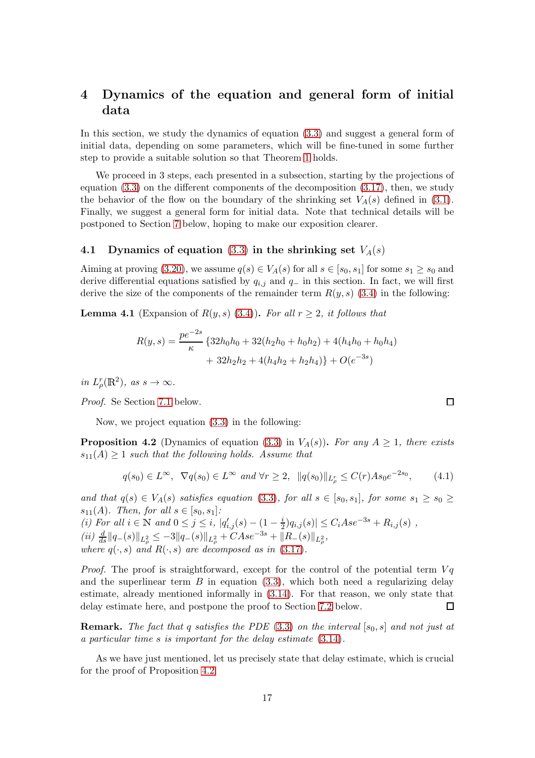## <span id="page-16-0"></span>4 Dynamics of the equation and general form of initial data

In this section, we study the dynamics of equation [\(3.3\)](#page-12-2) and suggest a general form of initial data, depending on some parameters, which will be fine-tuned in some further step to provide a suitable solution so that Theorem [1](#page-4-0) holds.

We proceed in 3 steps, each presented in a subsection, starting by the projections of equation [\(3.3\)](#page-12-2) on the different components of the decomposition [\(3.17\)](#page-15-2), then, we study the behavior of the flow on the boundary of the shrinking set  $V_A(s)$  defined in [\(3.1\)](#page-15-4). Finally, we suggest a general form for initial data. Note that technical details will be postponed to Section [7](#page-38-0) below, hoping to make our exposition clearer.

### 4.1 Dynamics of equation [\(3.3\)](#page-12-2) in the shrinking set  $V_A(s)$

Aiming at proving [\(3.20\)](#page-15-3), we assume  $q(s) \in V_A(s)$  for all  $s \in [s_0, s_1]$  for some  $s_1 \geq s_0$  and derive differential equations satisfied by  $q_{i,j}$  and  $q_-\$  in this section. In fact, we will first derive the size of the components of the remainder term  $R(y, s)$  [\(3.4\)](#page-13-0) in the following:

<span id="page-16-3"></span>**Lemma 4.1** (Expansion of  $R(y, s)$  [\(3.4\)](#page-13-0)). For all  $r \geq 2$ , it follows that

$$
R(y,s) = \frac{pe^{-2s}}{\kappa} \left\{ 32h_0h_0 + 32(h_2h_0 + h_0h_2) + 4(h_4h_0 + h_0h_4) + 32h_2h_2 + 4(h_4h_2 + h_2h_4) \right\} + O(e^{-3s})
$$

in  $L^r_\rho(\mathbb{R}^2)$ , as  $s \to \infty$ .

Proof. Se Section [7.1](#page-38-1) below.

Now, we project equation [\(3.3\)](#page-12-2) in the following:

<span id="page-16-1"></span>**Proposition 4.2** (Dynamics of equation [\(3.3\)](#page-12-2) in  $V_A(s)$ ). For any  $A \geq 1$ , there exists  $s_{11}(A) \geq 1$  such that the following holds. Assume that

<span id="page-16-2"></span>
$$
q(s_0) \in L^{\infty}, \ \nabla q(s_0) \in L^{\infty} \ \text{and} \ \forall r \ge 2, \ \ \|q(s_0)\|_{L^r_\rho} \le C(r)As_0e^{-2s_0}, \tag{4.1}
$$

and that  $q(s) \in V_A(s)$  satisfies equation [\(3.3\)](#page-12-2), for all  $s \in [s_0, s_1]$ , for some  $s_1 \ge s_0 \ge$  $s_{11}(A)$ . Then, for all  $s \in [s_0, s_1]$ : (*i*) For all *i* ∈ N and  $0 \le j \le i$ ,  $|q'_{i,j}(s) - (1 - \frac{i}{2})|$  $\frac{i}{2} |q_{i,j}(s)| \leq C_i A s e^{-3s} + R_{i,j}(s)$ ,

 $(ii) \frac{d}{ds} ||q_{-}(s)||_{L^2_{\rho}} \leq -3||q_{-}(s)||_{L^2_{\rho}} + CAse^{-3s} + ||R_{-}(s)||_{L^2_{\rho}},$ 

where  $q(\cdot, s)$  and  $R(\cdot, s)$  are decomposed as in [\(3.17\)](#page-15-2).

*Proof.* The proof is straightforward, except for the control of the potential term  $Vq$ and the superlinear term  $B$  in equation [\(3.3\)](#page-12-2), which both need a regularizing delay estimate, already mentioned informally in [\(3.14\)](#page-14-4). For that reason, we only state that delay estimate here, and postpone the proof to Section [7.2](#page-38-2) below.  $\Box$ 

**Remark.** The fact that q satisfies the PDE [\(3.3\)](#page-12-2) on the interval  $[s_0, s]$  and not just at a particular time s is important for the delay estimate [\(3.14\)](#page-14-4).

As we have just mentioned, let us precisely state that delay estimate, which is crucial for the proof of Proposition [4.2:](#page-16-1)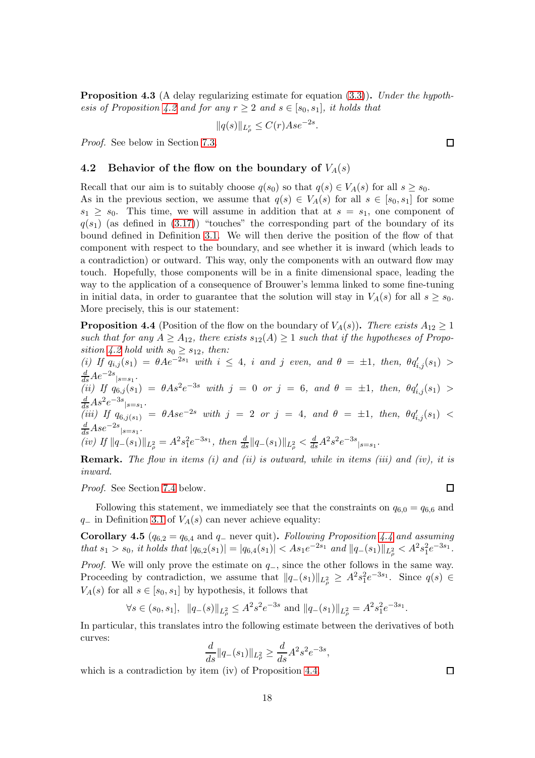<span id="page-17-2"></span>**Proposition 4.3** (A delay regularizing estimate for equation [\(3.3\)](#page-12-2)). Under the hypoth-esis of Proposition [4.2](#page-16-1) and for any  $r \geq 2$  and  $s \in [s_0, s_1]$ , it holds that

$$
||q(s)||_{L^r_\rho} \le C(r)Ase^{-2s}
$$

.

Proof. See below in Section [7.3.](#page-39-1)

#### 4.2 Behavior of the flow on the boundary of  $V_A(s)$

Recall that our aim is to suitably choose  $q(s_0)$  so that  $q(s) \in V_A(s)$  for all  $s \geq s_0$ . As in the previous section, we assume that  $q(s) \in V_A(s)$  for all  $s \in [s_0, s_1]$  for some  $s_1 \geq s_0$ . This time, we will assume in addition that at  $s = s_1$ , one component of  $q(s_1)$  (as defined in [\(3.17\)](#page-15-2)) "touches" the corresponding part of the boundary of its bound defined in Definition [3.1.](#page-15-4) We will then derive the position of the flow of that component with respect to the boundary, and see whether it is inward (which leads to a contradiction) or outward. This way, only the components with an outward flow may touch. Hopefully, those components will be in a finite dimensional space, leading the way to the application of a consequence of Brouwer's lemma linked to some fine-tuning in initial data, in order to guarantee that the solution will stay in  $V_A(s)$  for all  $s \geq s_0$ . More precisely, this is our statement:

<span id="page-17-0"></span>**Proposition 4.4** (Position of the flow on the boundary of  $V_A(s)$ ). There exists  $A_{12} \ge 1$ such that for any  $A \geq A_{12}$ , there exists  $s_{12}(A) \geq 1$  such that if the hypotheses of Propo-sition [4.2](#page-16-1) hold with  $s_0 \geq s_{12}$ , then:

(i) If  $q_{i,j}(s_1) = \theta A e^{-2s_1}$  with  $i \leq 4$ , i and j even, and  $\theta = \pm 1$ , then,  $\theta q'_{i,j}(s_1)$  $\frac{d}{ds}Ae^{-2s}{}_{|s=s_1}$ . (ii) If  $q_{6,j}(s_1) = \theta As^2e^{-3s}$  with  $j = 0$  or  $j = 6$ , and  $\theta = \pm 1$ , then,  $\theta q'_{i,j}(s_1) >$  $\frac{d}{ds}As^2e^{-3s}{}_{|s=s_1}$ .  $\frac{dS}{ds}$ <sup>As e</sup>  $|s=s_1 \cdot (iii)$  If  $q_{6,j(s_1)} = \theta A s e^{-2s}$  with  $j = 2$  or  $j = 4$ , and  $\theta = \pm 1$ , then,  $\theta q'_{i,j}(s_1)$  <  $\frac{d}{ds}Ase^{-2s}$ <sub>|s=s1</sub>. (iv) If  $||q_{-}(s_1)||_{L^2_{\rho}} = A^2 s_1^2 e^{-3s_1}$ , then  $\frac{d}{ds} ||q_{-}(s_1)||_{L^2_{\rho}} < \frac{d}{ds} A^2 s^2 e^{-3s} |_{s=s_1}$ .

**Remark.** The flow in items  $(i)$  and  $(ii)$  is outward, while in items  $(iii)$  and  $(iv)$ , it is inward.

Proof. See Section [7.4](#page-41-0) below.

Following this statement, we immediately see that the constraints on  $q_{6,0} = q_{6,6}$  and  $q_$  in Definition [3.1](#page-15-4) of  $V_A(s)$  can never achieve equality:

<span id="page-17-1"></span>**Corollary 4.5** ( $q_{6,2} = q_{6,4}$  and  $q_{-}$  never quit). Following Proposition [4.4](#page-17-0) and assuming that  $s_1 > s_0$ , it holds that  $|q_{6,2}(s_1)| = |q_{6,4}(s_1)| < As_1e^{-2s_1}$  and  $||q_{-}(s_1)||_{L^2_{\rho}} < A^2s_1^2e^{-3s_1}$ . *Proof.* We will only prove the estimate on  $q_$ , since the other follows in the same way. Proceeding by contradiction, we assume that  $||q_-(s_1)||_{L^2_\rho} \geq A^2 s_1^2 e^{-3s_1}$ . Since  $q(s) \in$  $V_A(s)$  for all  $s \in [s_0, s_1]$  by hypothesis, it follows that

$$
\forall s \in (s_0, s_1], \ \|q_{-}(s)\|_{L^2_{\rho}} \leq A^2 s^2 e^{-3s}
$$
 and  $\|q_{-}(s_1)\|_{L^2_{\rho}} = A^2 s_1^2 e^{-3s_1}$ .

In particular, this translates intro the following estimate between the derivatives of both curves:

$$
\frac{d}{ds} ||q_{-}(s_1)||_{L^2_{\rho}} \ge \frac{d}{ds} A^2 s^2 e^{-3s},
$$

which is a contradiction by item (iv) of Proposition [4.4.](#page-17-0)

 $\Box$ 

 $\Box$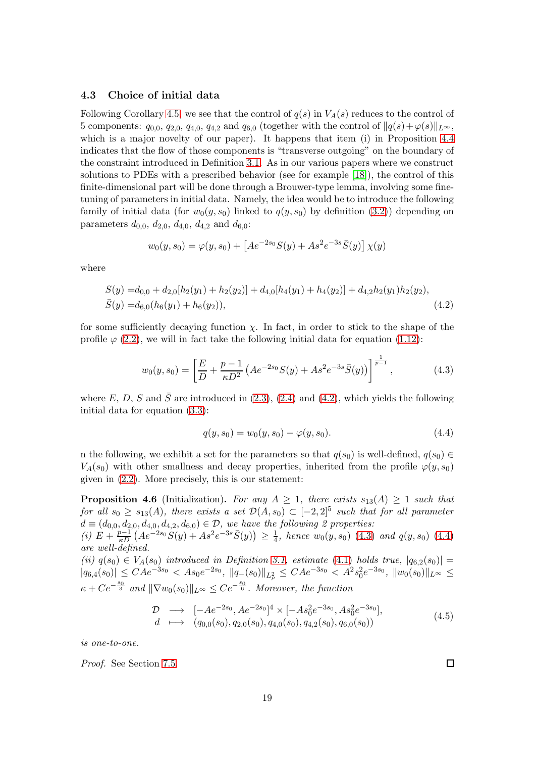#### 4.3 Choice of initial data

Following Corollary [4.5,](#page-17-1) we see that the control of  $q(s)$  in  $V_A(s)$  reduces to the control of 5 components:  $q_{0,0}, q_{2,0}, q_{4,0}, q_{4,2}$  and  $q_{6,0}$  (together with the control of  $||q(s)+\varphi(s)||_{L^{\infty}}$ , which is a major novelty of our paper). It happens that item (i) in Proposition [4.4](#page-17-0) indicates that the flow of those components is "transverse outgoing" on the boundary of the constraint introduced in Definition [3.1.](#page-15-4) As in our various papers where we construct solutions to PDEs with a prescribed behavior (see for example [\[18\]](#page-59-6)), the control of this finite-dimensional part will be done through a Brouwer-type lemma, involving some finetuning of parameters in initial data. Namely, the idea would be to introduce the following family of initial data (for  $w_0(y, s_0)$  linked to  $q(y, s_0)$  by definition [\(3.2\)](#page-12-1)) depending on parameters  $d_{0,0}$ ,  $d_{2,0}$ ,  $d_{4,0}$ ,  $d_{4,2}$  and  $d_{6,0}$ :

$$
w_0(y, s_0) = \varphi(y, s_0) + \left[ A e^{-2s_0} S(y) + A s^2 e^{-3s} \overline{S}(y) \right] \chi(y)
$$

where

$$
S(y) = d_{0,0} + d_{2,0}[h_2(y_1) + h_2(y_2)] + d_{4,0}[h_4(y_1) + h_4(y_2)] + d_{4,2}h_2(y_1)h_2(y_2),
$$
  
\n
$$
\bar{S}(y) = d_{6,0}(h_6(y_1) + h_6(y_2)),
$$
\n(4.2)

for some sufficiently decaying function  $\chi$ . In fact, in order to stick to the shape of the profile  $\varphi$  [\(2.2\)](#page-9-1), we will in fact take the following initial data for equation [\(1.12\)](#page-3-1):

<span id="page-18-1"></span>
$$
w_0(y, s_0) = \left[\frac{E}{D} + \frac{p-1}{\kappa D^2} \left( A e^{-2s_0} S(y) + A s^2 e^{-3s} \bar{S}(y) \right) \right]^{\frac{1}{p-1}},
$$
\n(4.3)

where E, D, S and  $\bar{S}$  are introduced in [\(2.3\)](#page-9-0), [\(2.4\)](#page-9-5) and [\(4.2\)](#page-18-0), which yields the following initial data for equation [\(3.3\)](#page-12-2):

<span id="page-18-2"></span><span id="page-18-0"></span>
$$
q(y, s_0) = w_0(y, s_0) - \varphi(y, s_0). \tag{4.4}
$$

n the following, we exhibit a set for the parameters so that  $q(s_0)$  is well-defined,  $q(s_0) \in$  $V_A(s_0)$  with other smallness and decay properties, inherited from the profile  $\varphi(y, s_0)$ given in [\(2.2\)](#page-9-1). More precisely, this is our statement:

<span id="page-18-3"></span>**Proposition 4.6** (Initialization). For any  $A \geq 1$ , there exists  $s_{13}(A) \geq 1$  such that for all  $s_0 \geq s_{13}(A)$ , there exists a set  $\mathcal{D}(A, s_0) \subset [-2, 2]^5$  such that for all parameter  $d \equiv (d_{0,0}, d_{2,0}, d_{4,0}, d_{4,2}, d_{6,0}) \in \mathcal{D}$ , we have the following 2 properties:

(i)  $E + \frac{p-1}{\kappa D} \left( A e^{-2s_0} S(y) + A s^2 e^{-3s} \bar{S}(y) \right) \ge \frac{1}{4}$ , hence  $w_0(y, s_0)$  [\(4.3\)](#page-18-1) and  $q(y, s_0)$  [\(4.4\)](#page-18-2) are well-defined.

(ii)  $q(s_0) \in V_A(s_0)$  introduced in Definition [3.1,](#page-15-4) estimate [\(4.1\)](#page-16-2) holds true,  $|q_{6,2}(s_0)| =$  $|q_{6,4}(s_0)| \leq C A e^{-3s_0} < A s_0 e^{-2s_0}, \ ||q_{-}(s_0)||_{L^2_{\rho}} \leq C A e^{-3s_0} < A^2 s_0^2 e^{-3s_0}, \ ||w_0(s_0)||_{L^{\infty}} \leq C A e^{-3s_0}$  $\kappa + C e^{-\frac{s_0}{3}}$  and  $\|\nabla w_0(s_0)\|_{L^\infty} \leq Ce^{-\frac{s_0}{6}}$ . Moreover, the function

<span id="page-18-4"></span>
$$
\begin{array}{rcl}\n\mathcal{D} & \longrightarrow & [-Ae^{-2s_0}, Ae^{-2s_0}]^4 \times [-As_0^2e^{-3s_0}, As_0^2e^{-3s_0}], \\
d & \longmapsto & (q_{0,0}(s_0), q_{2,0}(s_0), q_{4,0}(s_0), q_{4,2}(s_0), q_{6,0}(s_0))\n\end{array} \tag{4.5}
$$

is one-to-one.

Proof. See Section [7.5.](#page-42-0)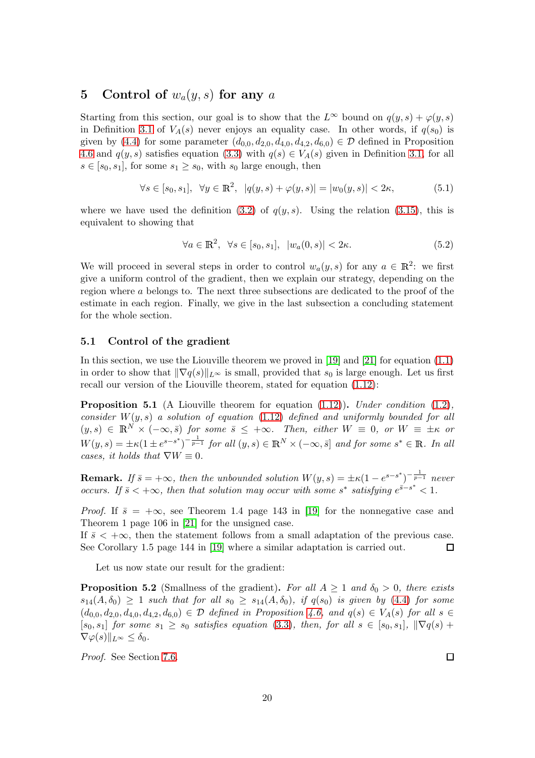## <span id="page-19-0"></span>5 Control of  $w_a(y, s)$  for any a

Starting from this section, our goal is to show that the  $L^{\infty}$  bound on  $q(y, s) + \varphi(y, s)$ in Definition [3.1](#page-15-4) of  $V_A(s)$  never enjoys an equality case. In other words, if  $q(s_0)$  is given by [\(4.4\)](#page-18-2) for some parameter  $(d_{0,0}, d_{2,0}, d_{4,0}, d_{4,2}, d_{6,0}) \in \mathcal{D}$  defined in Proposition [4.6](#page-18-3) and  $q(y, s)$  satisfies equation [\(3.3\)](#page-12-2) with  $q(s) \in V_A(s)$  given in Definition [3.1,](#page-15-4) for all  $s \in [s_0, s_1]$ , for some  $s_1 \geq s_0$ , with  $s_0$  large enough, then

<span id="page-19-3"></span>
$$
\forall s \in [s_0, s_1], \ \forall y \in \mathbb{R}^2, \ |q(y, s) + \varphi(y, s)| = |w_0(y, s)| < 2\kappa,\tag{5.1}
$$

where we have used the definition  $(3.2)$  of  $q(y, s)$ . Using the relation  $(3.15)$ , this is equivalent to showing that

<span id="page-19-1"></span>
$$
\forall a \in \mathbb{R}^2, \ \forall s \in [s_0, s_1], \ |w_a(0, s)| < 2\kappa. \tag{5.2}
$$

We will proceed in several steps in order to control  $w_a(y, s)$  for any  $a \in \mathbb{R}^2$ : we first give a uniform control of the gradient, then we explain our strategy, depending on the region where a belongs to. The next three subsections are dedicated to the proof of the estimate in each region. Finally, we give in the last subsection a concluding statement for the whole section.

#### 5.1 Control of the gradient

In this section, we use the Liouville theorem we proved in [\[19\]](#page-59-10) and [\[21\]](#page-59-12) for equation [\(1.1\)](#page-0-0) in order to show that  $\|\nabla q(s)\|_{L^{\infty}}$  is small, provided that  $s_0$  is large enough. Let us first recall our version of the Liouville theorem, stated for equation [\(1.12\)](#page-3-1):

<span id="page-19-4"></span>**Proposition 5.1** (A Liouville theorem for equation  $(1.12)$ ). Under condition  $(1.2)$ , consider  $W(y, s)$  a solution of equation [\(1.12\)](#page-3-1) defined and uniformly bounded for all  $(y, s) \in \mathbb{R}^N \times (-\infty, \bar{s})$  for some  $\bar{s} \leq +\infty$ . Then, either  $W \equiv 0$ , or  $W \equiv \pm \kappa$  or  $W(y,s) = \pm \kappa (1 \pm e^{s-s^*})^{-\frac{1}{p-1}}$  for all  $(y,s) \in \mathbb{R}^N \times (-\infty, \bar{s}]$  and for some  $s^* \in \mathbb{R}$ . In all cases, it holds that  $\nabla W \equiv 0$ .

**Remark.** If  $\bar{s} = +\infty$ , then the unbounded solution  $W(y, s) = \pm \kappa (1 - e^{s - s^*})^{-\frac{1}{p-1}}$  never occurs. If  $\bar{s} < +\infty$ , then that solution may occur with some s<sup>\*</sup> satisfying  $e^{\bar{s}-s^*} < 1$ .

*Proof.* If  $\bar{s} = +\infty$ , see Theorem 1.4 page 143 in [\[19\]](#page-59-10) for the nonnegative case and Theorem 1 page 106 in [\[21\]](#page-59-12) for the unsigned case.

If  $\bar{s} < +\infty$ , then the statement follows from a small adaptation of the previous case.<br>See Corollary 1.5 page 144 in [19] where a similar adaptation is carried out. See Corollary 1.5 page 144 in [\[19\]](#page-59-10) where a similar adaptation is carried out.

Let us now state our result for the gradient:

<span id="page-19-2"></span>**Proposition 5.2** (Smallness of the gradient). For all  $A \ge 1$  and  $\delta_0 > 0$ , there exists  $s_{14}(A, \delta_0) \geq 1$  such that for all  $s_0 \geq s_{14}(A, \delta_0)$ , if  $q(s_0)$  is given by [\(4.4\)](#page-18-2) for some  $(d_{0,0}, d_{2,0}, d_{4,0}, d_{4,2}, d_{6,0}) \in \mathcal{D}$  defined in Proposition [4.6,](#page-18-3) and  $q(s) \in V_A(s)$  for all  $s \in \mathcal{D}$  $[s_0, s_1]$  for some  $s_1 \geq s_0$  satisfies equation [\(3.3\)](#page-12-2), then, for all  $s \in [s_0, s_1]$ ,  $\|\nabla q(s) +$  $\nabla \varphi(s) \|_{L^{\infty}} \leq \delta_0.$ 

Proof. See Section [7.6.](#page-43-0)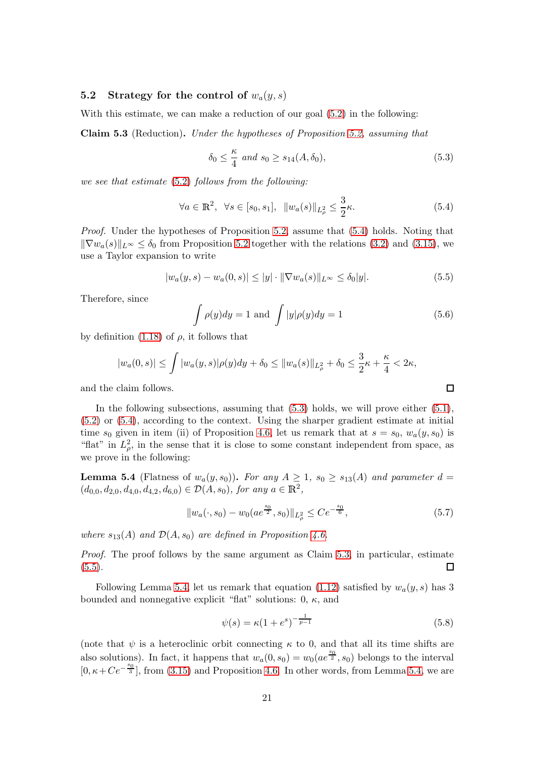#### 5.2 Strategy for the control of  $w_a(y, s)$

With this estimate, we can make a reduction of our goal  $(5.2)$  in the following:

<span id="page-20-3"></span>Claim 5.3 (Reduction). Under the hypotheses of Proposition [5.2,](#page-19-2) assuming that

<span id="page-20-2"></span>
$$
\delta_0 \le \frac{\kappa}{4} \text{ and } s_0 \ge s_{14}(A, \delta_0), \tag{5.3}
$$

we see that estimate [\(5.2\)](#page-19-1) follows from the following:

<span id="page-20-1"></span>
$$
\forall a \in \mathbb{R}^2, \ \forall s \in [s_0, s_1], \ \|w_a(s)\|_{L^2_{\rho}} \le \frac{3}{2}\kappa. \tag{5.4}
$$

Proof. Under the hypotheses of Proposition [5.2,](#page-19-2) assume that [\(5.4\)](#page-20-1) holds. Noting that  $\|\nabla w_a(s)\|_{L^\infty} \leq \delta_0$  from Proposition [5.2](#page-19-2) together with the relations [\(3.2\)](#page-12-1) and [\(3.15\)](#page-14-2), we use a Taylor expansion to write

<span id="page-20-4"></span>
$$
|w_a(y, s) - w_a(0, s)| \le |y| \cdot ||\nabla w_a(s)||_{L^{\infty}} \le \delta_0 |y|.
$$
 (5.5)

Therefore, since

<span id="page-20-7"></span>
$$
\int \rho(y)dy = 1 \text{ and } \int |y|\rho(y)dy = 1
$$
\n(5.6)

 $\Box$ 

by definition [\(1.18\)](#page-4-4) of  $\rho$ , it follows that

$$
|w_a(0,s)| \le \int |w_a(y,s)| \rho(y) dy + \delta_0 \le ||w_a(s)||_{L^2_{\rho}} + \delta_0 \le \frac{3}{2}\kappa + \frac{\kappa}{4} < 2\kappa,
$$

and the claim follows.

In the following subsections, assuming that [\(5.3\)](#page-20-2) holds, we will prove either [\(5.1\)](#page-19-3), [\(5.2\)](#page-19-1) or [\(5.4\)](#page-20-1), according to the context. Using the sharper gradient estimate at initial time  $s_0$  given in item (ii) of Proposition [4.6,](#page-18-3) let us remark that at  $s = s_0, w_a(y, s_0)$  is "flat" in  $L^2_{\rho}$ , in the sense that it is close to some constant independent from space, as we prove in the following:

<span id="page-20-5"></span>**Lemma 5.4** (Flatness of  $w_a(y, s_0)$ ). For any  $A \geq 1$ ,  $s_0 \geq s_{13}(A)$  and parameter  $d =$  $(d_{0,0}, d_{2,0}, d_{4,0}, d_{4,2}, d_{6,0}) \in \mathcal{D}(A, s_0)$ , for any  $a \in \mathbb{R}^2$ ,

<span id="page-20-6"></span>
$$
||w_a(\cdot, s_0) - w_0(ae^{\frac{s_0}{2}}, s_0)||_{L^2_{\rho}} \le Ce^{-\frac{s_0}{6}}, \tag{5.7}
$$

where  $s_{13}(A)$  and  $\mathcal{D}(A, s_0)$  are defined in Proposition [4.6.](#page-18-3)

Proof. The proof follows by the same argument as Claim [5.3,](#page-20-3) in particular, estimate  $(5.5).$  $(5.5).$  $\Box$ 

Following Lemma [5.4,](#page-20-5) let us remark that equation [\(1.12\)](#page-3-1) satisfied by  $w_a(y, s)$  has 3 bounded and nonnegative explicit "flat" solutions:  $0, \kappa$ , and

<span id="page-20-0"></span>
$$
\psi(s) = \kappa (1 + e^s)^{-\frac{1}{p-1}} \tag{5.8}
$$

(note that  $\psi$  is a heteroclinic orbit connecting  $\kappa$  to 0, and that all its time shifts are also solutions). In fact, it happens that  $w_a(0, s_0) = w_0(a e^{\frac{s_0}{2}}, s_0)$  belongs to the interval  $[0, \kappa + Ce^{-\frac{s_0}{3}}]$ , from [\(3.15\)](#page-14-2) and Proposition [4.6.](#page-18-3) In other words, from Lemma [5.4,](#page-20-5) we are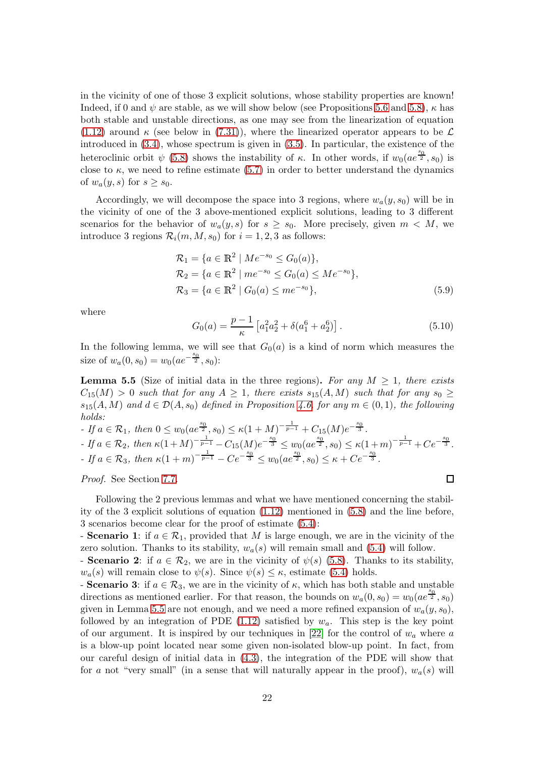in the vicinity of one of those 3 explicit solutions, whose stability properties are known! Indeed, if 0 and  $\psi$  are stable, as we will show below (see Propositions [5.6](#page-22-0) and [5.8\)](#page-23-0),  $\kappa$  has both stable and unstable directions, as one may see from the linearization of equation [\(1.12\)](#page-3-1) around  $\kappa$  (see below in [\(7.31\)](#page-47-0)), where the linearized operator appears to be  $\mathcal L$ introduced in [\(3.4\)](#page-13-0), whose spectrum is given in [\(3.5\)](#page-13-6). In particular, the existence of the heteroclinic orbit  $\psi$  [\(5.8\)](#page-20-0) shows the instability of  $\kappa$ . In other words, if  $w_0(ae^{\frac{s_0}{2}}, s_0)$  is close to  $\kappa$ , we need to refine estimate [\(5.7\)](#page-20-6) in order to better understand the dynamics of  $w_a(y, s)$  for  $s \geq s_0$ .

Accordingly, we will decompose the space into 3 regions, where  $w_a(y, s_0)$  will be in the vicinity of one of the 3 above-mentioned explicit solutions, leading to 3 different scenarios for the behavior of  $w_a(y, s)$  for  $s \geq s_0$ . More precisely, given  $m < M$ , we introduce 3 regions  $\mathcal{R}_i(m, M, s_0)$  for  $i = 1, 2, 3$  as follows:

$$
\mathcal{R}_1 = \{a \in \mathbb{R}^2 \mid Me^{-s_0} \le G_0(a)\},
$$
  
\n
$$
\mathcal{R}_2 = \{a \in \mathbb{R}^2 \mid me^{-s_0} \le G_0(a) \le Me^{-s_0}\},
$$
  
\n
$$
\mathcal{R}_3 = \{a \in \mathbb{R}^2 \mid G_0(a) \le me^{-s_0}\},
$$
  
\n(5.9)

where

<span id="page-21-2"></span><span id="page-21-1"></span>
$$
G_0(a) = \frac{p-1}{\kappa} \left[ a_1^2 a_2^2 + \delta(a_1^6 + a_2^6) \right]. \tag{5.10}
$$

In the following lemma, we will see that  $G_0(a)$  is a kind of norm which measures the size of  $w_a(0, s_0) = w_0(ae^{-\frac{s_0}{2}}, s_0)$ :

<span id="page-21-0"></span>**Lemma 5.5** (Size of initial data in the three regions). For any  $M \geq 1$ , there exists  $C_{15}(M) > 0$  such that for any  $A \geq 1$ , there exists  $s_{15}(A, M)$  such that for any  $s_0 \geq$  $s_{15}(A, M)$  and  $d \in \mathcal{D}(A, s_0)$  defined in Proposition [4.6,](#page-18-3) for any  $m \in (0, 1)$ , the following holds:

- If 
$$
a \in \mathcal{R}_1
$$
, then  $0 \le w_0(ae^{\frac{s_0}{2}}, s_0) \le \kappa(1 + M)^{-\frac{1}{p-1}} + C_{15}(M)e^{-\frac{s_0}{3}}$ .  
\n- If  $a \in \mathcal{R}_2$ , then  $\kappa(1 + M)^{-\frac{1}{p-1}} - C_{15}(M)e^{-\frac{s_0}{3}} \le w_0(ae^{\frac{s_0}{2}}, s_0) \le \kappa(1 + m)^{-\frac{1}{p-1}} + Ce^{-\frac{s_0}{3}}$ .  
\n- If  $a \in \mathcal{R}_3$ , then  $\kappa(1 + m)^{-\frac{1}{p-1}} - Ce^{-\frac{s_0}{3}} \le w_0(ae^{\frac{s_0}{2}}, s_0) \le \kappa + Ce^{-\frac{s_0}{3}}$ .

Proof. See Section [7.7.](#page-45-0)

Following the 2 previous lemmas and what we have mentioned concerning the stability of the 3 explicit solutions of equation [\(1.12\)](#page-3-1) mentioned in [\(5.8\)](#page-20-0) and the line before, 3 scenarios become clear for the proof of estimate [\(5.4\)](#page-20-1):

- **Scenario** 1: if  $a \in \mathcal{R}_1$ , provided that M is large enough, we are in the vicinity of the zero solution. Thanks to its stability,  $w_a(s)$  will remain small and [\(5.4\)](#page-20-1) will follow.

- **Scenario 2**: if  $a \in \mathcal{R}_2$ , we are in the vicinity of  $\psi(s)$  [\(5.8\)](#page-20-0). Thanks to its stability,  $w_a(s)$  will remain close to  $\psi(s)$ . Since  $\psi(s) \leq \kappa$ , estimate [\(5.4\)](#page-20-1) holds.

- **Scenario 3:** if  $a \in \mathcal{R}_3$ , we are in the vicinity of  $\kappa$ , which has both stable and unstable directions as mentioned earlier. For that reason, the bounds on  $w_a(0, s_0) = w_0(a e^{\frac{s_0}{2}}, s_0)$ given in Lemma [5.5](#page-21-0) are not enough, and we need a more refined expansion of  $w_a(y, s_0)$ , followed by an integration of PDE  $(1.12)$  satisfied by  $w_a$ . This step is the key point of our argument. It is inspired by our techniques in [\[22\]](#page-59-11) for the control of  $w_a$  where a is a blow-up point located near some given non-isolated blow-up point. In fact, from our careful design of initial data in [\(4.3\)](#page-18-1), the integration of the PDE will show that for a not "very small" (in a sense that will naturally appear in the proof),  $w_a(s)$  will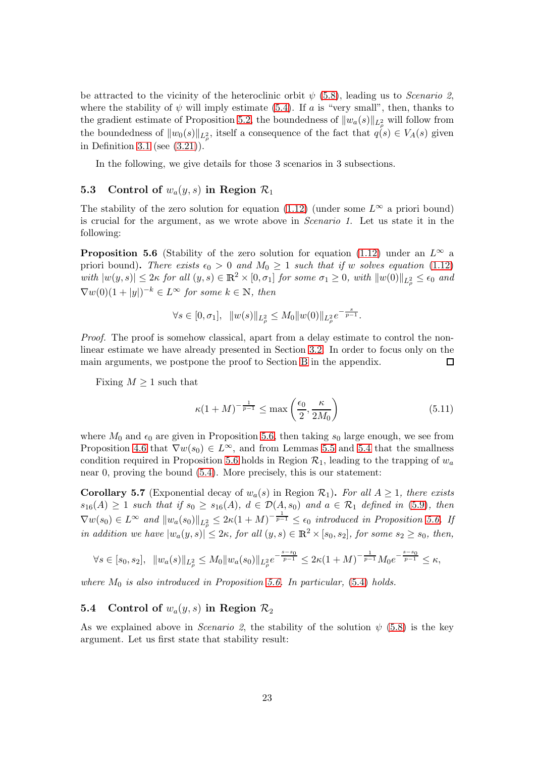be attracted to the vicinity of the heteroclinic orbit  $\psi$  [\(5.8\)](#page-20-0), leading us to *Scenario* 2. where the stability of  $\psi$  will imply estimate [\(5.4\)](#page-20-1). If a is "very small", then, thanks to the gradient estimate of Proposition [5.2,](#page-19-2) the boundedness of  $||w_a(s)||_{L^2_{\rho}}$  will follow from the boundedness of  $||w_0(s)||_{L^2_{\rho}}$ , itself a consequence of the fact that  $q(s) \in V_A(s)$  given in Definition [3.1](#page-15-4) (see [\(3.21\)](#page-15-0)).

In the following, we give details for those 3 scenarios in 3 subsections.

### 5.3 Control of  $w_a(y, s)$  in Region  $\mathcal{R}_1$

The stability of the zero solution for equation [\(1.12\)](#page-3-1) (under some  $L^{\infty}$  a priori bound) is crucial for the argument, as we wrote above in Scenario 1. Let us state it in the following:

<span id="page-22-0"></span>**Proposition 5.6** (Stability of the zero solution for equation [\(1.12\)](#page-3-1) under an  $L^{\infty}$  a priori bound). There exists  $\epsilon_0 > 0$  and  $M_0 \ge 1$  such that if w solves equation [\(1.12\)](#page-3-1) with  $|w(y, s)| \leq 2\kappa$  for all  $(y, s) \in \mathbb{R}^2 \times [0, \sigma_1]$  for some  $\sigma_1 \geq 0$ , with  $||w(0)||_{L^2_{\rho}} \leq \epsilon_0$  and  $\nabla w(0)(1+|y|)^{-k} \in L^{\infty}$  for some  $k \in \mathbb{N}$ , then

$$
\forall s \in [0, \sigma_1], \ \ \|w(s)\|_{L^2_\rho} \leq M_0 \|w(0)\|_{L^2_\rho} e^{-\frac{s}{p-1}}.
$$

Proof. The proof is somehow classical, apart from a delay estimate to control the nonlinear estimate we have already presented in Section [3.2.](#page-14-3) In order to focus only on the main arguments, we postpone the proof to Section [B](#page-53-0) in the appendix.  $\Box$ 

Fixing  $M \geq 1$  such that

<span id="page-22-1"></span>
$$
\kappa (1+M)^{-\frac{1}{p-1}} \le \max\left(\frac{\epsilon_0}{2}, \frac{\kappa}{2M_0}\right) \tag{5.11}
$$

where  $M_0$  and  $\epsilon_0$  are given in Proposition [5.6,](#page-22-0) then taking  $s_0$  large enough, we see from Proposition [4.6](#page-18-3) that  $\nabla w(s_0) \in L^{\infty}$ , and from Lemmas [5.5](#page-21-0) and [5.4](#page-20-5) that the smallness condition required in Proposition [5.6](#page-22-0) holds in Region  $\mathcal{R}_1$ , leading to the trapping of  $w_a$ near 0, proving the bound [\(5.4\)](#page-20-1). More precisely, this is our statement:

<span id="page-22-2"></span>**Corollary 5.7** (Exponential decay of  $w_a(s)$  in Region  $\mathcal{R}_1$ ). For all  $A \geq 1$ , there exists  $s_{16}(A) \geq 1$  such that if  $s_0 \geq s_{16}(A)$ ,  $d \in \mathcal{D}(A, s_0)$  and  $a \in \mathcal{R}_1$  defined in [\(5.9\)](#page-21-1), then  $\nabla w(s_0) \in L^{\infty}$  and  $||w_a(s_0)||_{L^2_{\rho}} \leq 2\kappa(1+M)^{-\frac{1}{p-1}} \leq \epsilon_0$  introduced in Proposition [5.6.](#page-22-0) If in addition we have  $|w_a(y, s)| \leq 2\kappa$ , for all  $(y, s) \in \mathbb{R}^2 \times [s_0, s_2]$ , for some  $s_2 \geq s_0$ , then,

$$
\forall s \in [s_0, s_2], \ \ \|w_a(s)\|_{L^2_\rho} \leq M_0 \|w_a(s_0)\|_{L^2_\rho} e^{-\frac{s-s_0}{p-1}} \leq 2\kappa(1+M)^{-\frac{1}{p-1}} M_0 e^{-\frac{s-s_0}{p-1}} \leq \kappa,
$$

where  $M_0$  is also introduced in Proposition [5.6.](#page-22-0) In particular, [\(5.4\)](#page-20-1) holds.

## 5.4 Control of  $w_a(y, s)$  in Region  $\mathcal{R}_2$

As we explained above in *Scenario 2*, the stability of the solution  $\psi$  [\(5.8\)](#page-20-0) is the key argument. Let us first state that stability result: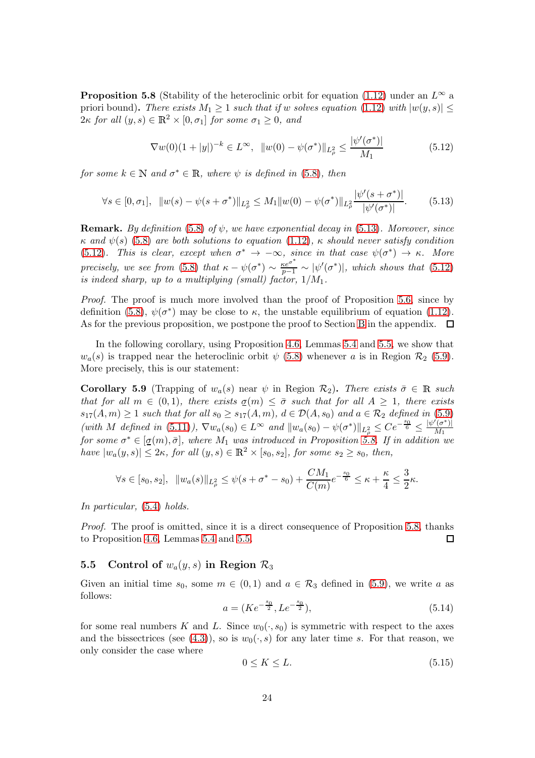<span id="page-23-0"></span>**Proposition 5.8** (Stability of the heteroclinic orbit for equation [\(1.12\)](#page-3-1) under an  $L^{\infty}$  a priori bound). There exists  $M_1 \geq 1$  such that if w solves equation [\(1.12\)](#page-3-1) with  $|w(y, s)| \leq$  $2\kappa$  for all  $(y, s) \in \mathbb{R}^2 \times [0, \sigma_1]$  for some  $\sigma_1 \geq 0$ , and

<span id="page-23-2"></span>
$$
\nabla w(0)(1+|y|)^{-k} \in L^{\infty}, \quad \|w(0) - \psi(\sigma^*)\|_{L^2_{\rho}} \le \frac{|\psi'(\sigma^*)|}{M_1} \tag{5.12}
$$

for some  $k \in \mathbb{N}$  and  $\sigma^* \in \mathbb{R}$ , where  $\psi$  is defined in [\(5.8\)](#page-20-0), then

<span id="page-23-1"></span>
$$
\forall s \in [0, \sigma_1], \ \ \|w(s) - \psi(s + \sigma^*)\|_{L^2_{\rho}} \le M_1 \|w(0) - \psi(\sigma^*)\|_{L^2_{\rho}} \frac{|\psi'(s + \sigma^*)|}{|\psi'(\sigma^*)|}.\tag{5.13}
$$

**Remark.** By definition [\(5.8\)](#page-20-0) of  $\psi$ , we have exponential decay in [\(5.13\)](#page-23-1). Moreover, since κ and  $\psi(s)$  [\(5.8\)](#page-20-0) are both solutions to equation [\(1.12\)](#page-3-1), κ should never satisfy condition [\(5.12\)](#page-23-2). This is clear, except when  $\sigma^* \to -\infty$ , since in that case  $\psi(\sigma^*) \to \kappa$ . More precisely, we see from [\(5.8\)](#page-20-0) that  $\kappa - \psi(\sigma^*) \sim \frac{\kappa e^{\sigma^*}}{p-1} \sim |\psi'(\sigma^*)|$ , which shows that [\(5.12\)](#page-23-2) is indeed sharp, up to a multiplying (small) factor,  $1/M_1$ .

Proof. The proof is much more involved than the proof of Proposition [5.6,](#page-22-0) since by definition [\(5.8\)](#page-20-0),  $\psi(\sigma^*)$  may be close to  $\kappa$ , the unstable equilibrium of equation [\(1.12\)](#page-3-1). As for the previous proposition, we postpone the proof to Section [B](#page-53-0) in the appendix.  $\Box$ 

In the following corollary, using Proposition [4.6,](#page-18-3) Lemmas [5.4](#page-20-5) and [5.5,](#page-21-0) we show that  $w_a(s)$  is trapped near the heteroclinic orbit  $\psi$  [\(5.8\)](#page-20-0) whenever a is in Region  $\mathcal{R}_2$  [\(5.9\)](#page-21-1). More precisely, this is our statement:

<span id="page-23-4"></span>**Corollary 5.9** (Trapping of  $w_a(s)$  near  $\psi$  in Region  $\mathcal{R}_2$ ). There exists  $\bar{\sigma} \in \mathbb{R}$  such that for all  $m \in (0,1)$ , there exists  $\underline{\sigma}(m) \leq \overline{\sigma}$  such that for all  $A \geq 1$ , there exists  $s_{17}(A,m) \geq 1$  such that for all  $s_0 \geq s_{17}(A,m)$ ,  $d \in \mathcal{D}(A,s_0)$  and  $a \in \mathcal{R}_2$  defined in [\(5.9\)](#page-21-1) (with M defined in [\(5.11\)](#page-22-1)),  $\nabla w_a(s_0) \in L^{\infty}$  and  $||w_a(s_0) - \psi(\sigma^*)||_{L^2_{\rho}} \leq Ce^{-\frac{s_0}{6}} \leq \frac{|\psi'(a^*)|}{M_1}$ for some  $\sigma^* \in [\sigma(m), \bar{\sigma}]$ , where  $M_1$  was introduced in Proposition [5.8.](#page-23-0) If in addition we have  $|w_a(y, s)| \leq 2\kappa$ , for all  $(y, s) \in \mathbb{R}^2 \times [s_0, s_2]$ , for some  $s_2 \geq s_0$ , then,

$$
\forall s \in [s_0, s_2], \ \ \|w_a(s)\|_{L^2_{\rho}} \leq \psi(s + \sigma^* - s_0) + \frac{CM_1}{C(m)} e^{-\frac{s_0}{6}} \leq \kappa + \frac{\kappa}{4} \leq \frac{3}{2}\kappa.
$$

In particular, [\(5.4\)](#page-20-1) holds.

Proof. The proof is omitted, since it is a direct consequence of Proposition [5.8,](#page-23-0) thanks to Proposition [4.6,](#page-18-3) Lemmas [5.4](#page-20-5) and [5.5.](#page-21-0)  $\Box$ 

#### <span id="page-23-5"></span>5.5 Control of  $w_a(y, s)$  in Region  $\mathcal{R}_3$

Given an initial time  $s_0$ , some  $m \in (0,1)$  and  $a \in \mathcal{R}_3$  defined in  $(5.9)$ , we write a as follows:

<span id="page-23-3"></span>
$$
a = (Ke^{-\frac{s_0}{2}}, Le^{-\frac{s_0}{2}}),\tag{5.14}
$$

for some real numbers K and L. Since  $w_0(\cdot, s_0)$  is symmetric with respect to the axes and the bissectrices (see [\(4.3\)](#page-18-1)), so is  $w_0(\cdot, s)$  for any later time s. For that reason, we only consider the case where

$$
0 \le K \le L. \tag{5.15}
$$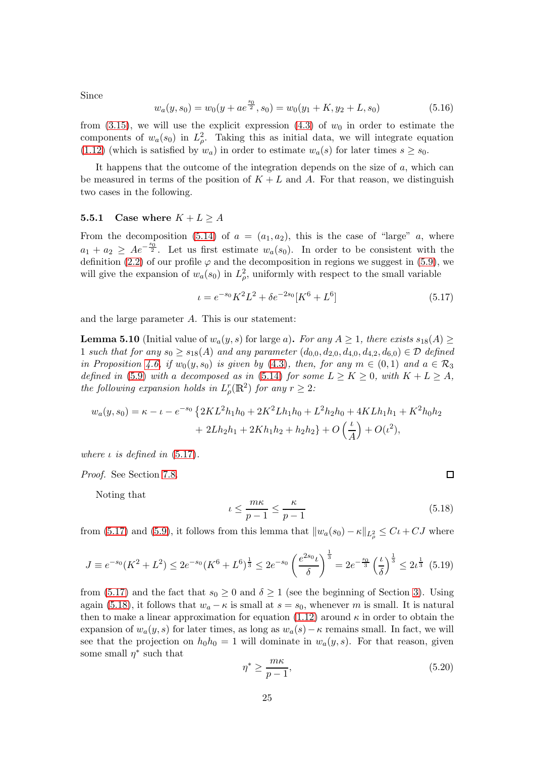Since

<span id="page-24-3"></span>
$$
w_a(y, s_0) = w_0(y + ae^{\frac{s_0}{2}}, s_0) = w_0(y_1 + K, y_2 + L, s_0)
$$
\n
$$
(5.16)
$$

from  $(3.15)$ , we will use the explicit expression  $(4.3)$  of  $w_0$  in order to estimate the components of  $w_a(s_0)$  in  $L^2_{\rho}$ . Taking this as initial data, we will integrate equation [\(1.12\)](#page-3-1) (which is satisfied by  $w_a$ ) in order to estimate  $w_a(s)$  for later times  $s \geq s_0$ .

It happens that the outcome of the integration depends on the size of  $a$ , which can be measured in terms of the position of  $K + L$  and A. For that reason, we distinguish two cases in the following.

#### <span id="page-24-4"></span>5.5.1 Case where  $K + L \geq A$

From the decomposition [\(5.14\)](#page-23-3) of  $a = (a_1, a_2)$ , this is the case of "large" a, where  $a_1 + a_2 \geq Ae^{-\frac{s_0^2}{2}}$ . Let us first estimate  $w_a(s_0)$ . In order to be consistent with the definition [\(2.2\)](#page-9-1) of our profile  $\varphi$  and the decomposition in regions we suggest in [\(5.9\)](#page-21-1), we will give the expansion of  $w_a(s_0)$  in  $L^2_{\rho}$ , uniformly with respect to the small variable

<span id="page-24-0"></span>
$$
\iota = e^{-s_0} K^2 L^2 + \delta e^{-2s_0} [K^6 + L^6]
$$
\n(5.17)

and the large parameter A. This is our statement:

<span id="page-24-5"></span>**Lemma 5.10** (Initial value of  $w_a(y, s)$  for large a). For any  $A \geq 1$ , there exists  $s_{18}(A) \geq$ 1 such that for any  $s_0 \ge s_{18}(A)$  and any parameter  $(d_{0,0}, d_{2,0}, d_{4,0}, d_{4,2}, d_{6,0}) \in \mathcal{D}$  defined in Proposition [4.6,](#page-18-3) if  $w_0(y, s_0)$  is given by [\(4.3\)](#page-18-1), then, for any  $m \in (0,1)$  and  $a \in \mathcal{R}_3$ defined in [\(5.9\)](#page-21-1) with a decomposed as in [\(5.14\)](#page-23-3) for some  $L \geq K \geq 0$ , with  $K + L \geq A$ , the following expansion holds in  $L^r_\rho(\mathbb{R}^2)$  for any  $r \geq 2$ :

$$
w_a(y, s_0) = \kappa - \iota - e^{-s_0} \left\{ 2KL^2h_1h_0 + 2K^2Lh_1h_0 + L^2h_2h_0 + 4KLh_1h_1 + K^2h_0h_2 + 2Lh_2h_1 + 2Kh_1h_2 + h_2h_2 \right\} + O\left(\frac{\iota}{A}\right) + O(\iota^2),
$$

where  $\iota$  is defined in  $(5.17)$ .

Proof. See Section [7.8.](#page-45-1)

Noting that

<span id="page-24-1"></span>
$$
\iota \le \frac{m\kappa}{p-1} \le \frac{\kappa}{p-1} \tag{5.18}
$$

from [\(5.17\)](#page-24-0) and [\(5.9\)](#page-21-1), it follows from this lemma that  $||w_a(s_0) - \kappa||_{L^2_{\rho}} \leq C\iota + CJ$  where

<span id="page-24-6"></span>
$$
J \equiv e^{-s_0}(K^2 + L^2) \le 2e^{-s_0}(K^6 + L^6)^{\frac{1}{3}} \le 2e^{-s_0}\left(\frac{e^{2s_0}L}{\delta}\right)^{\frac{1}{3}} = 2e^{-\frac{s_0}{3}}\left(\frac{L}{\delta}\right)^{\frac{1}{3}} \le 2L^{\frac{1}{3}} \tag{5.19}
$$

from [\(5.17\)](#page-24-0) and the fact that  $s_0 \geq 0$  and  $\delta \geq 1$  (see the beginning of Section [3\)](#page-12-0). Using again [\(5.18\)](#page-24-1), it follows that  $w_a - \kappa$  is small at  $s = s_0$ , whenever m is small. It is natural then to make a linear approximation for equation [\(1.12\)](#page-3-1) around  $\kappa$  in order to obtain the expansion of  $w_a(y, s)$  for later times, as long as  $w_a(s) - \kappa$  remains small. In fact, we will see that the projection on  $h_0h_0 = 1$  will dominate in  $w_a(y, s)$ . For that reason, given some small  $\eta^*$  such that

<span id="page-24-2"></span>
$$
\eta^* \ge \frac{m\kappa}{p-1},\tag{5.20}
$$

□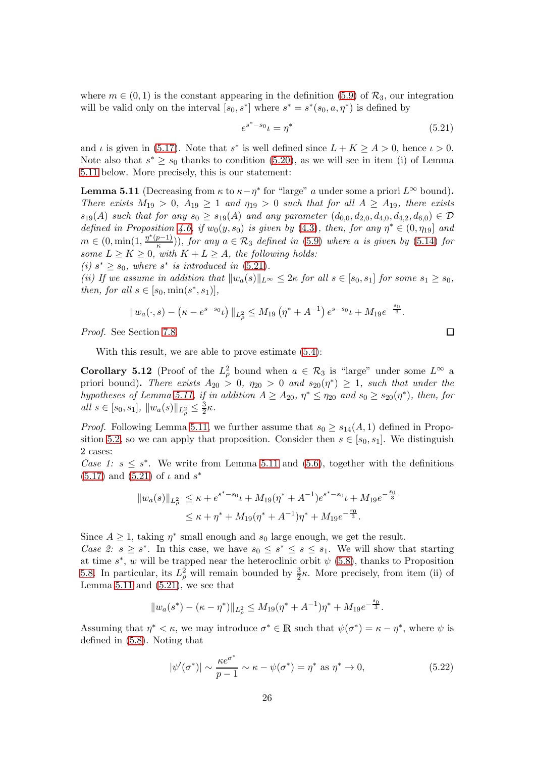where  $m \in (0, 1)$  is the constant appearing in the definition [\(5.9\)](#page-21-1) of  $\mathcal{R}_3$ , our integration will be valid only on the interval  $[s_0, s^*]$  where  $s^* = s^*(s_0, a, \eta^*)$  is defined by

<span id="page-25-1"></span>
$$
e^{s^* - s_0} \iota = \eta^* \tag{5.21}
$$

and  $\iota$  is given in [\(5.17\)](#page-24-0). Note that  $s^*$  is well defined since  $L + K \geq A > 0$ , hence  $\iota > 0$ . Note also that  $s^* \geq s_0$  thanks to condition [\(5.20\)](#page-24-2), as we will see in item (i) of Lemma [5.11](#page-25-0) below. More precisely, this is our statement:

<span id="page-25-0"></span>**Lemma 5.11** (Decreasing from  $\kappa$  to  $\kappa - \eta^*$  for "large" a under some a priori  $L^{\infty}$  bound). There exists  $M_{19} > 0$ ,  $A_{19} \geq 1$  and  $\eta_{19} > 0$  such that for all  $A \geq A_{19}$ , there exists  $s_{19}(A)$  such that for any  $s_0 \geq s_{19}(A)$  and any parameter  $(d_{0,0}, d_{2,0}, d_{4,0}, d_{4,2}, d_{6,0}) \in \mathcal{D}$ defined in Proposition [4.6,](#page-18-3) if  $w_0(y, s_0)$  is given by [\(4.3\)](#page-18-1), then, for any  $\eta^* \in (0, \eta_{19}]$  and  $m \in (0, \min(1, \frac{\eta^*(p-1)}{\kappa}))$ , for any  $a \in \mathcal{R}_3$  defined in [\(5.9\)](#page-21-1) where a is given by [\(5.14\)](#page-23-3) for some  $L \ge K \ge 0$ , with  $K + L \ge A$ , the following holds:

(i)  $s^* \geq s_0$ , where  $s^*$  is introduced in [\(5.21\)](#page-25-1).

(ii) If we assume in addition that  $||w_a(s)||_{L^{\infty}} \leq 2\kappa$  for all  $s \in [s_0, s_1]$  for some  $s_1 \geq s_0$ , then, for all  $s \in [s_0, \min(s^*, s_1)],$ 

$$
||w_a(\cdot,s) - (\kappa - e^{s-s_0} \iota) ||_{L^2_\rho} \le M_{19} \left( \eta^* + A^{-1} \right) e^{s-s_0} \iota + M_{19} e^{-\frac{s_0}{3}}.
$$

Proof. See Section [7.8.](#page-45-1)

With this result, we are able to prove estimate [\(5.4\)](#page-20-1):

<span id="page-25-2"></span>**Corollary 5.12** (Proof of the  $L^2_\rho$  bound when  $a \in \mathcal{R}_3$  is "large" under some  $L^\infty$  a priori bound). There exists  $A_{20} > 0$ ,  $\eta_{20} > 0$  and  $s_{20}(\eta^*) \geq 1$ , such that under the hypotheses of Lemma [5.11,](#page-25-0) if in addition  $A \geq A_{20}$ ,  $\eta^* \leq \eta_{20}$  and  $s_0 \geq s_{20}(\eta^*)$ , then, for all  $s \in [s_0, s_1], ||w_a(s)||_{L^2_\rho} \leq \frac{3}{2}$  $\frac{3}{2}\kappa$ .

*Proof.* Following Lemma [5.11,](#page-25-0) we further assume that  $s_0 \geq s_{14}(A, 1)$  defined in Propo-sition [5.2,](#page-19-2) so we can apply that proposition. Consider then  $s \in [s_0, s_1]$ . We distinguish 2 cases:

Case 1:  $s \leq s^*$ . We write from Lemma [5.11](#page-25-0) and [\(5.6\)](#page-20-7), together with the definitions  $(5.17)$  and  $(5.21)$  of  $\iota$  and  $s^*$ 

$$
||w_a(s)||_{L^2_{\rho}} \le \kappa + e^{s^* - s_0} \iota + M_{19}(\eta^* + A^{-1})e^{s^* - s_0} \iota + M_{19}e^{-\frac{s_0}{3}}
$$
  

$$
\le \kappa + \eta^* + M_{19}(\eta^* + A^{-1})\eta^* + M_{19}e^{-\frac{s_0}{3}}.
$$

Since  $A \geq 1$ , taking  $\eta^*$  small enough and  $s_0$  large enough, we get the result.

Case 2:  $s \geq s^*$ . In this case, we have  $s_0 \leq s^* \leq s \leq s_1$ . We will show that starting at time  $s^*$ , w will be trapped near the heteroclinic orbit  $\psi$  [\(5.8\)](#page-20-0), thanks to Proposition [5.8.](#page-23-0) In particular, its  $L^2_\rho$  will remain bounded by  $\frac{3}{2}\kappa$ . More precisely, from item (ii) of Lemma  $5.11$  and  $(5.21)$ , we see that

$$
||w_a(s^*) - (\kappa - \eta^*)||_{L^2_{\rho}} \le M_{19}(\eta^* + A^{-1})\eta^* + M_{19}e^{-\frac{s_0}{3}}.
$$

Assuming that  $\eta^* < \kappa$ , we may introduce  $\sigma^* \in \mathbb{R}$  such that  $\psi(\sigma^*) = \kappa - \eta^*$ , where  $\psi$  is defined in [\(5.8\)](#page-20-0). Noting that

<span id="page-25-3"></span>
$$
|\psi'(\sigma^*)| \sim \frac{\kappa e^{\sigma^*}}{p-1} \sim \kappa - \psi(\sigma^*) = \eta^* \text{ as } \eta^* \to 0,
$$
 (5.22)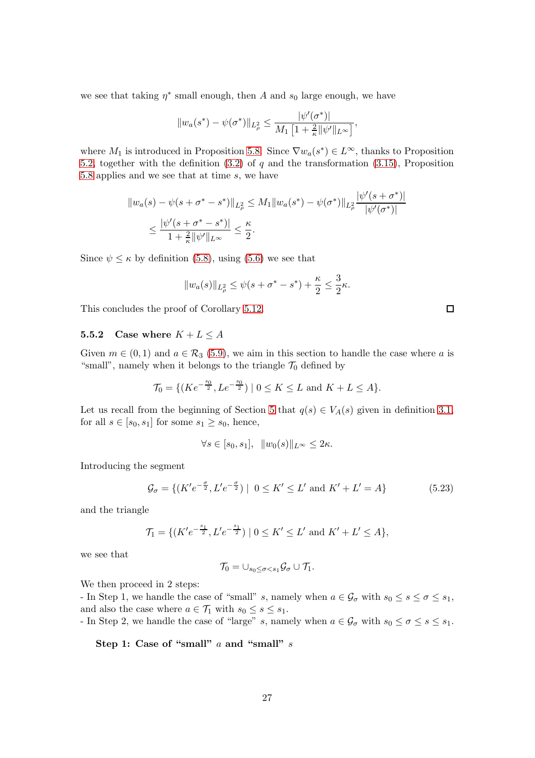we see that taking  $\eta^*$  small enough, then A and  $s_0$  large enough, we have

$$
||w_a(s^*) - \psi(\sigma^*)||_{L^2_{\rho}} \leq \frac{|\psi'(\sigma^*)|}{M_1 \left[1 + \frac{2}{\kappa} ||\psi'||_{L^{\infty}}\right]},
$$

where  $M_1$  is introduced in Proposition [5.8.](#page-23-0) Since  $\nabla w_a(s^*) \in L^{\infty}$ , thanks to Proposition [5.2,](#page-19-2) together with the definition  $(3.2)$  of q and the transformation  $(3.15)$ , Proposition [5.8](#page-23-0) applies and we see that at time s, we have

$$
||w_a(s) - \psi(s + \sigma^* - s^*)||_{L^2_{\rho}} \le M_1 ||w_a(s^*) - \psi(\sigma^*)||_{L^2_{\rho}} \frac{|\psi'(s + \sigma^*)|}{|\psi'(\sigma^*)|}
$$
  

$$
\le \frac{|\psi'(s + \sigma^* - s^*)|}{1 + \frac{2}{\kappa} ||\psi'||_{L^{\infty}}} \le \frac{\kappa}{2}.
$$

Since  $\psi \leq \kappa$  by definition [\(5.8\)](#page-20-0), using [\(5.6\)](#page-20-7) we see that

$$
||w_a(s)||_{L^2_{\rho}} \le \psi(s + \sigma^* - s^*) + \frac{\kappa}{2} \le \frac{3}{2}\kappa.
$$

This concludes the proof of Corollary [5.12.](#page-25-2)

#### 5.5.2 Case where  $K + L \leq A$

Given  $m \in (0,1)$  and  $a \in \mathcal{R}_3$  [\(5.9\)](#page-21-1), we aim in this section to handle the case where a is "small", namely when it belongs to the triangle  $\mathcal{T}_0$  defined by

$$
\mathcal{T}_0 = \{ (Ke^{-\frac{s_0}{2}}, Le^{-\frac{s_0}{2}}) \mid 0 \le K \le L \text{ and } K + L \le A \}.
$$

Let us recall from the beginning of Section [5](#page-19-0) that  $q(s) \in V_A(s)$  given in definition [3.1,](#page-15-4) for all  $s \in [s_0, s_1]$  for some  $s_1 \geq s_0$ , hence,

$$
\forall s \in [s_0, s_1], \ \ \|w_0(s)\|_{L^\infty} \leq 2\kappa.
$$

Introducing the segment

<span id="page-26-0"></span>
$$
\mathcal{G}_{\sigma} = \{ (K'e^{-\frac{\sigma}{2}}, L'e^{-\frac{\sigma}{2}}) \mid 0 \le K' \le L' \text{ and } K' + L' = A \}
$$
 (5.23)

and the triangle

$$
\mathcal{T}_1 = \{ (K'e^{-\frac{s_1}{2}}, L'e^{-\frac{s_1}{2}}) \mid 0 \le K' \le L' \text{ and } K' + L' \le A \},\
$$

we see that

$$
\mathcal{T}_0=\cup_{s_0\leq \sigma
$$

We then proceed in 2 steps:

- In Step 1, we handle the case of "small" s, namely when  $a \in \mathcal{G}_{\sigma}$  with  $s_0 \leq s \leq \sigma \leq s_1$ , and also the case where  $a \in \mathcal{T}_1$  with  $s_0 \leq s \leq s_1$ .

- In Step 2, we handle the case of "large" s, namely when  $a \in \mathcal{G}_{\sigma}$  with  $s_0 \le \sigma \le s \le s_1$ .

Step 1: Case of "small" a and "small" s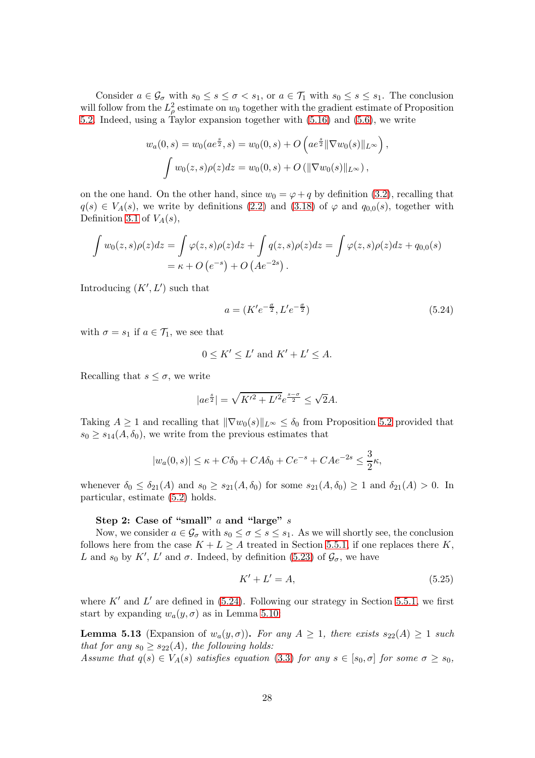Consider  $a \in \mathcal{G}_{\sigma}$  with  $s_0 \leq s \leq \sigma < s_1$ , or  $a \in \mathcal{T}_1$  with  $s_0 \leq s \leq s_1$ . The conclusion will follow from the  $L^2_\rho$  estimate on  $w_0$  together with the gradient estimate of Proposition [5.2.](#page-19-2) Indeed, using a Taylor expansion together with [\(5.16\)](#page-24-3) and [\(5.6\)](#page-20-7), we write

$$
w_a(0, s) = w_0(ae^{\frac{s}{2}}, s) = w_0(0, s) + O\left(ae^{\frac{s}{2}} \|\nabla w_0(s)\|_{L^\infty}\right),
$$
  

$$
\int w_0(z, s)\rho(z)dz = w_0(0, s) + O\left(\|\nabla w_0(s)\|_{L^\infty}\right),
$$

on the one hand. On the other hand, since  $w_0 = \varphi + q$  by definition [\(3.2\)](#page-12-1), recalling that  $q(s) \in V_A(s)$ , we write by definitions [\(2.2\)](#page-9-1) and [\(3.18\)](#page-15-5) of  $\varphi$  and  $q_{0,0}(s)$ , together with Definition [3.1](#page-15-4) of  $V_A(s)$ ,

$$
\int w_0(z,s)\rho(z)dz = \int \varphi(z,s)\rho(z)dz + \int q(z,s)\rho(z)dz = \int \varphi(z,s)\rho(z)dz + q_{0,0}(s)
$$
  
=  $\kappa + O(e^{-s}) + O(Ae^{-2s}).$ 

Introducing  $(K', L')$  such that

<span id="page-27-0"></span>
$$
a = (K'e^{-\frac{\sigma}{2}}, L'e^{-\frac{\sigma}{2}})
$$
\n(5.24)

with  $\sigma = s_1$  if  $a \in \mathcal{T}_1$ , we see that

$$
0 \leq K' \leq L' \text{ and } K' + L' \leq A.
$$

Recalling that  $s \leq \sigma$ , we write

$$
|ae^{\frac{s}{2}}| = \sqrt{K'^2 + L'^2}e^{\frac{s-\sigma}{2}} \le \sqrt{2}A.
$$

Taking  $A \geq 1$  and recalling that  $\|\nabla w_0(s)\|_{L^\infty} \leq \delta_0$  from Proposition [5.2](#page-19-2) provided that  $s_0 \geq s_{14}(A, \delta_0)$ , we write from the previous estimates that

$$
|w_a(0,s)| \le \kappa + C\delta_0 + CA\delta_0 + Ce^{-s} + CAe^{-2s} \le \frac{3}{2}\kappa,
$$

whenever  $\delta_0 \leq \delta_{21}(A)$  and  $s_0 \geq s_{21}(A, \delta_0)$  for some  $s_{21}(A, \delta_0) \geq 1$  and  $\delta_{21}(A) > 0$ . In particular, estimate [\(5.2\)](#page-19-1) holds.

#### Step 2: Case of "small"  $a$  and "large"  $s$

Now, we consider  $a \in \mathcal{G}_{\sigma}$  with  $s_0 \leq \sigma \leq s \leq s_1$ . As we will shortly see, the conclusion follows here from the case  $K + L \geq A$  treated in Section [5.5.1,](#page-24-4) if one replaces there K, L and  $s_0$  by K', L' and  $\sigma$ . Indeed, by definition [\(5.23\)](#page-26-0) of  $\mathcal{G}_{\sigma}$ , we have

<span id="page-27-1"></span>
$$
K' + L' = A,\tag{5.25}
$$

where  $K'$  and  $L'$  are defined in  $(5.24)$ . Following our strategy in Section [5.5.1,](#page-24-4) we first start by expanding  $w_a(y, \sigma)$  as in Lemma [5.10:](#page-24-5)

<span id="page-27-2"></span>**Lemma 5.13** (Expansion of  $w_a(y, \sigma)$ ). For any  $A \geq 1$ , there exists  $s_{22}(A) \geq 1$  such that for any  $s_0 \geq s_{22}(A)$ , the following holds:

Assume that  $q(s) \in V_A(s)$  satisfies equation [\(3.3\)](#page-12-2) for any  $s \in [s_0, \sigma]$  for some  $\sigma \geq s_0$ ,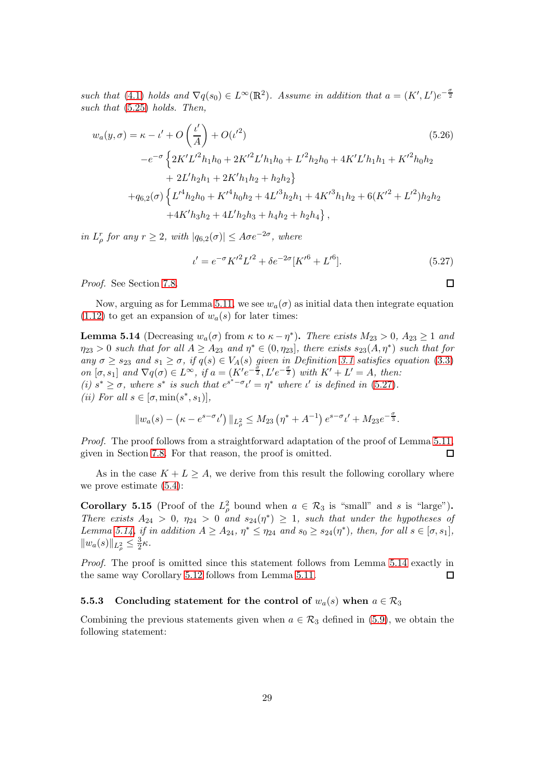such that [\(4.1\)](#page-16-2) holds and  $\nabla q(s_0) \in L^{\infty}(\mathbb{R}^2)$ . Assume in addition that  $a = (K', L')e^{-\frac{\sigma}{2}}$ such that  $(5.25)$  holds. Then,

$$
w_a(y,\sigma) = \kappa - \iota' + O\left(\frac{\iota'}{A}\right) + O(\iota'^2)
$$
\n
$$
-e^{-\sigma} \left\{ 2K'L'^2 h_1 h_0 + 2K'^2 L' h_1 h_0 + L'^2 h_2 h_0 + 4K'L' h_1 h_1 + K'^2 h_0 h_2 + 2L' h_2 h_1 + 2K' h_1 h_2 + h_2 h_2 \right\}
$$
\n
$$
+ q_{6,2}(\sigma) \left\{ L'^4 h_2 h_0 + K'^4 h_0 h_2 + 4L'^3 h_2 h_1 + 4K'^3 h_1 h_2 + 6(K'^2 + L'^2) h_2 h_2 + 4K' h_3 h_2 + 4L' h_2 h_3 + h_4 h_2 + h_2 h_4 \right\},
$$
\n(5.26)

in  $L^r_\rho$  for any  $r \geq 2$ , with  $|q_{6,2}(\sigma)| \leq A\sigma e^{-2\sigma}$ , where

<span id="page-28-0"></span>
$$
\iota' = e^{-\sigma} K'^2 L'^2 + \delta e^{-2\sigma} [K'^6 + L'^6]. \tag{5.27}
$$

<span id="page-28-3"></span> $\Box$ 

Proof. See Section [7.8.](#page-45-1)

Now, arguing as for Lemma [5.11,](#page-25-0) we see  $w_a(\sigma)$  as initial data then integrate equation  $(1.12)$  to get an expansion of  $w_a(s)$  for later times:

<span id="page-28-1"></span>**Lemma 5.14** (Decreasing  $w_a(\sigma)$  from  $\kappa$  to  $\kappa - \eta^*$ ). There exists  $M_{23} > 0$ ,  $A_{23} \ge 1$  and  $\eta_{23} > 0$  such that for all  $A \geq A_{23}$  and  $\eta^* \in (0, \eta_{23}]$ , there exists  $s_{23}(A, \eta^*)$  such that for any  $\sigma \geq s_{23}$  and  $s_1 \geq \sigma$ , if  $q(s) \in V_A(s)$  given in Definition [3.1](#page-15-4) satisfies equation [\(3.3\)](#page-12-2) on  $[\sigma, s_1]$  and  $\nabla q(\sigma) \in L^{\infty}$ , if  $a = (K'e^{-\frac{\sigma}{2}}, L'e^{-\frac{\sigma}{2}})$  with  $K' + L' = A$ , then: (i)  $s^* \geq \sigma$ , where  $s^*$  is such that  $e^{s^*-\sigma} \iota' = \eta^*$  where  $\iota'$  is defined in [\(5.27\)](#page-28-0). (*ii*) For all  $s \in [\sigma, \min(s^*, s_1)],$ 

$$
||w_a(s) - (\kappa - e^{s - \sigma} \iota')||_{L^2_{\rho}} \le M_{23} (\eta^* + A^{-1}) e^{s - \sigma} \iota' + M_{23} e^{-\frac{\sigma}{3}}.
$$

Proof. The proof follows from a straightforward adaptation of the proof of Lemma [5.11,](#page-25-0) given in Section [7.8.](#page-45-1) For that reason, the proof is omitted. 口

As in the case  $K + L \geq A$ , we derive from this result the following corollary where we prove estimate [\(5.4\)](#page-20-1):

<span id="page-28-2"></span>**Corollary 5.15** (Proof of the  $L^2_\rho$  bound when  $a \in \mathcal{R}_3$  is "small" and s is "large"). There exists  $A_{24} > 0$ ,  $\eta_{24} > 0$  and  $s_{24}(\eta^*) \geq 1$ , such that under the hypotheses of Lemma [5.14,](#page-28-1) if in addition  $A \geq A_{24}$ ,  $\eta^* \leq \eta_{24}$  and  $s_0 \geq s_{24}(\eta^*)$ , then, for all  $s \in [\sigma, s_1]$ ,  $||w_a(s)||_{L^2_{\rho}} \leq \frac{3}{2}$  $\frac{3}{2}\kappa$ .

Proof. The proof is omitted since this statement follows from Lemma [5.14](#page-28-1) exactly in the same way Corollary [5.12](#page-25-2) follows from Lemma [5.11.](#page-25-0)  $\Box$ 

#### 5.5.3 Concluding statement for the control of  $w_a(s)$  when  $a \in \mathcal{R}_3$

Combining the previous statements given when  $a \in \mathcal{R}_3$  defined in [\(5.9\)](#page-21-1), we obtain the following statement: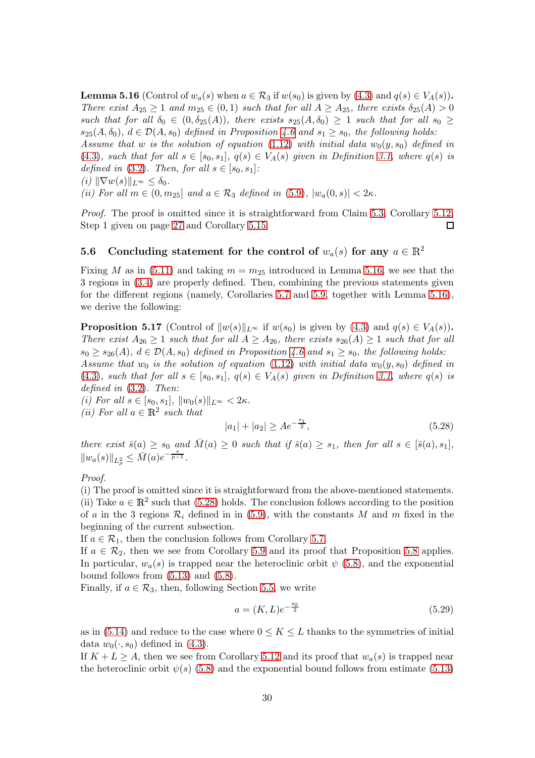<span id="page-29-0"></span>**Lemma 5.16** (Control of  $w_a(s)$  when  $a \in \mathcal{R}_3$  if  $w(s_0)$  is given by [\(4.3\)](#page-18-1) and  $q(s) \in V_A(s)$ ). There exist  $A_{25} \geq 1$  and  $m_{25} \in (0,1)$  such that for all  $A \geq A_{25}$ , there exists  $\delta_{25}(A) > 0$ such that for all  $\delta_0 \in (0, \delta_{25}(A))$ , there exists  $s_{25}(A, \delta_0) \geq 1$  such that for all  $s_0 \geq$  $s_{25}(A, \delta_0), d \in \mathcal{D}(A, s_0)$  defined in Proposition [4.6](#page-18-3) and  $s_1 \geq s_0$ , the following holds: Assume that w is the solution of equation [\(1.12\)](#page-3-1) with initial data  $w_0(y, s_0)$  defined in [\(4.3\)](#page-18-1), such that for all  $s \in [s_0, s_1], q(s) \in V_A(s)$  given in Definition [3.1,](#page-15-4) where  $q(s)$  is defined in [\(3.2\)](#page-12-1). Then, for all  $s \in [s_0, s_1]$ : (i)  $\|\nabla w(s)\|_{L^{\infty}} \leq \delta_0.$ 

(ii) For all  $m \in (0, m_{25}]$  and  $a \in \mathcal{R}_3$  defined in [\(5.9\)](#page-21-1),  $|w_a(0, s)| < 2\kappa$ .

Proof. The proof is omitted since it is straightforward from Claim [5.3,](#page-20-3) Corollary [5.12,](#page-25-2) Step 1 given on page [27](#page-26-0) and Corollary [5.15.](#page-28-2) □

## 5.6 Concluding statement for the control of  $w_a(s)$  for any  $a \in \mathbb{R}^2$

Fixing M as in [\(5.11\)](#page-22-1) and taking  $m = m_{25}$  introduced in Lemma [5.16,](#page-29-0) we see that the 3 regions in [\(3.4\)](#page-13-0) are properly defined. Then, combining the previous statements given for the different regions (namely, Corollaries [5.7](#page-22-2) and [5.9,](#page-23-4) together with Lemma [5.16\)](#page-29-0), we derive the following:

<span id="page-29-3"></span>**Proposition 5.17** (Control of  $||w(s)||_{L^{\infty}}$  if  $w(s_0)$  is given by [\(4.3\)](#page-18-1) and  $q(s) \in V_A(s)$ . There exist  $A_{26} \geq 1$  such that for all  $A \geq A_{26}$ , there exists  $s_{26}(A) \geq 1$  such that for all  $s_0 \geq s_{26}(A)$ ,  $d \in \mathcal{D}(A, s_0)$  defined in Proposition [4.6](#page-18-3) and  $s_1 \geq s_0$ , the following holds: Assume that  $w_0$  is the solution of equation [\(1.12\)](#page-3-1) with initial data  $w_0(y, s_0)$  defined in [\(4.3\)](#page-18-1), such that for all  $s \in [s_0, s_1], q(s) \in V_A(s)$  given in Definition [3.1,](#page-15-4) where  $q(s)$  is defined in  $(3.2)$ . Then:

(i) For all  $s \in [s_0, s_1], ||w_0(s)||_{L^{\infty}} < 2\kappa$ . (*ii*) For all  $a \in \mathbb{R}^2$  such that

<span id="page-29-1"></span>
$$
|a_1| + |a_2| \ge A e^{-\frac{s_1}{2}},\tag{5.28}
$$

there exist  $\bar{s}(a) \geq s_0$  and  $\bar{M}(a) \geq 0$  such that if  $\bar{s}(a) \geq s_1$ , then for all  $s \in [\bar{s}(a), s_1]$ ,  $||w_a(s)||_{L^2_{\rho}} \leq \overline{M}(a)e^{-\frac{s}{p-1}}.$ 

Proof.

(i) The proof is omitted since it is straightforward from the above-mentioned statements. (ii) Take  $a \in \mathbb{R}^2$  such that [\(5.28\)](#page-29-1) holds. The conclusion follows according to the position of a in the 3 regions  $\mathcal{R}_i$  defined in in [\(5.9\)](#page-21-1), with the constants M and m fixed in the beginning of the current subsection.

If  $a \in \mathcal{R}_1$ , then the conclusion follows from Corollary [5.7.](#page-22-2)

If  $a \in \mathcal{R}_2$ , then we see from Corollary [5.9](#page-23-4) and its proof that Proposition [5.8](#page-23-0) applies. In particular,  $w_a(s)$  is trapped near the heteroclinic orbit  $\psi$  [\(5.8\)](#page-20-0), and the exponential bound follows from  $(5.13)$  and  $(5.8)$ .

Finally, if  $a \in \mathcal{R}_3$ , then, following Section [5.5,](#page-23-5) we write

<span id="page-29-2"></span>
$$
a = (K, L)e^{-\frac{s_0}{2}}
$$
\n(5.29)

as in [\(5.14\)](#page-23-3) and reduce to the case where  $0 \leq K \leq L$  thanks to the symmetries of initial data  $w_0(\cdot, s_0)$  defined in [\(4.3\)](#page-18-1).

If  $K + L \geq A$ , then we see from Corollary [5.12](#page-25-2) and its proof that  $w_a(s)$  is trapped near the heteroclinic orbit  $\psi(s)$  [\(5.8\)](#page-20-0) and the exponential bound follows from estimate [\(5.13\)](#page-23-1)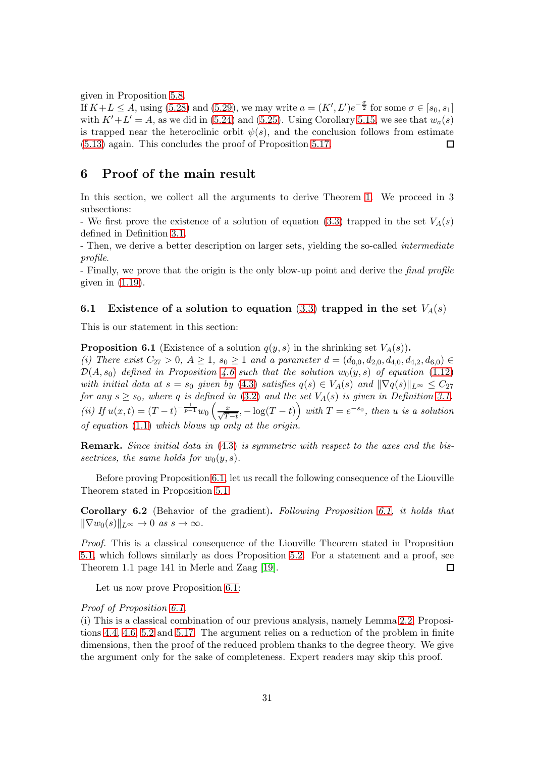given in Proposition [5.8.](#page-23-0)

If  $K+L \leq A$ , using [\(5.28\)](#page-29-1) and [\(5.29\)](#page-29-2), we may write  $a = (K', L')e^{-\frac{\sigma}{2}}$  for some  $\sigma \in [s_0, s_1]$ with  $K'+L'=A$ , as we did in [\(5.24\)](#page-27-0) and [\(5.25\)](#page-27-1). Using Corollary [5.15,](#page-28-2) we see that  $w_a(s)$ is trapped near the heteroclinic orbit  $\psi(s)$ , and the conclusion follows from estimate [\(5.13\)](#page-23-1) again. This concludes the proof of Proposition [5.17.](#page-29-3)  $\Box$ 

## <span id="page-30-0"></span>6 Proof of the main result

In this section, we collect all the arguments to derive Theorem [1.](#page-4-0) We proceed in 3 subsections:

- We first prove the existence of a solution of equation [\(3.3\)](#page-12-2) trapped in the set  $V_A(s)$ defined in Definition [3.1.](#page-15-4)

- Then, we derive a better description on larger sets, yielding the so-called *intermediate* profile.

- Finally, we prove that the origin is the only blow-up point and derive the *final profile* given in  $(1.19)$ .

### 6.1 Existence of a solution to equation [\(3.3\)](#page-12-2) trapped in the set  $V_A(s)$

This is our statement in this section:

<span id="page-30-1"></span>**Proposition 6.1** (Existence of a solution  $q(y, s)$  in the shrinking set  $V_A(s)$ ). (i) There exist  $C_{27} > 0$ ,  $A \ge 1$ ,  $s_0 \ge 1$  and a parameter  $d = (d_{0,0}, d_{2,0}, d_{4,0}, d_{4,2}, d_{6,0}) \in$ 

 $\mathcal{D}(A, s_0)$  defined in Proposition [4.6](#page-18-3) such that the solution  $w_0(y, s)$  of equation [\(1.12\)](#page-3-1) with initial data at  $s = s_0$  given by [\(4.3\)](#page-18-1) satisfies  $q(s) \in V_A(s)$  and  $\|\nabla q(s)\|_{L^\infty} \leq C_{27}$ for any  $s \geq s_0$ , where q is defined in [\(3.2\)](#page-12-1) and the set  $V_A(s)$  is given in Definition [3.1.](#page-15-4) (ii) If  $u(x,t) = (T-t)^{-\frac{1}{p-1}}w_0\left(\frac{x}{\sqrt{T-t}}, -\log(T-t)\right)$  with  $T = e^{-s_0}$ , then u is a solution of equation [\(1.1\)](#page-0-0) which blows up only at the origin.

Remark. Since initial data in [\(4.3\)](#page-18-1) is symmetric with respect to the axes and the bissectrices, the same holds for  $w_0(y, s)$ .

Before proving Proposition [6.1,](#page-30-1) let us recall the following consequence of the Liouville Theorem stated in Proposition [5.1:](#page-19-4)

<span id="page-30-2"></span>Corollary 6.2 (Behavior of the gradient). Following Proposition [6.1,](#page-30-1) it holds that  $\|\nabla w_0(s)\|_{L^\infty} \to 0 \text{ as } s \to \infty.$ 

Proof. This is a classical consequence of the Liouville Theorem stated in Proposition [5.1,](#page-19-4) which follows similarly as does Proposition [5.2.](#page-19-2) For a statement and a proof, see Theorem 1.1 page 141 in Merle and Zaag [\[19\]](#page-59-10). □

Let us now prove Proposition [6.1:](#page-30-1)

#### Proof of Proposition [6.1.](#page-30-1)

(i) This is a classical combination of our previous analysis, namely Lemma [2.2,](#page-9-6) Propositions [4.4,](#page-17-0) [4.6,](#page-18-3) [5.2](#page-19-2) and [5.17.](#page-29-3) The argument relies on a reduction of the problem in finite dimensions, then the proof of the reduced problem thanks to the degree theory. We give the argument only for the sake of completeness. Expert readers may skip this proof.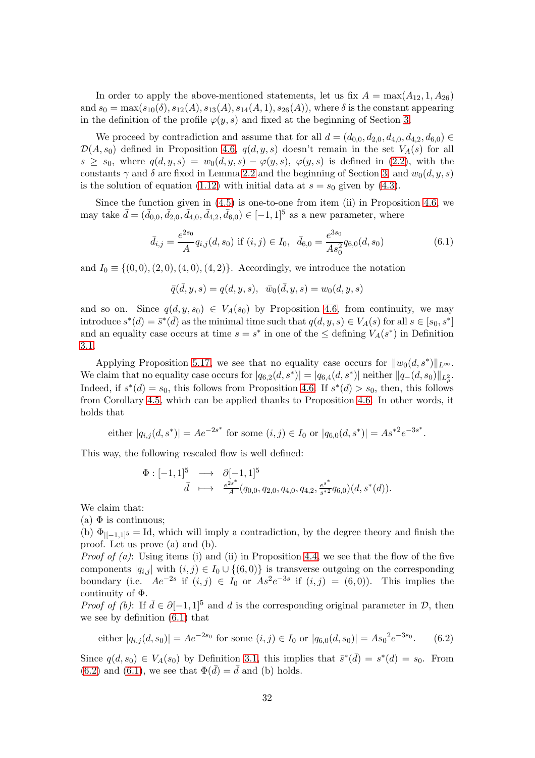In order to apply the above-mentioned statements, let us fix  $A = \max(A_{12}, 1, A_{26})$ and  $s_0 = \max(s_{10}(\delta), s_{12}(A), s_{13}(A), s_{14}(A, 1), s_{26}(A))$ , where  $\delta$  is the constant appearing in the definition of the profile  $\varphi(y, s)$  and fixed at the beginning of Section [3.](#page-12-0)

We proceed by contradiction and assume that for all  $d = (d_{0,0}, d_{2,0}, d_{4,0}, d_{4,2}, d_{6,0}) \in$  $\mathcal{D}(A, s_0)$  defined in Proposition [4.6,](#page-18-3)  $q(d, y, s)$  doesn't remain in the set  $V_A(s)$  for all  $s \geq s_0$ , where  $q(d, y, s) = w_0(d, y, s) - \varphi(y, s)$ ,  $\varphi(y, s)$  is defined in [\(2.2\)](#page-9-1), with the constants  $\gamma$  and  $\delta$  are fixed in Lemma [2.2](#page-9-6) and the beginning of Section [3,](#page-12-0) and  $w_0(d, y, s)$ is the solution of equation [\(1.12\)](#page-3-1) with initial data at  $s = s_0$  given by [\(4.3\)](#page-18-1).

Since the function given in [\(4.5\)](#page-18-4) is one-to-one from item (ii) in Proposition [4.6,](#page-18-3) we may take  $\bar{d} = (\bar{d}_{0,0}, \bar{d}_{2,0}, \bar{d}_{4,0}, \bar{d}_{4,2}, \bar{d}_{6,0}) \in [-1, 1]^5$  as a new parameter, where

<span id="page-31-0"></span>
$$
\bar{d}_{i,j} = \frac{e^{2s_0}}{A} q_{i,j}(d,s_0) \text{ if } (i,j) \in I_0, \ \ \bar{d}_{6,0} = \frac{e^{3s_0}}{As_0^2} q_{6,0}(d,s_0) \tag{6.1}
$$

and  $I_0 \equiv \{(0,0), (2,0), (4,0), (4,2)\}.$  Accordingly, we introduce the notation

$$
\bar{q}(\bar{d}, y, s) = q(d, y, s), \ \ \bar{w}_0(\bar{d}, y, s) = w_0(d, y, s)
$$

and so on. Since  $q(d, y, s_0) \in V_A(s_0)$  by Proposition [4.6,](#page-18-3) from continuity, we may introduce  $s^*(d) = \bar{s}^*(\bar{d})$  as the minimal time such that  $q(d, y, s) \in V_A(s)$  for all  $s \in [s_0, s^*]$ and an equality case occurs at time  $s = s^*$  in one of the  $\leq$  defining  $V_A(s^*)$  in Definition [3.1.](#page-15-4)

Applying Proposition [5.17,](#page-29-3) we see that no equality case occurs for  $||w_0(d, s^*)||_{L^{\infty}}$ . We claim that no equality case occurs for  $|q_{6,2}(d, s^*)| = |q_{6,4}(d, s^*)|$  neither  $||q_{-}(d, s_0)||_{L^2_{\rho}}$ . Indeed, if  $s^*(d) = s_0$ , this follows from Proposition [4.6.](#page-18-3) If  $s^*(d) > s_0$ , then, this follows from Corollary [4.5,](#page-17-1) which can be applied thanks to Proposition [4.6.](#page-18-3) In other words, it holds that

either 
$$
|q_{i,j}(d, s^*)| = Ae^{-2s^*}
$$
 for some  $(i, j) \in I_0$  or  $|q_{6,0}(d, s^*)| = As^{*2}e^{-3s^*}$ .

This way, the following rescaled flow is well defined:

$$
\begin{array}{rcl}\n\Phi: [-1,1]^5 & \longrightarrow & \partial[-1,1]^5 \\
\bar{d} & \longmapsto & \frac{e^{2s^*}}{A}(q_{0,0}, q_{2,0}, q_{4,0}, q_{4,2}, \frac{e^{s^*}}{s^{*2}}q_{6,0})(d, s^*(d)).\n\end{array}
$$

We claim that:

(a)  $\Phi$  is continuous;

(b)  $\Phi_{[-1,1]^5} =$  Id, which will imply a contradiction, by the degree theory and finish the proof. Let us prove (a) and (b).

*Proof of (a)*: Using items (i) and (ii) in Proposition [4.4,](#page-17-0) we see that the flow of the five components  $|q_{i,j}|$  with  $(i, j) \in I_0 \cup \{(6, 0)\}\$ is transverse outgoing on the corresponding boundary (i.e.  $Ae^{-2s}$  if  $(i, j) \in I_0$  or  $As^2e^{-3s}$  if  $(i, j) = (6, 0)$ ). This implies the continuity of Φ.

*Proof of (b)*: If  $\bar{d} \in \partial [-1, 1]^5$  and d is the corresponding original parameter in  $\mathcal{D}$ , then we see by definition [\(6.1\)](#page-31-0) that

<span id="page-31-1"></span>either 
$$
|q_{i,j}(d, s_0)| = Ae^{-2s_0}
$$
 for some  $(i, j) \in I_0$  or  $|q_{6,0}(d, s_0)| = As_0^2e^{-3s_0}$ . (6.2)

Since  $q(d, s_0) \in V_A(s_0)$  by Definition [3.1,](#page-15-4) this implies that  $\bar{s}^*(\bar{d}) = s^*(d) = s_0$ . From  $(6.2)$  and  $(6.1)$ , we see that  $\Phi(\bar{d}) = \bar{d}$  and (b) holds.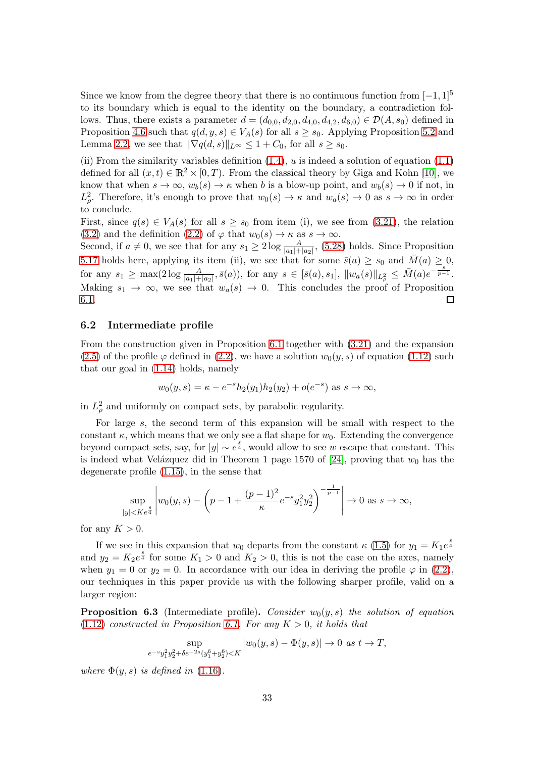Since we know from the degree theory that there is no continuous function from  $[-1, 1]^5$ to its boundary which is equal to the identity on the boundary, a contradiction follows. Thus, there exists a parameter  $d = (d_{0,0}, d_{2,0}, d_{4,0}, d_{4,2}, d_{6,0}) \in \mathcal{D}(A, s_0)$  defined in Proposition [4.6](#page-18-3) such that  $q(d, y, s) \in V_A(s)$  for all  $s \geq s_0$ . Applying Proposition [5.2](#page-19-2) and Lemma [2.2,](#page-9-6) we see that  $\|\nabla q(d, s)\|_{L^{\infty}} \leq 1 + C_0$ , for all  $s \geq s_0$ .

(ii) From the similarity variables definition  $(1.4)$ ,  $u$  is indeed a solution of equation  $(1.1)$ defined for all  $(x, t) \in \mathbb{R}^2 \times [0, T)$ . From the classical theory by Giga and Kohn [\[10\]](#page-59-3), we know that when  $s \to \infty$ ,  $w_b(s) \to \kappa$  when b is a blow-up point, and  $w_b(s) \to 0$  if not, in  $L^2_{\rho}$ . Therefore, it's enough to prove that  $w_0(s) \to \kappa$  and  $w_a(s) \to 0$  as  $s \to \infty$  in order to conclude.

First, since  $q(s) \in V_A(s)$  for all  $s \geq s_0$  from item (i), we see from [\(3.21\)](#page-15-0), the relation [\(3.2\)](#page-12-1) and the definition [\(2.2\)](#page-9-1) of  $\varphi$  that  $w_0(s) \to \kappa$  as  $s \to \infty$ .

Second, if  $a \neq 0$ , we see that for any  $s_1 \geq 2 \log \frac{A}{|a_1|+|a_2|}$ , [\(5.28\)](#page-29-1) holds. Since Proposition [5.17](#page-29-3) holds here, applying its item (ii), we see that for some  $\bar{s}(a) \geq s_0$  and  $\bar{M}(a) \geq 0$ , for any  $s_1 \ge \max(2\log \frac{A}{|a_1|+|a_2|}, \bar{s}(a))$ , for any  $s \in [\bar{s}(a), s_1], ||w_a(s)||_{L^2_{\rho}} \le \bar{M}(a)e^{-\frac{s}{p-1}}$ . Making  $s_1 \to \infty$ , we see that  $w_a(s) \to 0$ . This concludes the proof of Proposition 6.1. [6.1.](#page-30-1)

#### 6.2 Intermediate profile

From the construction given in Proposition [6.1](#page-30-1) together with [\(3.21\)](#page-15-0) and the expansion [\(2.5\)](#page-9-2) of the profile  $\varphi$  defined in [\(2.2\)](#page-9-1), we have a solution  $w_0(y, s)$  of equation [\(1.12\)](#page-3-1) such that our goal in [\(1.14\)](#page-3-0) holds, namely

$$
w_0(y, s) = \kappa - e^{-s} h_2(y_1) h_2(y_2) + o(e^{-s})
$$
 as  $s \to \infty$ ,

in  $L^2_\rho$  and uniformly on compact sets, by parabolic regularity.

For large s, the second term of this expansion will be small with respect to the constant  $\kappa$ , which means that we only see a flat shape for  $w_0$ . Extending the convergence beyond compact sets, say, for  $|y| \sim e^{\frac{s}{4}}$ , would allow to see w escape that constant. This is indeed what Velázquez did in Theorem 1 page 1570 of [\[24\]](#page-60-1), proving that  $w_0$  has the degenerate profile [\(1.15\)](#page-3-3), in the sense that

$$
\sup_{|y| < K e^{\frac{s}{4}}} \left| w_0(y, s) - \left( p - 1 + \frac{(p-1)^2}{\kappa} e^{-s} y_1^2 y_2^2 \right)^{-\frac{1}{p-1}} \right| \to 0 \text{ as } s \to \infty,
$$

for any  $K > 0$ .

If we see in this expansion that  $w_0$  departs from the constant  $\kappa$  [\(1.5\)](#page-1-7) for  $y_1 = K_1 e^{\frac{s}{4}}$ and  $y_2 = K_2 e^{\frac{s}{4}}$  for some  $K_1 > 0$  and  $K_2 > 0$ , this is not the case on the axes, namely when  $y_1 = 0$  or  $y_2 = 0$ . In accordance with our idea in deriving the profile  $\varphi$  in [\(2.2\)](#page-9-1), our techniques in this paper provide us with the following sharper profile, valid on a larger region:

<span id="page-32-0"></span>**Proposition 6.3** (Intermediate profile). Consider  $w_0(y, s)$  the solution of equation  $(1.12)$  constructed in Proposition [6.1.](#page-30-1) For any  $K > 0$ , it holds that

$$
\sup_{e^{-s}y_1^2y_2^2+\delta e^{-2s}(y_1^6+y_2^6)
$$

where  $\Phi(y, s)$  is defined in [\(1.16\)](#page-4-1).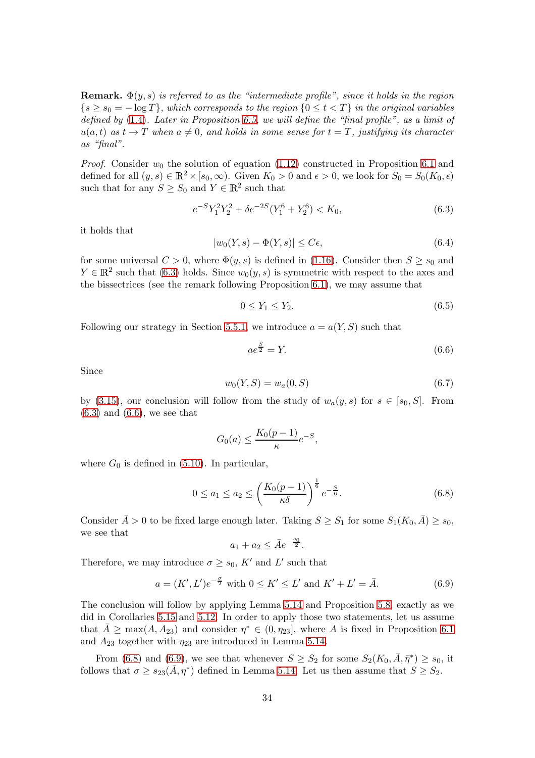**Remark.**  $\Phi(y, s)$  is referred to as the "intermediate profile", since it holds in the region  $\{s \geq s_0 = -\log T\}$ , which corresponds to the region  $\{0 \leq t \leq T\}$  in the original variables defined by  $(1.4)$ . Later in Proposition [6.5,](#page-36-0) we will define the "final profile", as a limit of  $u(a, t)$  as  $t \to T$  when  $a \neq 0$ , and holds in some sense for  $t = T$ , justifying its character as "final".

*Proof.* Consider  $w_0$  the solution of equation [\(1.12\)](#page-3-1) constructed in Proposition [6.1](#page-30-1) and defined for all  $(y, s) \in \mathbb{R}^2 \times [s_0, \infty)$ . Given  $K_0 > 0$  and  $\epsilon > 0$ , we look for  $S_0 = S_0(K_0, \epsilon)$ such that for any  $S \geq S_0$  and  $Y \in \mathbb{R}^2$  such that

<span id="page-33-0"></span>
$$
e^{-S}Y_1^2Y_2^2 + \delta e^{-2S}(Y_1^6 + Y_2^6) < K_0,\tag{6.3}
$$

it holds that

<span id="page-33-5"></span>
$$
|w_0(Y,s) - \Phi(Y,s)| \le C\epsilon,\tag{6.4}
$$

for some universal  $C > 0$ , where  $\Phi(y, s)$  is defined in [\(1.16\)](#page-4-1). Consider then  $S \geq s_0$  and  $Y \in \mathbb{R}^2$  such that [\(6.3\)](#page-33-0) holds. Since  $w_0(y, s)$  is symmetric with respect to the axes and the bissectrices (see the remark following Proposition [6.1\)](#page-30-1), we may assume that

$$
0 \le Y_1 \le Y_2. \tag{6.5}
$$

Following our strategy in Section [5.5.1,](#page-24-4) we introduce  $a = a(Y, S)$  such that

<span id="page-33-1"></span>
$$
ae^{\frac{S}{2}} = Y.\t\t(6.6)
$$

Since

<span id="page-33-4"></span>
$$
w_0(Y, S) = w_a(0, S) \tag{6.7}
$$

by [\(3.15\)](#page-14-2), our conclusion will follow from the study of  $w_a(y, s)$  for  $s \in [s_0, S]$ . From  $(6.3)$  and  $(6.6)$ , we see that

$$
G_0(a) \le \frac{K_0(p-1)}{\kappa} e^{-S},
$$

where  $G_0$  is defined in [\(5.10\)](#page-21-2). In particular,

<span id="page-33-2"></span>
$$
0 \le a_1 \le a_2 \le \left(\frac{K_0(p-1)}{\kappa \delta}\right)^{\frac{1}{6}} e^{-\frac{S}{6}}.
$$
\n
$$
(6.8)
$$

Consider  $\bar{A} > 0$  to be fixed large enough later. Taking  $S \geq S_1$  for some  $S_1(K_0, \bar{A}) \geq s_0$ , we see that

$$
a_1 + a_2 \leq \bar{A}e^{-\frac{s_0}{2}}.
$$

Therefore, we may introduce  $\sigma \geq s_0$ , K' and L' such that

<span id="page-33-3"></span>
$$
a = (K', L')e^{-\frac{\sigma}{2}} \text{ with } 0 \le K' \le L' \text{ and } K' + L' = \bar{A}. \tag{6.9}
$$

The conclusion will follow by applying Lemma [5.14](#page-28-1) and Proposition [5.8,](#page-23-0) exactly as we did in Corollaries [5.15](#page-28-2) and [5.12.](#page-25-2) In order to apply those two statements, let us assume that  $\bar{A} \ge \max(A, A_{23})$  and consider  $\eta^* \in (0, \eta_{23}]$ , where A is fixed in Proposition [6.1](#page-30-1) and  $A_{23}$  together with  $\eta_{23}$  are introduced in Lemma [5.14.](#page-28-1)

From [\(6.8\)](#page-33-2) and [\(6.9\)](#page-33-3), we see that whenever  $S \geq S_2$  for some  $S_2(K_0, \bar{A}, \bar{\eta}^*) \geq s_0$ , it follows that  $\sigma \geq s_{23}(\bar{A}, \eta^*)$  defined in Lemma [5.14.](#page-28-1) Let us then assume that  $S \geq S_2$ .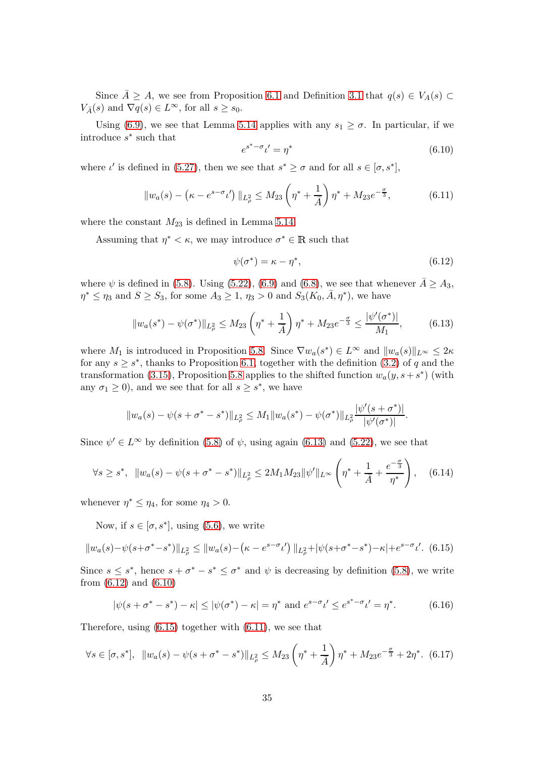Since  $\bar{A} \geq A$ , we see from Proposition [6.1](#page-30-1) and Definition [3.1](#page-15-4) that  $q(s) \in V_A(s)$  $V_{\bar{A}}(s)$  and  $\nabla q(s) \in L^{\infty}$ , for all  $s \geq s_0$ .

Using [\(6.9\)](#page-33-3), we see that Lemma [5.14](#page-28-1) applies with any  $s_1 \geq \sigma$ . In particular, if we introduce s ∗ such that

<span id="page-34-2"></span>
$$
e^{s^* - \sigma} \iota' = \eta^* \tag{6.10}
$$

where  $\iota'$  is defined in [\(5.27\)](#page-28-0), then we see that  $s^* \geq \sigma$  and for all  $s \in [\sigma, s^*]$ ,

<span id="page-34-4"></span>
$$
||w_a(s) - (\kappa - e^{s - \sigma} \iota')||_{L^2_{\rho}} \le M_{23} \left(\eta^* + \frac{1}{\bar{A}}\right) \eta^* + M_{23} e^{-\frac{\sigma}{3}}, \tag{6.11}
$$

where the constant  $M_{23}$  is defined in Lemma [5.14.](#page-28-1)

Assuming that  $\eta^* < \kappa$ , we may introduce  $\sigma^* \in \mathbb{R}$  such that

<span id="page-34-1"></span>
$$
\psi(\sigma^*) = \kappa - \eta^*,\tag{6.12}
$$

where  $\psi$  is defined in [\(5.8\)](#page-20-0). Using [\(5.22\)](#page-25-3), [\(6.9\)](#page-33-3) and [\(6.8\)](#page-33-2), we see that whenever  $\bar{A} \geq A_3$ ,  $\eta^* \leq \eta_3$  and  $S \geq S_3$ , for some  $A_3 \geq 1$ ,  $\eta_3 > 0$  and  $S_3(K_0, \bar{A}, \eta^*)$ , we have

<span id="page-34-0"></span>
$$
||w_a(s^*) - \psi(\sigma^*)||_{L^2_\rho} \le M_{23} \left(\eta^* + \frac{1}{\bar{A}}\right) \eta^* + M_{23} e^{-\frac{\sigma}{3}} \le \frac{|\psi'(\sigma^*)|}{M_1},\tag{6.13}
$$

where  $M_1$  is introduced in Proposition [5.8.](#page-23-0) Since  $\nabla w_a(s^*) \in L^{\infty}$  and  $||w_a(s)||_{L^{\infty}} \leq 2\kappa$ for any  $s \geq s^*$ , thanks to Proposition [6.1,](#page-30-1) together with the definition [\(3.2\)](#page-12-1) of q and the transformation [\(3.15\)](#page-14-2), Proposition [5.8](#page-23-0) applies to the shifted function  $w_a(y, s + s^*)$  (with any  $\sigma_1 \geq 0$ , and we see that for all  $s \geq s^*$ , we have

$$
||w_a(s) - \psi(s + \sigma^* - s^*)||_{L^2_{\rho}} \leq M_1 ||w_a(s^*) - \psi(\sigma^*)||_{L^2_{\rho}} \frac{|\psi'(s + \sigma^*)|}{|\psi'(\sigma^*)|}.
$$

Since  $\psi' \in L^{\infty}$  by definition [\(5.8\)](#page-20-0) of  $\psi$ , using again [\(6.13\)](#page-34-0) and [\(5.22\)](#page-25-3), we see that

<span id="page-34-6"></span>
$$
\forall s \ge s^*, \ \ \|w_a(s) - \psi(s + \sigma^* - s^*)\|_{L^2_\rho} \le 2M_1 M_{23} \|\psi'\|_{L^\infty} \left(\eta^* + \frac{1}{\bar{A}} + \frac{e^{-\frac{\sigma}{3}}}{\eta^*}\right), \quad (6.14)
$$

whenever  $\eta^* \leq \eta_4$ , for some  $\eta_4 > 0$ .

Now, if  $s \in [\sigma, s^*]$ , using [\(5.6\)](#page-20-7), we write

<span id="page-34-3"></span>
$$
||w_a(s) - \psi(s + \sigma^* - s^*)||_{L^2_\rho} \le ||w_a(s) - (\kappa - s^{\sigma - \sigma} \iota')||_{L^2_\rho} + |\psi(s + \sigma^* - s^*) - \kappa| + e^{s - \sigma} \iota'. \tag{6.15}
$$

Since  $s \leq s^*$ , hence  $s + \sigma^* - s^* \leq \sigma^*$  and  $\psi$  is decreasing by definition [\(5.8\)](#page-20-0), we write from [\(6.12\)](#page-34-1) and [\(6.10\)](#page-34-2)

<span id="page-34-5"></span>
$$
|\psi(s + \sigma^* - s^*) - \kappa| \le |\psi(\sigma^*) - \kappa| = \eta^* \text{ and } e^{s - \sigma} \iota' \le e^{s^* - \sigma} \iota' = \eta^*.
$$
 (6.16)

Therefore, using [\(6.15\)](#page-34-3) together with [\(6.11\)](#page-34-4), we see that

<span id="page-34-7"></span>
$$
\forall s \in [\sigma, s^*], \ \ \|w_a(s) - \psi(s + \sigma^* - s^*)\|_{L^2_\rho} \le M_{23} \left(\eta^* + \frac{1}{\bar{A}}\right) \eta^* + M_{23} e^{-\frac{\sigma}{3}} + 2\eta^* . \tag{6.17}
$$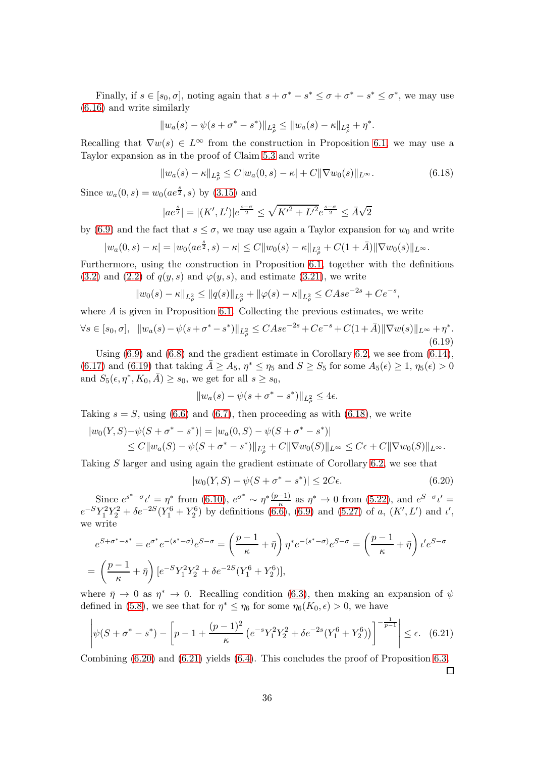Finally, if  $s \in [s_0, \sigma]$ , noting again that  $s + \sigma^* - s^* \leq \sigma + \sigma^* - s^* \leq \sigma^*$ , we may use [\(6.16\)](#page-34-5) and write similarly

$$
||w_a(s) - \psi(s + \sigma^* - s^*)||_{L^2_{\rho}} \le ||w_a(s) - \kappa||_{L^2_{\rho}} + \eta^*.
$$

Recalling that  $\nabla w(s) \in L^{\infty}$  from the construction in Proposition [6.1,](#page-30-1) we may use a Taylor expansion as in the proof of Claim [5.3](#page-20-3) and write

<span id="page-35-1"></span>
$$
||w_a(s) - \kappa||_{L^2_{\rho}} \le C|w_a(0, s) - \kappa| + C||\nabla w_0(s)||_{L^{\infty}}.
$$
\n(6.18)

Since  $w_a(0, s) = w_0(a e^{\frac{s}{2}}, s)$  by [\(3.15\)](#page-14-2) and

$$
|ae^{\frac{s}{2}}| = |(K', L')|e^{\frac{s-\sigma}{2}} \le \sqrt{K'^2 + L'^2}e^{\frac{s-\sigma}{2}} \le \bar{A}\sqrt{2}
$$

by [\(6.9\)](#page-33-3) and the fact that  $s \leq \sigma$ , we may use again a Taylor expansion for  $w_0$  and write

$$
|w_a(0,s) - \kappa| = |w_0(a e^{\frac{s}{2}}, s) - \kappa| \leq C ||w_0(s) - \kappa||_{L^2_{\rho}} + C(1 + \bar{A}) ||\nabla w_0(s)||_{L^{\infty}}.
$$

Furthermore, using the construction in Proposition [6.1,](#page-30-1) together with the definitions [\(3.2\)](#page-12-1) and [\(2.2\)](#page-9-1) of  $q(y, s)$  and  $\varphi(y, s)$ , and estimate [\(3.21\)](#page-15-0), we write

$$
||w_0(s) - \kappa||_{L^2_{\rho}} \le ||q(s)||_{L^2_{\rho}} + ||\varphi(s) - \kappa||_{L^2_{\rho}} \le CAse^{-2s} + Ce^{-s},
$$

where  $A$  is given in Proposition [6.1.](#page-30-1) Collecting the previous estimates, we write

<span id="page-35-0"></span>
$$
\forall s \in [s_0, \sigma], \ \ \|w_a(s) - \psi(s + \sigma^* - s^*)\|_{L^2_\rho} \leq C A s e^{-2s} + C e^{-s} + C(1 + \bar{A}) \|\nabla w(s)\|_{L^\infty} + \eta^*.
$$
\n
$$
(6.19)
$$

Using  $(6.9)$  and  $(6.8)$  and the gradient estimate in Corollary [6.2,](#page-30-2) we see from  $(6.14)$ , [\(6.17\)](#page-34-7) and [\(6.19\)](#page-35-0) that taking  $\bar{A} \geq A_5$ ,  $\eta^* \leq \eta_5$  and  $S \geq S_5$  for some  $A_5(\epsilon) \geq 1$ ,  $\eta_5(\epsilon) > 0$ and  $S_5(\epsilon, \eta^*, K_0, \bar{A}) \ge s_0$ , we get for all  $s \ge s_0$ ,

$$
||w_a(s) - \psi(s + \sigma^* - s^*)||_{L^2_{\rho}} \le 4\epsilon.
$$

Taking  $s = S$ , using [\(6.6\)](#page-33-1) and [\(6.7\)](#page-33-4), then proceeding as with [\(6.18\)](#page-35-1), we write

$$
|w_0(Y,S) - \psi(S + \sigma^* - s^*)| = |w_a(0,S) - \psi(S + \sigma^* - s^*)|
$$
  
\n
$$
\leq C ||w_a(S) - \psi(S + \sigma^* - s^*)||_{L^2_{\rho}} + C ||\nabla w_0(S)||_{L^{\infty}} \leq C\epsilon + C ||\nabla w_0(S)||_{L^{\infty}}.
$$

Taking S larger and using again the gradient estimate of Corollary [6.2,](#page-30-2) we see that

<span id="page-35-2"></span>
$$
|w_0(Y, S) - \psi(S + \sigma^* - s^*)| \le 2C\epsilon.
$$
 (6.20)

Since  $e^{s^*-\sigma}t'=\eta^*$  from [\(6.10\)](#page-34-2),  $e^{\sigma^*}\sim \eta^*\frac{(p-1)}{\kappa}$  as  $\eta^*\to 0$  from [\(5.22\)](#page-25-3), and  $e^{S-\sigma}t'=\eta^*$  $e^{-S}Y_1^2Y_2^2 + \delta e^{-2S}(Y_1^6 + Y_2^6)$  by definitions [\(6.6\)](#page-33-1), [\(6.9\)](#page-33-3) and [\(5.27\)](#page-28-0) of a,  $(K', L')$  and  $\iota'$ , we write

$$
e^{S+\sigma^*-s^*} = e^{\sigma^*}e^{-(s^*-\sigma)}e^{S-\sigma} = \left(\frac{p-1}{\kappa} + \bar{\eta}\right)\eta^*e^{-(s^*-\sigma)}e^{S-\sigma} = \left(\frac{p-1}{\kappa} + \bar{\eta}\right)\iota'e^{S-\sigma}
$$

$$
= \left(\frac{p-1}{\kappa} + \bar{\eta}\right)[e^{-S}Y_1^2Y_2^2 + \delta e^{-2S}(Y_1^6 + Y_2^6)],
$$

where  $\bar{\eta} \to 0$  as  $\eta^* \to 0$ . Recalling condition [\(6.3\)](#page-33-0), then making an expansion of  $\psi$ defined in [\(5.8\)](#page-20-0), we see that for  $\eta^* \leq \eta_6$  for some  $\eta_6(K_0, \epsilon) > 0$ , we have

<span id="page-35-3"></span>
$$
\left|\psi(S+\sigma^*-s^*) - \left[p-1+\frac{(p-1)^2}{\kappa}\left(e^{-s}Y_1^2Y_2^2 + \delta e^{-2s}(Y_1^6 + Y_2^6)\right)\right]^{-\frac{1}{p-1}}\right| \le \epsilon. \tag{6.21}
$$

Combining [\(6.20\)](#page-35-2) and [\(6.21\)](#page-35-3) yields [\(6.4\)](#page-33-5). This concludes the proof of Proposition [6.3.](#page-32-0)  $\Box$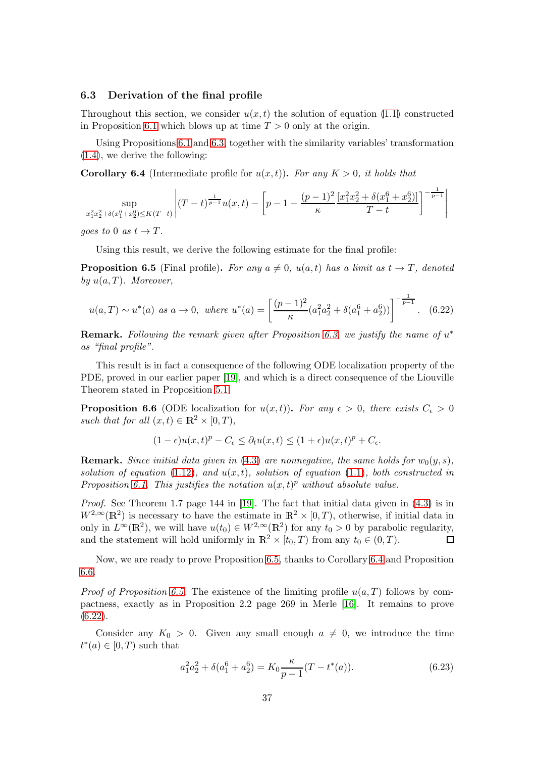#### 6.3 Derivation of the final profile

Throughout this section, we consider  $u(x, t)$  the solution of equation [\(1.1\)](#page-0-0) constructed in Proposition [6.1](#page-30-1) which blows up at time  $T > 0$  only at the origin.

Using Propositions [6.1](#page-30-1) and [6.3,](#page-32-0) together with the similarity variables' transformation [\(1.4\)](#page-1-5), we derive the following:

<span id="page-36-1"></span>**Corollary 6.4** (Intermediate profile for  $u(x,t)$ ). For any  $K > 0$ , it holds that

$$
\sup_{x_1^2 x_2^2 + \delta(x_1^6 + x_2^6) \le K(T-t)} \left| (T-t)^{\frac{1}{p-1}} u(x,t) - \left[ p - 1 + \frac{(p-1)^2}{\kappa} \frac{[x_1^2 x_2^2 + \delta(x_1^6 + x_2^6)]}{T-t} \right]^{-\frac{1}{p-1}} \right|
$$

goes to 0 as  $t \to T$ .

Using this result, we derive the following estimate for the final profile:

<span id="page-36-0"></span>**Proposition 6.5** (Final profile). For any  $a \neq 0$ ,  $u(a, t)$  has a limit as  $t \rightarrow T$ , denoted by  $u(a,T)$ . Moreover,

<span id="page-36-3"></span>
$$
u(a,T) \sim u^*(a) \text{ as } a \to 0, \text{ where } u^*(a) = \left[ \frac{(p-1)^2}{\kappa} (a_1^2 a_2^2 + \delta(a_1^6 + a_2^6)) \right]^{-\frac{1}{p-1}}. \tag{6.22}
$$

**Remark.** Following the remark given after Proposition [6.3,](#page-32-0) we justify the name of  $u^*$ as "final profile".

This result is in fact a consequence of the following ODE localization property of the PDE, proved in our earlier paper [\[19\]](#page-59-10), and which is a direct consequence of the Liouville Theorem stated in Proposition [5.1:](#page-19-4)

<span id="page-36-2"></span>**Proposition 6.6** (ODE localization for  $u(x,t)$ ). For any  $\epsilon > 0$ , there exists  $C_{\epsilon} > 0$ such that for all  $(x, t) \in \mathbb{R}^2 \times [0, T)$ ,

$$
(1 - \epsilon)u(x,t)^p - C_{\epsilon} \le \partial_t u(x,t) \le (1 + \epsilon)u(x,t)^p + C_{\epsilon}.
$$

**Remark.** Since initial data given in [\(4.3\)](#page-18-1) are nonnegative, the same holds for  $w_0(y, s)$ , solution of equation [\(1.12\)](#page-3-1), and  $u(x, t)$ , solution of equation [\(1.1\)](#page-0-0), both constructed in Proposition [6.1.](#page-30-1) This justifies the notation  $u(x,t)^p$  without absolute value.

*Proof.* See Theorem 1.7 page 144 in [\[19\]](#page-59-10). The fact that initial data given in  $(4.3)$  is in  $W^{2,\infty}(\mathbb{R}^2)$  is necessary to have the estimate in  $\mathbb{R}^2 \times [0,T)$ , otherwise, if initial data in only in  $L^{\infty}(\mathbb{R}^2)$ , we will have  $u(t_0) \in W^{2,\infty}(\mathbb{R}^2)$  for any  $t_0 > 0$  by parabolic regularity, and the statement will hold uniformly in  $\mathbb{R}^2 \times [t_0, T)$  from any  $t_0 \in (0, T)$ .  $\Box$ 

Now, we are ready to prove Proposition [6.5,](#page-36-0) thanks to Corollary [6.4](#page-36-1) and Proposition [6.6.](#page-36-2)

*Proof of Proposition [6.5.](#page-36-0)* The existence of the limiting profile  $u(a, T)$  follows by compactness, exactly as in Proposition 2.2 page 269 in Merle [\[16\]](#page-59-13). It remains to prove  $(6.22)$ .

Consider any  $K_0 > 0$ . Given any small enough  $a \neq 0$ , we introduce the time  $t^*(a) \in [0,T)$  such that

<span id="page-36-4"></span>
$$
a_1^2 a_2^2 + \delta(a_1^6 + a_2^6) = K_0 \frac{\kappa}{p-1} (T - t^*(a)).
$$
\n(6.23)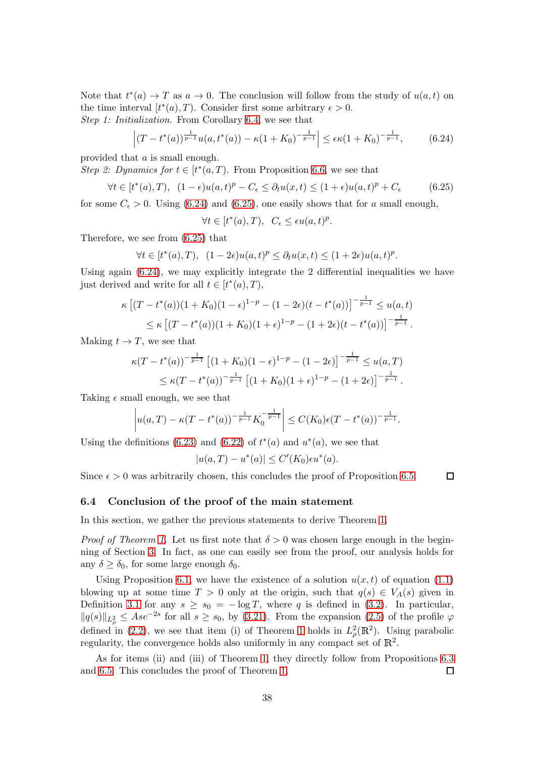Note that  $t^*(a) \to T$  as  $a \to 0$ . The conclusion will follow from the study of  $u(a, t)$  on the time interval  $[t^*(a), T)$ . Consider first some arbitrary  $\epsilon > 0$ . Step 1: Initialization. From Corollary [6.4,](#page-36-1) we see that

<span id="page-37-0"></span>
$$
\left| (T - t^*(a))^{\frac{1}{p-1}} u(a, t^*(a)) - \kappa (1 + K_0)^{-\frac{1}{p-1}} \right| \le \epsilon \kappa (1 + K_0)^{-\frac{1}{p-1}}, \tag{6.24}
$$

provided that a is small enough.

Step 2: Dynamics for  $t \in [t^*(a,T)]$ . From Proposition [6.6,](#page-36-2) we see that

<span id="page-37-1"></span>
$$
\forall t \in [t^*(a), T), \ (1 - \epsilon)u(a, t)^p - C_{\epsilon} \le \partial_t u(x, t) \le (1 + \epsilon)u(a, t)^p + C_{\epsilon} \tag{6.25}
$$

for some  $C_{\epsilon} > 0$ . Using [\(6.24\)](#page-37-0) and [\(6.25\)](#page-37-1), one easily shows that for a small enough,

 $\forall t \in [t^*(a), T), \ \ C_{\epsilon} \leq \epsilon u(a, t)^p.$ 

Therefore, we see from [\(6.25\)](#page-37-1) that

$$
\forall t \in [t^*(a), T), \ (1 - 2\epsilon)u(a, t)^p \le \partial_t u(x, t) \le (1 + 2\epsilon)u(a, t)^p.
$$

Using again  $(6.24)$ , we may explicitly integrate the 2 differential inequalities we have just derived and write for all  $t \in [t^*(a), T)$ ,

$$
\kappa \left[ (T - t^*(a))(1 + K_0)(1 - \epsilon)^{1-p} - (1 - 2\epsilon)(t - t^*(a)) \right]^{-\frac{1}{p-1}} \le u(a, t)
$$
  

$$
\le \kappa \left[ (T - t^*(a))(1 + K_0)(1 + \epsilon)^{1-p} - (1 + 2\epsilon)(t - t^*(a)) \right]^{-\frac{1}{p-1}}.
$$

Making  $t \to T$ , we see that

$$
\kappa(T - t^*(a))^{-\frac{1}{p-1}} \left[ (1 + K_0)(1 - \epsilon)^{1-p} - (1 - 2\epsilon) \right]^{-\frac{1}{p-1}} \le u(a, T)
$$
  

$$
\le \kappa(T - t^*(a))^{-\frac{1}{p-1}} \left[ (1 + K_0)(1 + \epsilon)^{1-p} - (1 + 2\epsilon) \right]^{-\frac{1}{p-1}}.
$$

Taking  $\epsilon$  small enough, we see that

$$
\left| u(a,T) - \kappa(T-t^*(a))^{-\frac{1}{p-1}} K_0^{-\frac{1}{p-1}} \right| \leq C(K_0) \epsilon(T-t^*(a))^{-\frac{1}{p-1}}.
$$

Using the definitions [\(6.23\)](#page-36-4) and [\(6.22\)](#page-36-3) of  $t^*(a)$  and  $u^*(a)$ , we see that

$$
|u(a,T) - u^*(a)| \le C'(K_0) \epsilon u^*(a).
$$

 $\Box$ 

Since  $\epsilon > 0$  was arbitrarily chosen, this concludes the proof of Proposition [6.5.](#page-36-0)

#### 6.4 Conclusion of the proof of the main statement

In this section, we gather the previous statements to derive Theorem [1.](#page-4-0)

*Proof of Theorem [1.](#page-4-0)* Let us first note that  $\delta > 0$  was chosen large enough in the beginning of Section [3.](#page-12-0) In fact, as one can easily see from the proof, our analysis holds for any  $\delta \geq \delta_0$ , for some large enough  $\delta_0$ .

Using Proposition [6.1,](#page-30-1) we have the existence of a solution  $u(x, t)$  of equation [\(1.1\)](#page-0-0) blowing up at some time  $T > 0$  only at the origin, such that  $q(s) \in V_A(s)$  given in Definition [3.1](#page-15-4) for any  $s \geq s_0 = -\log T$ , where q is defined in [\(3.2\)](#page-12-1). In particular,  $||q(s)||_{L^2_\rho} \leq Ase^{-2s}$  for all  $s \geq s_0$ , by [\(3.21\)](#page-15-0). From the expansion [\(2.5\)](#page-9-2) of the profile  $\varphi$ defined in [\(2.2\)](#page-9-1), we see that item (i) of Theorem [1](#page-4-0) holds in  $L^2_{\rho}(\mathbb{R}^2)$ . Using parabolic regularity, the convergence holds also uniformly in any compact set of  $\mathbb{R}^2$ .

As for items (ii) and (iii) of Theorem [1,](#page-4-0) they directly follow from Propositions [6.3](#page-32-0) and [6.5.](#page-36-0) This concludes the proof of Theorem [1.](#page-4-0)  $\Box$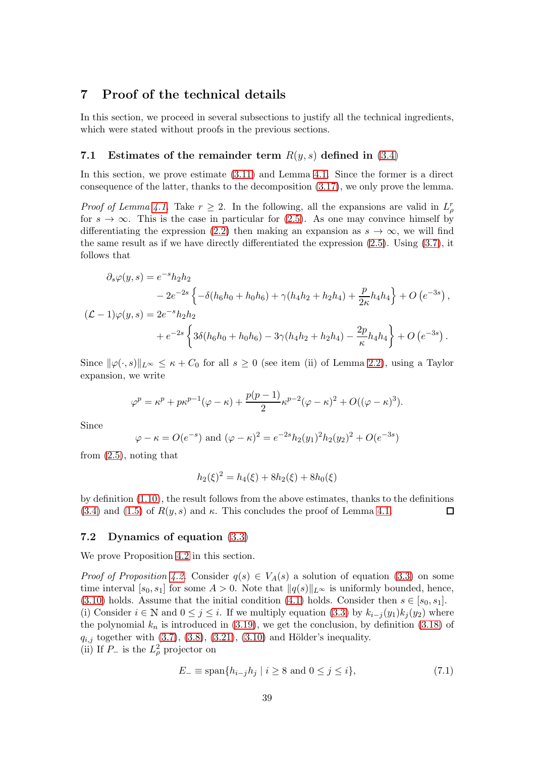## <span id="page-38-0"></span>7 Proof of the technical details

In this section, we proceed in several subsections to justify all the technical ingredients, which were stated without proofs in the previous sections.

## <span id="page-38-1"></span>7.1 Estimates of the remainder term  $R(y, s)$  defined in [\(3.4\)](#page-13-0)

In this section, we prove estimate [\(3.11\)](#page-13-2) and Lemma [4.1.](#page-16-3) Since the former is a direct consequence of the latter, thanks to the decomposition [\(3.17\)](#page-15-2), we only prove the lemma.

*Proof of Lemma [4.1.](#page-16-3)* Take  $r \geq 2$ . In the following, all the expansions are valid in  $L^r_\rho$ for  $s \to \infty$ . This is the case in particular for [\(2.5\)](#page-9-2). As one may convince himself by differentiating the expression [\(2.2\)](#page-9-1) then making an expansion as  $s \to \infty$ , we will find the same result as if we have directly differentiated the expression [\(2.5\)](#page-9-2). Using [\(3.7\)](#page-13-5), it follows that

$$
\partial_s \varphi(y, s) = e^{-s} h_2 h_2
$$
  
\n
$$
- 2e^{-2s} \left\{ -\delta(h_6 h_0 + h_0 h_6) + \gamma(h_4 h_2 + h_2 h_4) + \frac{p}{2\kappa} h_4 h_4 \right\} + O(e^{-3s}),
$$
  
\n
$$
(\mathcal{L} - 1)\varphi(y, s) = 2e^{-s} h_2 h_2
$$
  
\n
$$
+ e^{-2s} \left\{ 3\delta(h_6 h_0 + h_0 h_6) - 3\gamma(h_4 h_2 + h_2 h_4) - \frac{2p}{\kappa} h_4 h_4 \right\} + O(e^{-3s}).
$$

Since  $\|\varphi(\cdot, s)\|_{L^{\infty}} \leq \kappa + C_0$  for all  $s \geq 0$  (see item (ii) of Lemma [2.2\)](#page-9-6), using a Taylor expansion, we write

$$
\varphi^p = \kappa^p + p\kappa^{p-1}(\varphi - \kappa) + \frac{p(p-1)}{2}\kappa^{p-2}(\varphi - \kappa)^2 + O((\varphi - \kappa)^3).
$$

Since

$$
\varphi - \kappa = O(e^{-s})
$$
 and  $(\varphi - \kappa)^2 = e^{-2s} h_2(y_1)^2 h_2(y_2)^2 + O(e^{-3s})$ 

from [\(2.5\)](#page-9-2), noting that

$$
h_2(\xi)^2 = h_4(\xi) + 8h_2(\xi) + 8h_0(\xi)
$$

by definition [\(1.10\)](#page-1-6), the result follows from the above estimates, thanks to the definitions [\(3.4\)](#page-13-0) and [\(1.5\)](#page-1-7) of  $R(y, s)$  and  $\kappa$ . This concludes the proof of Lemma [4.1.](#page-16-3)  $\Box$ 

#### <span id="page-38-2"></span>7.2 Dynamics of equation [\(3.3\)](#page-12-2)

We prove Proposition [4.2](#page-16-1) in this section.

*Proof of Proposition [4.2.](#page-16-1)* Consider  $q(s) \in V_A(s)$  a solution of equation [\(3.3\)](#page-12-2) on some time interval [ $s_0, s_1$ ] for some  $A > 0$ . Note that  $\|q(s)\|_{L^{\infty}}$  is uniformly bounded, hence, [\(3.10\)](#page-13-3) holds. Assume that the initial condition [\(4.1\)](#page-16-2) holds. Consider then  $s \in [s_0, s_1]$ . (i) Consider  $i \in \mathbb{N}$  and  $0 \leq j \leq i$ . If we multiply equation [\(3.3\)](#page-12-2) by  $k_{i-j}(y_1)k_j(y_2)$  where the polynomial  $k_n$  is introduced in [\(3.19\)](#page-15-6), we get the conclusion, by definition [\(3.18\)](#page-15-5) of  $q_{i,j}$  together with [\(3.7\)](#page-13-5), [\(3.8\)](#page-13-7), [\(3.21\)](#page-15-0), [\(3.10\)](#page-13-3) and Hölder's inequality. (ii) If  $P_-\$  is the  $L^2_\rho$  projector on

<span id="page-38-3"></span>
$$
E_{-} \equiv \text{span}\{h_{i-j}h_j \mid i \ge 8 \text{ and } 0 \le j \le i\},\tag{7.1}
$$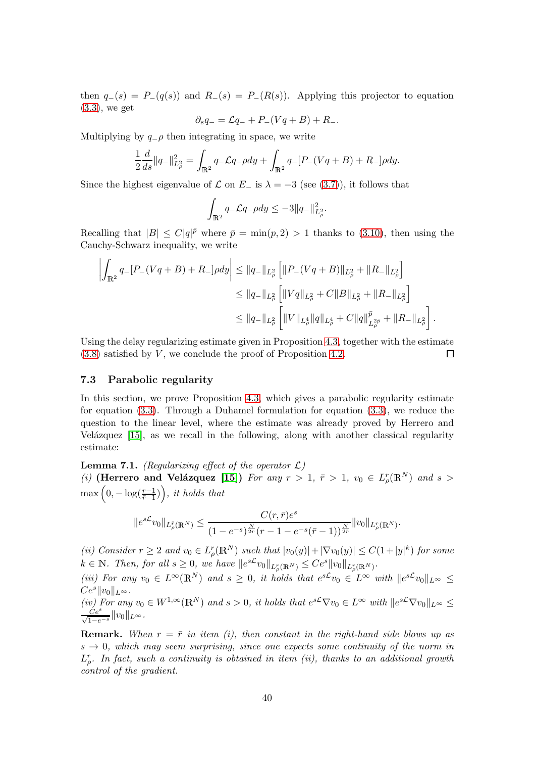then  $q_-(s) = P_-(q(s))$  and  $R_-(s) = P_-(R(s))$ . Applying this projector to equation [\(3.3\)](#page-12-2), we get

$$
\partial_s q_- = \mathcal{L}q_- + P_-(Vq + B) + R_-.
$$

Multiplying by  $q_-\rho$  then integrating in space, we write

$$
\frac{1}{2}\frac{d}{ds}\|q_-\|_{L^2_{\rho}}^2 = \int_{\mathbb{R}^2} q_- \mathcal{L}q_- \rho dy + \int_{\mathbb{R}^2} q_- [P_-(Vq+B) + R_-] \rho dy.
$$

Since the highest eigenvalue of  $\mathcal L$  on  $E_-\$  is  $\lambda = -3$  (see [\(3.7\)](#page-13-5)), it follows that

$$
\int_{\mathbb{R}^2} q_- \mathcal{L} q_- \rho dy \le -3 \|q_-\|_{L^2_{\rho}}^2.
$$

Recalling that  $|B| \leq C|q|^{\bar{p}}$  where  $\bar{p} = \min(p, 2) > 1$  thanks to [\(3.10\)](#page-13-3), then using the Cauchy-Schwarz inequality, we write

$$
\left| \int_{\mathbb{R}^2} q_-[P_-(Vq+B) + R_-] \rho dy \right| \le ||q_-||_{L^2_{\rho}} \left[ \|P_-(Vq+B)\|_{L^2_{\rho}} + \|R_-\|_{L^2_{\rho}} \right]
$$
  
\n
$$
\le ||q_-||_{L^2_{\rho}} \left[ \|Vq\|_{L^2_{\rho}} + C \|B\|_{L^2_{\rho}} + \|R_-\|_{L^2_{\rho}} \right]
$$
  
\n
$$
\le ||q_-||_{L^2_{\rho}} \left[ \|V\|_{L^4_{\rho}} \|q\|_{L^4_{\rho}} + C \|q\|_{L^2_{\rho}}^{\bar{p}} + \|R_-\|_{L^2_{\rho}} \right].
$$

Using the delay regularizing estimate given in Proposition [4.3,](#page-17-2) together with the estimate  $(3.8)$  satisfied by V, we conclude the proof of Proposition [4.2.](#page-16-1)  $\Box$ 

#### <span id="page-39-1"></span>7.3 Parabolic regularity

In this section, we prove Proposition [4.3,](#page-17-2) which gives a parabolic regularity estimate for equation [\(3.3\)](#page-12-2). Through a Duhamel formulation for equation [\(3.3\)](#page-12-2), we reduce the question to the linear level, where the estimate was already proved by Herrero and Velázquez  $[15]$ , as we recall in the following, along with another classical regularity estimate:

<span id="page-39-0"></span>**Lemma 7.1.** (Regularizing effect of the operator  $\mathcal{L}$ ) (i) (Herrero and Velázquez [\[15\]](#page-59-14)) For any  $r > 1$ ,  $\bar{r} > 1$ ,  $v_0 \in L^r_{\rho}(\mathbb{R}^N)$  and  $s >$  $\max\left(0, -\log(\frac{r-1}{\bar{r}-1})\right)$ , it holds that

$$
||e^{s\mathcal{L}}v_0||_{L_{\rho}^{\bar{r}}(\mathbb{R}^N)} \leq \frac{C(r,\bar{r})e^s}{(1-e^{-s})^{\frac{N}{2r}}(r-1-e^{-s}(\bar{r}-1))^{\frac{N}{2\bar{r}}}}||v_0||_{L_{\rho}^r(\mathbb{R}^N)}.
$$

(ii) Consider  $r \geq 2$  and  $v_0 \in L^r_\rho(\mathbb{R}^N)$  such that  $|v_0(y)| + |\nabla v_0(y)| \leq C(1+|y|^k)$  for some  $k \in \mathbb{N}$ . Then, for all  $s \geq 0$ , we have  $||e^{s\mathcal{L}}v_0||_{L^r_{\rho}(\mathbb{R}^N)} \leq Ce^s ||v_0||_{L^r_{\rho}(\mathbb{R}^N)}$ .

(iii) For any  $v_0 \in L^{\infty}(\mathbb{R}^N)$  and  $s \geq 0$ , it holds that  $e^{s\mathcal{L}}v_0 \in L^{\infty}$  with  $||e^{s\mathcal{L}}v_0||_{L^{\infty}} \leq$  $Ce^{s}||v_0||_{L^{\infty}}.$ 

(iv) For any  $v_0 \in W^{1,\infty}(\mathbb{R}^N)$  and  $s > 0$ , it holds that  $e^{s\mathcal{L}} \nabla v_0 \in L^{\infty}$  with  $||e^{s\mathcal{L}} \nabla v_0||_{L^{\infty}} \leq \frac{Ce^s}{\sqrt{1-e^{-s}}} ||v_0||_{L^{\infty}}$ .

**Remark.** When  $r = \bar{r}$  in item (i), then constant in the right-hand side blows up as  $s \to 0$ , which may seem surprising, since one expects some continuity of the norm in  $L^r_{\rho}$ . In fact, such a continuity is obtained in item (ii), thanks to an additional growth control of the gradient.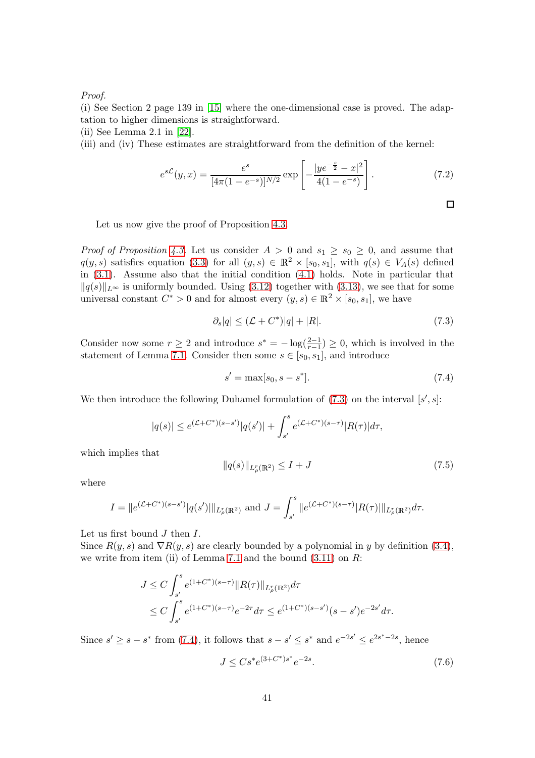#### Proof.

(i) See Section 2 page 139 in [\[15\]](#page-59-14) where the one-dimensional case is proved. The adaptation to higher dimensions is straightforward.

(ii) See Lemma 2.1 in [\[22\]](#page-59-11).

(iii) and (iv) These estimates are straightforward from the definition of the kernel:

<span id="page-40-4"></span>
$$
e^{s\mathcal{L}}(y,x) = \frac{e^s}{[4\pi(1-e^{-s})]^{N/2}} \exp\left[-\frac{|ye^{-\frac{s}{2}} - x|^2}{4(1-e^{-s})}\right].
$$
 (7.2)

Let us now give the proof of Proposition [4.3.](#page-17-2)

*Proof of Proposition [4.3.](#page-17-2)* Let us consider  $A > 0$  and  $s_1 \geq s_0 \geq 0$ , and assume that  $q(y, s)$  satisfies equation [\(3.3\)](#page-12-2) for all  $(y, s) \in \mathbb{R}^2 \times [s_0, s_1]$ , with  $q(s) \in V_A(s)$  defined in [\(3.1\)](#page-15-4). Assume also that the initial condition [\(4.1\)](#page-16-2) holds. Note in particular that  $||q(s)||_{L^{\infty}}$  is uniformly bounded. Using [\(3.12\)](#page-14-0) together with [\(3.13\)](#page-14-1), we see that for some universal constant  $C^* > 0$  and for almost every  $(y, s) \in \mathbb{R}^2 \times [s_0, s_1]$ , we have

<span id="page-40-0"></span>
$$
\partial_s|q| \leq (\mathcal{L} + C^*)|q| + |R|.\tag{7.3}
$$

Consider now some  $r \geq 2$  and introduce  $s^* = -\log(\frac{2-1}{r-1}) \geq 0$ , which is involved in the statement of Lemma [7.1.](#page-39-0) Consider then some  $s \in [s_0, s_1]$ , and introduce

<span id="page-40-1"></span>
$$
s' = \max[s_0, s - s^*].
$$
\n(7.4)

We then introduce the following Duhamel formulation of  $(7.3)$  on the interval  $[s', s]$ :

$$
|q(s)| \le e^{(\mathcal{L} + C^*)(s - s')} |q(s')| + \int_{s'}^s e^{(\mathcal{L} + C^*)(s - \tau)} |R(\tau)| d\tau,
$$

which implies that

<span id="page-40-2"></span>
$$
||q(s)||_{L_p^r(\mathbb{R}^2)} \le I + J \tag{7.5}
$$

where

$$
I = ||e^{(\mathcal{L} + C^*)(s - s')}|q(s')||_{L^r_\rho(\mathbb{R}^2)} \text{ and } J = \int_{s'}^s ||e^{(\mathcal{L} + C^*)(s - \tau)}|R(\tau)||_{L^r_\rho(\mathbb{R}^2)}d\tau.
$$

Let us first bound  $J$  then  $I$ .

Since  $R(y, s)$  and  $\nabla R(y, s)$  are clearly bounded by a polynomial in y by definition [\(3.4\)](#page-13-0), we write from item (ii) of Lemma [7.1](#page-39-0) and the bound  $(3.11)$  on R:

$$
J \leq C \int_{s'}^{s} e^{(1+C^*)(s-\tau)} \|R(\tau)\|_{L^r_\rho(\mathbb{R}^2)} d\tau
$$
  

$$
\leq C \int_{s'}^{s} e^{(1+C^*)(s-\tau)} e^{-2\tau} d\tau \leq e^{(1+C^*)(s-s')} (s-s') e^{-2s'} d\tau.
$$

Since  $s' \ge s - s^*$  from [\(7.4\)](#page-40-1), it follows that  $s - s' \le s^*$  and  $e^{-2s'} \le e^{2s^* - 2s}$ , hence

<span id="page-40-3"></span>
$$
J \le Cs^* e^{(3+C^*)s^*} e^{-2s}.
$$
\n(7.6)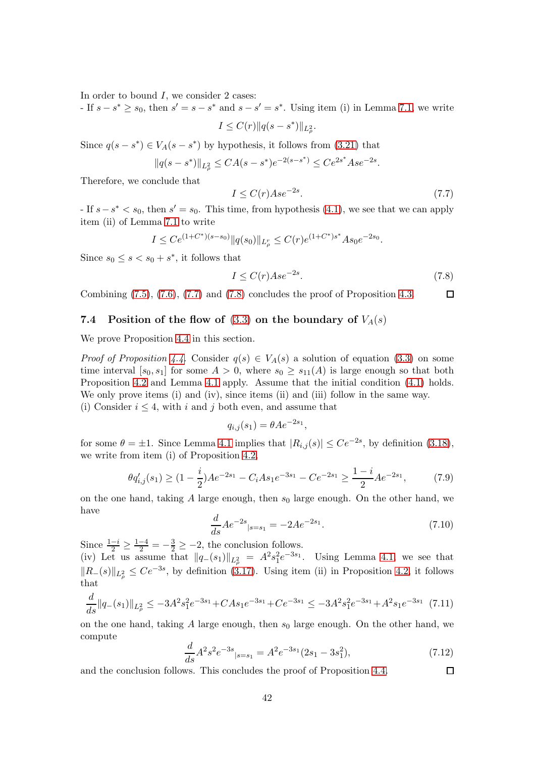In order to bound  $I$ , we consider 2 cases:

- If  $s - s^* \geq s_0$ , then  $s' = s - s^*$  and  $s - s' = s^*$ . Using item (i) in Lemma [7.1,](#page-39-0) we write ∗

$$
I \le C(r) \|q(s - s^*)\|_{L^2_{\rho}}.
$$

Since  $q(s - s^*) \in V_A(s - s^*)$  by hypothesis, it follows from [\(3.21\)](#page-15-0) that

$$
||q(s-s^*)||_{L^2_{\rho}} \leq CA(s-s^*)e^{-2(s-s^*)} \leq Ce^{2s^*}Ase^{-2s}.
$$

Therefore, we conclude that

<span id="page-41-1"></span>
$$
I \le C(r)Ase^{-2s}.\tag{7.7}
$$

- If  $s - s^*$  <  $s_0$ , then  $s' = s_0$ . This time, from hypothesis [\(4.1\)](#page-16-2), we see that we can apply item (ii) of Lemma [7.1](#page-39-0) to write

$$
I \le Ce^{(1+C^*)(s-s_0)} \|q(s_0)\|_{L^r_\rho} \le C(r)e^{(1+C^*)s^*}As_0e^{-2s_0}.
$$

Since  $s_0 \leq s < s_0 + s^*$ , it follows that

<span id="page-41-2"></span>
$$
I \le C(r)Ase^{-2s}.\tag{7.8}
$$

 $\Box$ 

<span id="page-41-0"></span>Combining  $(7.5)$ ,  $(7.6)$ ,  $(7.7)$  and  $(7.8)$  concludes the proof of Proposition [4.3.](#page-17-2)

#### 7.4 Position of the flow of  $(3.3)$  on the boundary of  $V_A(s)$

We prove Proposition [4.4](#page-17-0) in this section.

*Proof of Proposition [4.4.](#page-17-0)* Consider  $q(s) \in V_A(s)$  a solution of equation [\(3.3\)](#page-12-2) on some time interval  $[s_0, s_1]$  for some  $A > 0$ , where  $s_0 \geq s_{11}(A)$  is large enough so that both Proposition [4.2](#page-16-1) and Lemma [4.1](#page-16-3) apply. Assume that the initial condition [\(4.1\)](#page-16-2) holds. We only prove items (i) and (iv), since items (ii) and (iii) follow in the same way. (i) Consider  $i \leq 4$ , with i and j both even, and assume that

$$
q_{i,j}(s_1) = \theta A e^{-2s_1}
$$

for some  $\theta = \pm 1$ . Since Lemma [4.1](#page-16-3) implies that  $|R_{i,j}(s)| \le Ce^{-2s}$ , by definition [\(3.18\)](#page-15-5), we write from item (i) of Proposition [4.2,](#page-16-1)

$$
\theta q'_{i,j}(s_1) \ge (1 - \frac{i}{2})Ae^{-2s_1} - C_iAs_1e^{-3s_1} - Ce^{-2s_1} \ge \frac{1 - i}{2}Ae^{-2s_1},\tag{7.9}
$$

,

on the one hand, taking A large enough, then  $s_0$  large enough. On the other hand, we have

$$
\frac{d}{ds}Ae^{-2s}|_{s=s_1} = -2Ae^{-2s_1}.\tag{7.10}
$$

Since  $\frac{1-i}{2} \geq \frac{1-4}{2} = -\frac{3}{2} \geq -2$ , the conclusion follows. (iv) Let us assume that  $||q_-(s_1)||_{L^2_{\rho}} = A^2 s_1^2 e^{-3s_1}$ . Using Lemma [4.1,](#page-16-3) we see that  $||R_-(s)||_{L^2_\rho}$  ≤  $Ce^{-3s}$ , by definition [\(3.17\)](#page-15-2). Using item (ii) in Proposition [4.2,](#page-16-1) it follows that

$$
\frac{d}{ds} \|q_{-}(s_1)\|_{L^2_{\rho}} \le -3A^2 s_1^2 e^{-3s_1} + C A s_1 e^{-3s_1} + C e^{-3s_1} \le -3A^2 s_1^2 e^{-3s_1} + A^2 s_1 e^{-3s_1} \tag{7.11}
$$

on the one hand, taking  $A$  large enough, then  $s_0$  large enough. On the other hand, we compute

$$
\frac{d}{ds}A^2s^2e^{-3s}|_{s=s_1} = A^2e^{-3s_1}(2s_1 - 3s_1^2),\tag{7.12}
$$

 $\Box$ and the conclusion follows. This concludes the proof of Proposition [4.4.](#page-17-0)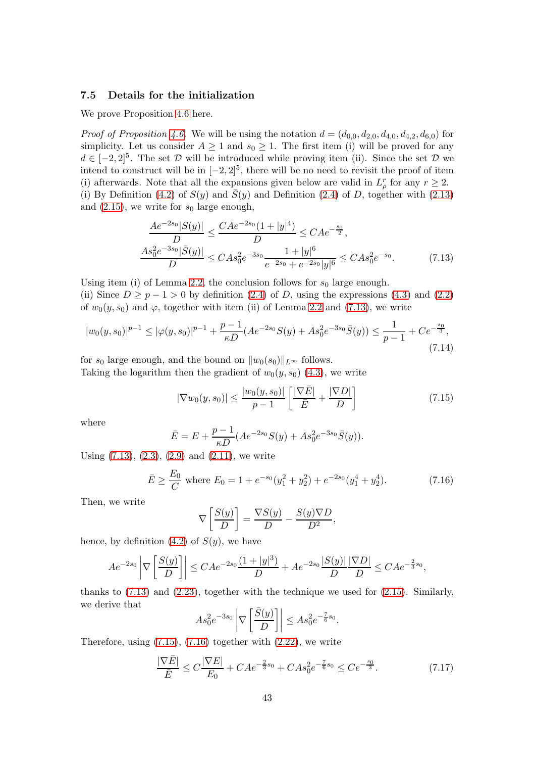#### <span id="page-42-0"></span>7.5 Details for the initialization

We prove Proposition [4.6](#page-18-3) here.

*Proof of Proposition [4.6.](#page-18-3)* We will be using the notation  $d = (d_{0,0}, d_{2,0}, d_{4,0}, d_{4,2}, d_{6,0})$  for simplicity. Let us consider  $A \geq 1$  and  $s_0 \geq 1$ . The first item (i) will be proved for any  $d \in [-2,2]^5$ . The set D will be introduced while proving item (ii). Since the set D we intend to construct will be in  $[-2, 2]^5$ , there will be no need to revisit the proof of item (i) afterwards. Note that all the expansions given below are valid in  $L_p^r$  for any  $r \geq 2$ . (i) By Definition [\(4.2\)](#page-18-0) of  $S(y)$  and  $\overline{S}(y)$  and Definition [\(2.4\)](#page-9-5) of D, together with [\(2.13\)](#page-10-6) and  $(2.15)$ , we write for  $s_0$  large enough,

$$
\frac{Ae^{-2s_0}|S(y)|}{D} \le \frac{CAe^{-2s_0}(1+|y|^4)}{D} \le CAe^{-\frac{s_0}{2}},
$$
\n
$$
\frac{As_0^2e^{-3s_0}|\bar{S}(y)|}{D} \le CAs_0^2e^{-3s_0}\frac{1+|y|^6}{e^{-2s_0}+e^{-2s_0}|y|^6} \le CAs_0^2e^{-s_0}.\tag{7.13}
$$

Using item (i) of Lemma [2.2,](#page-9-6) the conclusion follows for  $s_0$  large enough. (ii) Since  $D \ge p - 1 > 0$  by definition [\(2.4\)](#page-9-5) of D, using the expressions [\(4.3\)](#page-18-1) and [\(2.2\)](#page-9-1) of  $w_0(y, s_0)$  and  $\varphi$ , together with item (ii) of Lemma [2.2](#page-9-6) and [\(7.13\)](#page-42-1), we write

<span id="page-42-4"></span>
$$
|w_0(y, s_0)|^{p-1} \le |\varphi(y, s_0)|^{p-1} + \frac{p-1}{\kappa D} (Ae^{-2s_0}S(y) + As_0^2 e^{-3s_0} \bar{S}(y)) \le \frac{1}{p-1} + Ce^{-\frac{s_0}{3}},\tag{7.14}
$$

for  $s_0$  large enough, and the bound on  $||w_0(s_0)||_{L^{\infty}}$  follows. Taking the logarithm then the gradient of  $w_0(y, s_0)$  [\(4.3\)](#page-18-1), we write

<span id="page-42-2"></span><span id="page-42-1"></span>
$$
|\nabla w_0(y, s_0)| \le \frac{|w_0(y, s_0)|}{p - 1} \left[ \frac{|\nabla \bar{E}|}{\bar{E}} + \frac{|\nabla D|}{D} \right]
$$
(7.15)

where

$$
\bar{E} = E + \frac{p-1}{\kappa D} (Ae^{-2s_0}S(y) + As_0^2e^{-3s_0}\bar{S}(y)).
$$

Using  $(7.13)$ ,  $(2.3)$ ,  $(2.9)$  and  $(2.11)$ , we write

<span id="page-42-3"></span>
$$
\bar{E} \ge \frac{E_0}{C} \text{ where } E_0 = 1 + e^{-s_0} (y_1^2 + y_2^2) + e^{-2s_0} (y_1^4 + y_2^4). \tag{7.16}
$$

Then, we write

$$
\nabla \left[ \frac{S(y)}{D} \right] = \frac{\nabla S(y)}{D} - \frac{S(y)\nabla D}{D^2},
$$

hence, by definition  $(4.2)$  of  $S(y)$ , we have

$$
Ae^{-2s_0}\left|\nabla\left[\frac{S(y)}{D}\right]\right| \le C A e^{-2s_0} \frac{(1+|y|^3)}{D} + A e^{-2s_0} \frac{|S(y)|}{D} \frac{|\nabla D|}{D} \le C A e^{-\frac{2}{3}s_0},
$$

thanks to [\(7.13\)](#page-42-1) and [\(2.23\)](#page-12-3), together with the technique we used for [\(2.15\)](#page-10-4). Similarly, we derive that

$$
As_0^2 e^{-3s_0} \left| \nabla \left[ \frac{\bar{S}(y)}{D} \right] \right| \le As_0^2 e^{-\frac{7}{6}s_0}.
$$

Therefore, using  $(7.15)$ ,  $(7.16)$  together with  $(2.22)$ , we write

<span id="page-42-5"></span>
$$
\frac{|\nabla \bar{E}|}{\bar{E}} \le C \frac{|\nabla E|}{E_0} + C A e^{-\frac{2}{3}s_0} + C A s_0^2 e^{-\frac{7}{6}s_0} \le C e^{-\frac{s_0}{3}}.
$$
\n(7.17)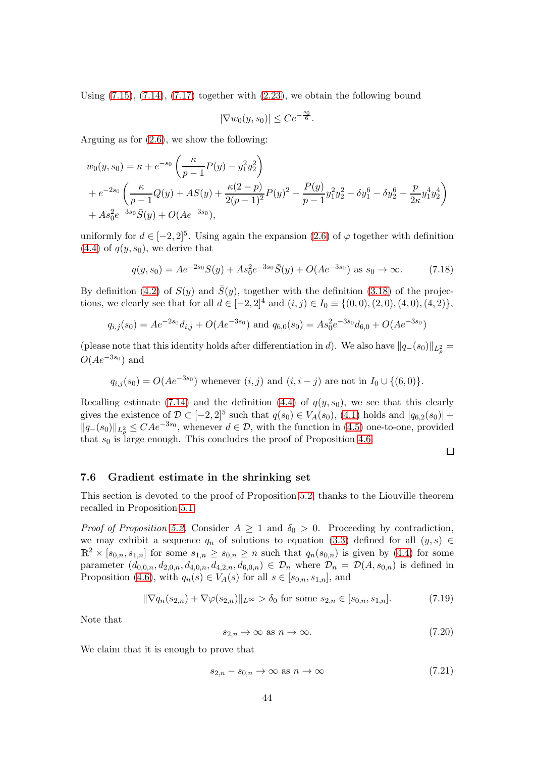Using  $(7.15)$ ,  $(7.14)$ ,  $(7.17)$  together with  $(2.23)$ , we obtain the following bound

$$
|\nabla w_0(y, s_0)| \leq Ce^{-\frac{s_0}{6}}.
$$

Arguing as for [\(2.6\)](#page-9-7), we show the following:

$$
w_0(y, s_0) = \kappa + e^{-s_0} \left( \frac{\kappa}{p-1} P(y) - y_1^2 y_2^2 \right)
$$
  
+  $e^{-2s_0} \left( \frac{\kappa}{p-1} Q(y) + AS(y) + \frac{\kappa(2-p)}{2(p-1)^2} P(y)^2 - \frac{P(y)}{p-1} y_1^2 y_2^2 - \delta y_1^6 - \delta y_2^6 + \frac{p}{2\kappa} y_1^4 y_2^4 \right)$   
+  $As_0^2 e^{-3s_0} \bar{S}(y) + O(Ae^{-3s_0}),$ 

uniformly for  $d \in [-2, 2]^5$ . Using again the expansion  $(2.6)$  of  $\varphi$  together with definition  $(4.4)$  of  $q(y, s_0)$ , we derive that

$$
q(y, s_0) = Ae^{-2s_0}S(y) + As_0^2e^{-3s_0}\bar{S}(y) + O(Ae^{-3s_0}) \text{ as } s_0 \to \infty.
$$
 (7.18)

By definition [\(4.2\)](#page-18-0) of  $S(y)$  and  $\overline{S}(y)$ , together with the definition [\(3.18\)](#page-15-5) of the projections, we clearly see that for all  $d \in [-2, 2]^4$  and  $(i, j) \in I_0 \equiv \{(0, 0), (2, 0), (4, 0), (4, 2)\},\$ 

$$
q_{i,j}(s_0) = Ae^{-2s_0}d_{i,j} + O(Ae^{-3s_0})
$$
 and  $q_{6,0}(s_0) = As_0^2e^{-3s_0}d_{6,0} + O(Ae^{-3s_0})$ 

(please note that this identity holds after differentiation in d). We also have  $||q_-(s_0)||_{L^2_\rho} =$  $O(Ae^{-3s_0})$  and

$$
q_{i,j}(s_0) = O(Ae^{-3s_0})
$$
 whenever  $(i, j)$  and  $(i, i - j)$  are not in  $I_0 \cup \{(6, 0)\}.$ 

Recalling estimate [\(7.14\)](#page-42-4) and the definition [\(4.4\)](#page-18-2) of  $q(y, s_0)$ , we see that this clearly gives the existence of  $\mathcal{D} \subset [-2,2]^5$  such that  $q(s_0) \in V_A(s_0)$ , [\(4.1\)](#page-16-2) holds and  $|q_{6,2}(s_0)| +$  $||q_{-}(s_0)||_{L^2_{\rho}} \leq CAe^{-3s_0}$ , whenever  $d \in \mathcal{D}$ , with the function in [\(4.5\)](#page-18-4) one-to-one, provided that  $s_0$  is large enough. This concludes the proof of Proposition [4.6.](#page-18-3)

#### <span id="page-43-0"></span>7.6 Gradient estimate in the shrinking set

This section is devoted to the proof of Proposition [5.2,](#page-19-2) thanks to the Liouville theorem recalled in Proposition [5.1.](#page-19-4)

*Proof of Proposition [5.2.](#page-19-2)* Consider  $A \geq 1$  and  $\delta_0 > 0$ . Proceeding by contradiction, we may exhibit a sequence  $q_n$  of solutions to equation [\(3.3\)](#page-12-2) defined for all  $(y, s) \in$  $\mathbb{R}^2 \times [s_{0,n}, s_{1,n}]$  for some  $s_{1,n} \geq s_{0,n} \geq n$  such that  $q_n(s_{0,n})$  is given by [\(4.4\)](#page-18-2) for some parameter  $(d_{0,0,n}, d_{2,0,n}, d_{4,0,n}, d_{4,2,n}, d_{6,0,n}) \in \mathcal{D}_n$  where  $\mathcal{D}_n = \mathcal{D}(A, s_{0,n})$  is defined in Proposition [\(4.6\)](#page-18-3), with  $q_n(s) \in V_A(s)$  for all  $s \in [s_{0,n}, s_{1,n}]$ , and

<span id="page-43-2"></span>
$$
\|\nabla q_n(s_{2,n}) + \nabla \varphi(s_{2,n})\|_{L^\infty} > \delta_0 \text{ for some } s_{2,n} \in [s_{0,n}, s_{1,n}].\tag{7.19}
$$

Note that

$$
s_{2,n} \to \infty \text{ as } n \to \infty. \tag{7.20}
$$

 $\Box$ 

We claim that it is enough to prove that

<span id="page-43-1"></span>
$$
s_{2,n} - s_{0,n} \to \infty \text{ as } n \to \infty \tag{7.21}
$$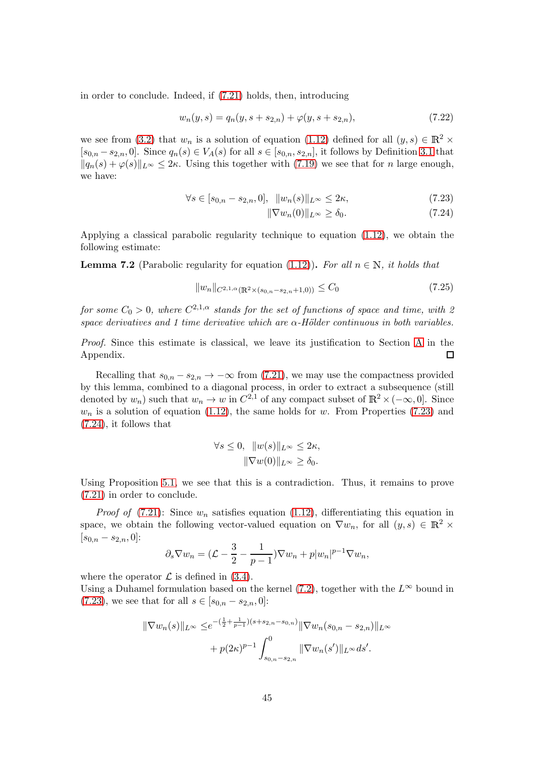in order to conclude. Indeed, if [\(7.21\)](#page-43-1) holds, then, introducing

<span id="page-44-2"></span>
$$
w_n(y,s) = q_n(y,s + s_{2,n}) + \varphi(y,s + s_{2,n}),
$$
\n(7.22)

we see from [\(3.2\)](#page-12-1) that  $w_n$  is a solution of equation [\(1.12\)](#page-3-1) defined for all  $(y, s) \in \mathbb{R}^2$  ×  $[s_{0,n} - s_{2,n}, 0]$ . Since  $q_n(s) \in V_A(s)$  for all  $s \in [s_{0,n}, s_{2,n}]$ , it follows by Definition [3.1](#page-15-4) that  $||q_n(s) + \varphi(s)||_{L^{\infty}} \leq 2\kappa$ . Using this together with [\(7.19\)](#page-43-2) we see that for n large enough, we have:

$$
\forall s \in [s_{0,n} - s_{2,n}, 0], \ \ \|w_n(s)\|_{L^\infty} \le 2\kappa,\tag{7.23}
$$

<span id="page-44-1"></span><span id="page-44-0"></span>
$$
\|\nabla w_n(0)\|_{L^\infty} \ge \delta_0. \tag{7.24}
$$

Applying a classical parabolic regularity technique to equation [\(1.12\)](#page-3-1), we obtain the following estimate:

<span id="page-44-3"></span>**Lemma 7.2** (Parabolic regularity for equation [\(1.12\)](#page-3-1)). For all  $n \in \mathbb{N}$ , it holds that

<span id="page-44-4"></span>
$$
||w_n||_{C^{2,1,\alpha}(\mathbb{R}^2 \times (s_{0,n} - s_{2,n} + 1,0))} \le C_0
$$
\n(7.25)

for some  $C_0 > 0$ , where  $C^{2,1,\alpha}$  stands for the set of functions of space and time, with 2 space derivatives and 1 time derivative which are  $\alpha$ -Hölder continuous in both variables.

Proof. Since this estimate is classical, we leave its justification to Section [A](#page-52-0) in the Appendix. □

Recalling that  $s_{0,n} - s_{2,n} \rightarrow -\infty$  from [\(7.21\)](#page-43-1), we may use the compactness provided by this lemma, combined to a diagonal process, in order to extract a subsequence (still denoted by  $w_n$ ) such that  $w_n \to w$  in  $C^{2,1}$  of any compact subset of  $\mathbb{R}^2 \times (-\infty, 0]$ . Since  $w_n$  is a solution of equation [\(1.12\)](#page-3-1), the same holds for w. From Properties [\(7.23\)](#page-44-0) and [\(7.24\)](#page-44-1), it follows that

$$
\forall s \le 0, \quad ||w(s)||_{L^{\infty}} \le 2\kappa,
$$

$$
||\nabla w(0)||_{L^{\infty}} \ge \delta_0.
$$

Using Proposition [5.1,](#page-19-4) we see that this is a contradiction. Thus, it remains to prove [\(7.21\)](#page-43-1) in order to conclude.

*Proof of* [\(7.21\)](#page-43-1): Since  $w_n$  satisfies equation [\(1.12\)](#page-3-1), differentiating this equation in space, we obtain the following vector-valued equation on  $\nabla w_n$ , for all  $(y, s) \in \mathbb{R}^2$  $[s_{0,n} - s_{2,n}, 0]$ :

$$
\partial_s \nabla w_n = (\mathcal{L} - \frac{3}{2} - \frac{1}{p-1}) \nabla w_n + p|w_n|^{p-1} \nabla w_n,
$$

where the operator  $\mathcal L$  is defined in [\(3.4\)](#page-13-0).

Using a Duhamel formulation based on the kernel [\(7.2\)](#page-40-4), together with the  $L^{\infty}$  bound in [\(7.23\)](#page-44-0), we see that for all  $s \in [s_{0,n} - s_{2,n}, 0]$ :

$$
\|\nabla w_n(s)\|_{L^\infty} \leq e^{-\left(\frac{1}{2} + \frac{1}{p-1}\right)(s+s_{2,n}-s_{0,n})} \|\nabla w_n(s_{0,n}-s_{2,n})\|_{L^\infty}
$$

$$
+ p(2\kappa)^{p-1} \int_{s_{0,n}-s_{2,n}}^0 \|\nabla w_n(s')\|_{L^\infty} ds'.
$$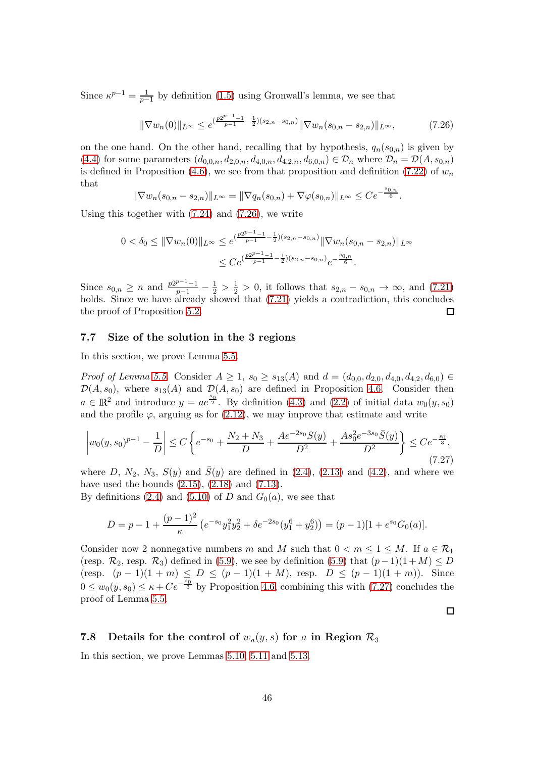Since  $\kappa^{p-1} = \frac{1}{p-1}$  $\frac{1}{p-1}$  by definition [\(1.5\)](#page-1-7) using Gronwall's lemma, we see that

<span id="page-45-2"></span>
$$
\|\nabla w_n(0)\|_{L^\infty} \le e^{\left(\frac{p2^{p-1}-1}{p-1} - \frac{1}{2}\right)(s_{2,n} - s_{0,n})} \|\nabla w_n(s_{0,n} - s_{2,n})\|_{L^\infty},\tag{7.26}
$$

on the one hand. On the other hand, recalling that by hypothesis,  $q_n(s_{0,n})$  is given by [\(4.4\)](#page-18-2) for some parameters  $(d_{0,0,n}, d_{2,0,n}, d_{4,0,n}, d_{4,2,n}, d_{6,0,n}) \in \mathcal{D}_n$  where  $\mathcal{D}_n = \mathcal{D}(A, s_{0,n})$ is defined in Proposition [\(4.6\)](#page-18-3), we see from that proposition and definition [\(7.22\)](#page-44-2) of  $w_n$ that  $s_{0,n}$ 

$$
\|\nabla w_n(s_{0,n}-s_{2,n})\|_{L^\infty}=\|\nabla q_n(s_{0,n})+\nabla\varphi(s_{0,n})\|_{L^\infty}\leq Ce^{-\frac{-(n+1)}{6}}.
$$

Using this together with [\(7.24\)](#page-44-1) and [\(7.26\)](#page-45-2), we write

$$
0 < \delta_0 \leq \|\nabla w_n(0)\|_{L^{\infty}} \leq e^{(\frac{p2^{p-1}-1}{p-1}-\frac{1}{2})(s_{2,n}-s_{0,n})} \|\nabla w_n(s_{0,n}-s_{2,n})\|_{L^{\infty}}
$$
  

$$
\leq C e^{(\frac{p2^{p-1}-1}{p-1}-\frac{1}{2})(s_{2,n}-s_{0,n})} e^{-\frac{s_{0,n}}{6}}.
$$

Since  $s_{0,n} \geq n$  and  $\frac{p2^{p-1}-1}{p-1}$  $\frac{p-1}{p-1} - \frac{1}{2} > \frac{1}{2} > 0$ , it follows that  $s_{2,n} - s_{0,n} \to \infty$ , and [\(7.21\)](#page-43-1) holds. Since we have already showed that  $(7.21)$  yields a contradiction, this concludes the proof of Proposition [5.2.](#page-19-2) □

### <span id="page-45-0"></span>7.7 Size of the solution in the 3 regions

In this section, we prove Lemma [5.5.](#page-21-0)

*Proof of Lemma [5.5.](#page-21-0)* Consider  $A \geq 1$ ,  $s_0 \geq s_{13}(A)$  and  $d = (d_{0,0}, d_{2,0}, d_{4,0}, d_{4,2}, d_{6,0}) \in$  $\mathcal{D}(A, s_0)$ , where  $s_{13}(A)$  and  $\mathcal{D}(A, s_0)$  are defined in Proposition [4.6.](#page-18-3) Consider then  $a \in \mathbb{R}^2$  and introduce  $y = ae^{\frac{s_0}{2}}$ . By definition [\(4.3\)](#page-18-1) and [\(2.2\)](#page-9-1) of initial data  $w_0(y, s_0)$ and the profile  $\varphi$ , arguing as for [\(2.12\)](#page-10-2), we may improve that estimate and write

<span id="page-45-3"></span>
$$
\left| w_0(y, s_0)^{p-1} - \frac{1}{D} \right| \le C \left\{ e^{-s_0} + \frac{N_2 + N_3}{D} + \frac{A e^{-2s_0} S(y)}{D^2} + \frac{A s_0^2 e^{-3s_0} \bar{S}(y)}{D^2} \right\} \le C e^{-\frac{s_0}{3}},\tag{7.27}
$$

where D,  $N_2$ ,  $N_3$ ,  $S(y)$  and  $\overline{S}(y)$  are defined in [\(2.4\)](#page-9-5), [\(2.13\)](#page-10-6) and [\(4.2\)](#page-18-0), and where we have used the bounds [\(2.15\)](#page-10-4), [\(2.18\)](#page-11-2) and [\(7.13\)](#page-42-1).

By definitions [\(2.4\)](#page-9-5) and [\(5.10\)](#page-21-2) of D and  $G_0(a)$ , we see that

$$
D = p - 1 + \frac{(p-1)^2}{\kappa} \left( e^{-s_0} y_1^2 y_2^2 + \delta e^{-2s_0} (y_1^6 + y_2^6) \right) = (p-1)[1 + e^{s_0} G_0(a)].
$$

Consider now 2 nonnegative numbers m and M such that  $0 < m \leq 1 \leq M$ . If  $a \in \mathcal{R}_1$ (resp.  $\mathcal{R}_2$ , resp.  $\mathcal{R}_3$ ) defined in [\(5.9\)](#page-21-1), we see by definition (5.9) that  $(p-1)(1+M) \leq D$ (resp.  $(p-1)(1+m) \le D \le (p-1)(1+M)$ , resp.  $D \le (p-1)(1+m)$ ). Since  $0 \leq w_0(y, s_0) \leq \kappa + C e^{-\frac{s_0}{3}}$  by Proposition [4.6,](#page-18-3) combining this with [\(7.27\)](#page-45-3) concludes the proof of Lemma [5.5.](#page-21-0)

 $\Box$ 

### <span id="page-45-1"></span>7.8 Details for the control of  $w_a(y, s)$  for a in Region  $\mathcal{R}_3$

In this section, we prove Lemmas [5.10,](#page-24-5) [5.11](#page-25-0) and [5.13.](#page-27-2)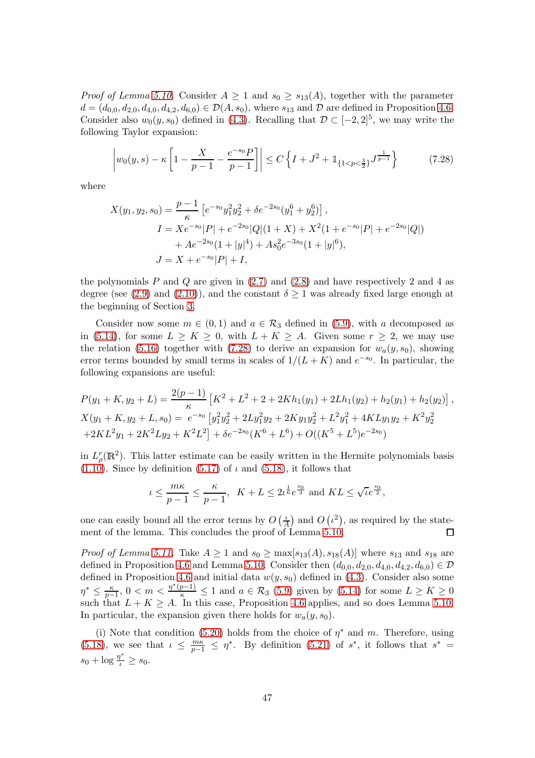*Proof of Lemma [5.10.](#page-24-5)* Consider  $A \geq 1$  and  $s_0 \geq s_{13}(A)$ , together with the parameter  $d = (d_{0,0}, d_{2,0}, d_{4,0}, d_{4,2}, d_{6,0}) \in \mathcal{D}(A, s_0)$ , where  $s_{13}$  and  $\mathcal{D}$  are defined in Proposition [4.6.](#page-18-3) Consider also  $w_0(y, s_0)$  defined in [\(4.3\)](#page-18-1). Recalling that  $\mathcal{D} \subset [-2, 2]^5$ , we may write the following Taylor expansion:

<span id="page-46-0"></span>
$$
\left| w_0(y,s) - \kappa \left[ 1 - \frac{X}{p-1} - \frac{e^{-s_0} P}{p-1} \right] \right| \le C \left\{ I + J^2 + \mathbb{1}_{\{1 < p < \frac{3}{2}\}} J^{\frac{1}{p-1}} \right\} \tag{7.28}
$$

where

$$
X(y_1, y_2, s_0) = \frac{p-1}{\kappa} \left[ e^{-s_0} y_1^2 y_2^2 + \delta e^{-2s_0} (y_1^6 + y_2^6) \right],
$$
  
\n
$$
I = X e^{-s_0} |P| + e^{-2s_0} |Q| (1 + X) + X^2 (1 + e^{-s_0} |P| + e^{-2s_0} |Q|)
$$
  
\n
$$
+ A e^{-2s_0} (1 + |y|^4) + A s_0^2 e^{-3s_0} (1 + |y|^6),
$$
  
\n
$$
J = X + e^{-s_0} |P| + I,
$$

the polynomials  $P$  and  $Q$  are given in  $(2.7)$  and  $(2.8)$  and have respectively 2 and 4 as degree (see [\(2.9\)](#page-10-0) and [\(2.10\)](#page-10-1)), and the constant  $\delta \geq 1$  was already fixed large enough at the beginning of Section [3.](#page-12-0)

Consider now some  $m \in (0,1)$  and  $a \in \mathcal{R}_3$  defined in [\(5.9\)](#page-21-1), with a decomposed as in [\(5.14\)](#page-23-3), for some  $L \geq K \geq 0$ , with  $L + K \geq A$ . Given some  $r \geq 2$ , we may use the relation [\(5.16\)](#page-24-3) together with [\(7.28\)](#page-46-0) to derive an expansion for  $w_a(y, s_0)$ , showing error terms bounded by small terms in scales of  $1/(L+K)$  and  $e^{-s_0}$ . In particular, the following expansions are useful:

$$
P(y_1 + K, y_2 + L) = \frac{2(p-1)}{\kappa} \left[ K^2 + L^2 + 2 + 2Kh_1(y_1) + 2Lh_1(y_2) + h_2(y_1) + h_2(y_2) \right],
$$
  
\n
$$
X(y_1 + K, y_2 + L, s_0) = e^{-s_0} \left[ y_1^2 y_2^2 + 2Ly_1^2 y_2 + 2Ky_1 y_2^2 + L^2 y_1^2 + 4KLy_1 y_2 + K^2 y_2^2 + 2KL^2 y_1 + 2K^2 Ly_2 + K^2 L^2 \right] + \delta e^{-2s_0} (K^6 + L^6) + O((K^5 + L^5)e^{-2s_0})
$$

in  $L^r_{\rho}(\mathbb{R}^2)$ . This latter estimate can be easily written in the Hermite polynomials basis [\(1.10\)](#page-1-6). Since by definition [\(5.17\)](#page-24-0) of  $\iota$  and [\(5.18\)](#page-24-1), it follows that

$$
\iota \le \frac{m\kappa}{p-1} \le \frac{\kappa}{p-1}, \ \ K + L \le 2\iota^{\frac{1}{6}}e^{\frac{s_0}{3}} \text{ and } KL \le \sqrt{\iota}e^{\frac{s_0}{2}},
$$

one can easily bound all the error terms by  $O\left(\frac{b}{\lambda}\right)$  $\frac{\iota}{A}$ ) and  $O(i^2)$ , as required by the statement of the lemma. This concludes the proof of Lemma [5.10.](#page-24-5) 口

*Proof of Lemma [5.11.](#page-25-0)* Take  $A \geq 1$  and  $s_0 \geq \max[s_{13}(A), s_{18}(A)]$  where  $s_{13}$  and  $s_{18}$  are defined in Proposition [4.6](#page-18-3) and Lemma [5.10.](#page-24-5) Consider then  $(d_{0,0}, d_{2,0}, d_{4,0}, d_{4,2}, d_{6,0}) \in \mathcal{D}$ defined in Proposition [4.6](#page-18-3) and initial data  $w(y, s_0)$  defined in [\(4.3\)](#page-18-1). Consider also some  $\eta^* \leq \frac{\kappa}{p-1}$  $\frac{\kappa}{p-1}$ ,  $0 < m < \frac{\eta^*(p-1)}{\kappa} \le 1$  and  $a \in \mathcal{R}_3$  [\(5.9\)](#page-21-1) given by [\(5.14\)](#page-23-3) for some  $L \ge K \ge 0$ such that  $L + K \geq A$ . In this case, Proposition [4.6](#page-18-3) applies, and so does Lemma [5.10.](#page-24-5) In particular, the expansion given there holds for  $w_a(y, s_0)$ .

(i) Note that condition [\(5.20\)](#page-24-2) holds from the choice of  $\eta^*$  and m. Therefore, using [\(5.18\)](#page-24-1), we see that  $\iota \leq \frac{m\kappa}{p-1} \leq \eta^*$ . By definition [\(5.21\)](#page-25-1) of  $s^*$ , it follows that  $s^* =$  $s_0 + \log \frac{\eta^*}{\iota} \geq s_0.$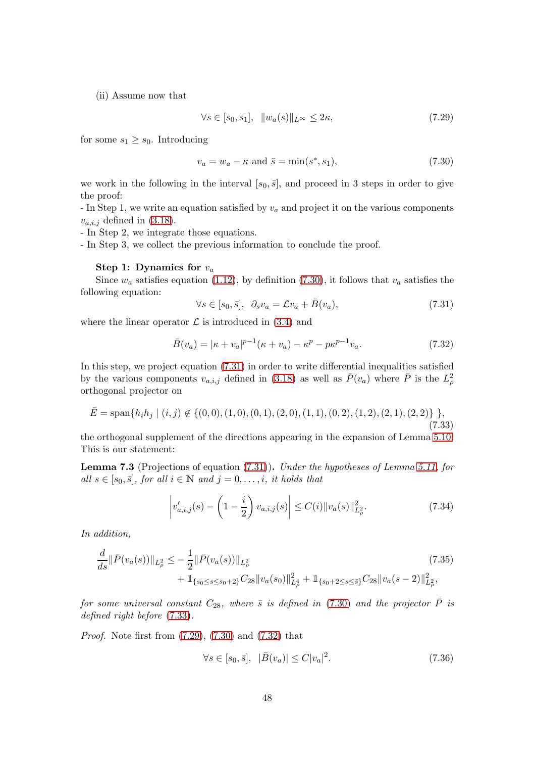(ii) Assume now that

<span id="page-47-3"></span>
$$
\forall s \in [s_0, s_1], \quad \|w_a(s)\|_{L^\infty} \le 2\kappa,\tag{7.29}
$$

for some  $s_1 \geq s_0$ . Introducing

<span id="page-47-1"></span>
$$
v_a = w_a - \kappa \text{ and } \bar{s} = \min(s^*, s_1),\tag{7.30}
$$

we work in the following in the interval  $[s_0, \bar{s}]$ , and proceed in 3 steps in order to give the proof:

- In Step 1, we write an equation satisfied by  $v_a$  and project it on the various components  $v_{a,i,j}$  defined in [\(3.18\)](#page-15-5).

- In Step 2, we integrate those equations.

- In Step 3, we collect the previous information to conclude the proof.

#### Step 1: Dynamics for  $v_a$

Since  $w_a$  satisfies equation [\(1.12\)](#page-3-1), by definition [\(7.30\)](#page-47-1), it follows that  $v_a$  satisfies the following equation:

<span id="page-47-0"></span>
$$
\forall s \in [s_0, \bar{s}], \ \partial_s v_a = \mathcal{L}v_a + \bar{B}(v_a), \tag{7.31}
$$

where the linear operator  $\mathcal L$  is introduced in [\(3.4\)](#page-13-0) and

<span id="page-47-4"></span>
$$
\bar{B}(v_a) = |\kappa + v_a|^{p-1} (\kappa + v_a) - \kappa^p - p\kappa^{p-1} v_a.
$$
\n(7.32)

In this step, we project equation [\(7.31\)](#page-47-0) in order to write differential inequalities satisfied by the various components  $v_{a,i,j}$  defined in [\(3.18\)](#page-15-5) as well as  $\bar{P}(v_a)$  where  $\bar{P}$  is the  $L^2_{\rho}$ orthogonal projector on

<span id="page-47-2"></span>
$$
\bar{E} = \text{span}\{h_i h_j \mid (i, j) \notin \{ (0, 0), (1, 0), (0, 1), (2, 0), (1, 1), (0, 2), (1, 2), (2, 1), (2, 2) \} \},\tag{7.33}
$$

the orthogonal supplement of the directions appearing in the expansion of Lemma [5.10.](#page-24-5) This is our statement:

<span id="page-47-8"></span>Lemma 7.3 (Projections of equation [\(7.31\)](#page-47-0)). Under the hypotheses of Lemma [5.11,](#page-25-0) for all  $s \in [s_0, \bar{s}],$  for all  $i \in \mathbb{N}$  and  $j = 0, \ldots, i$ , it holds that

<span id="page-47-5"></span>
$$
\left| v'_{a,i,j}(s) - \left( 1 - \frac{i}{2} \right) v_{a,i,j}(s) \right| \le C(i) \| v_a(s) \|_{L^2_{\rho}}^2.
$$
 (7.34)

In addition,

$$
\frac{d}{ds} \|\bar{P}(v_a(s))\|_{L^2_{\rho}} \leq -\frac{1}{2} \|\bar{P}(v_a(s))\|_{L^2_{\rho}} \tag{7.35}
$$
\n
$$
+ \mathbb{1}_{\{s_0 \leq s \leq s_0+2\}} C_{28} \|v_a(s_0)\|_{L^4_{\rho}}^2 + \mathbb{1}_{\{s_0+2 \leq s \leq \bar{s}\}} C_{28} \|v_a(s-2)\|_{L^2_{\rho}}^2,
$$

for some universal constant  $C_{28}$ , where  $\bar{s}$  is defined in [\(7.30\)](#page-47-1) and the projector  $\bar{P}$  is defined right before [\(7.33\)](#page-47-2).

Proof. Note first from [\(7.29\)](#page-47-3), [\(7.30\)](#page-47-1) and [\(7.32\)](#page-47-4) that

<span id="page-47-7"></span><span id="page-47-6"></span>
$$
\forall s \in [s_0, \bar{s}], \ \ |\bar{B}(v_a)| \le C|v_a|^2. \tag{7.36}
$$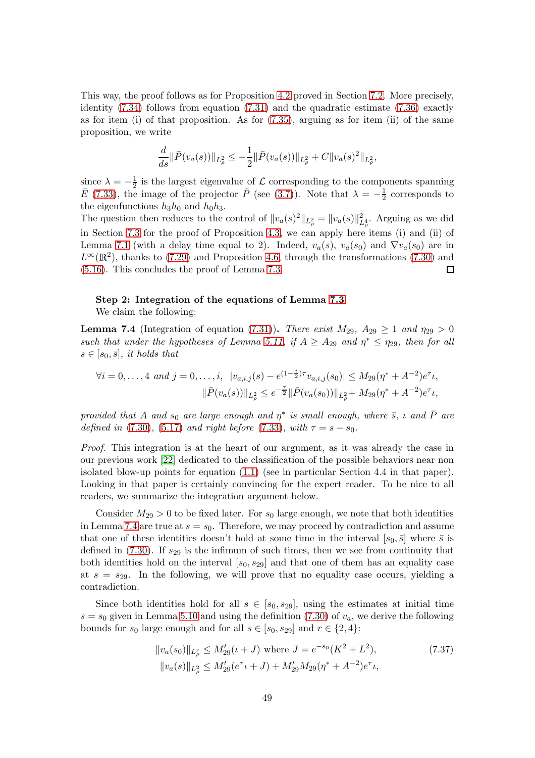This way, the proof follows as for Proposition [4.2](#page-16-1) proved in Section [7.2.](#page-38-2) More precisely, identity  $(7.34)$  follows from equation  $(7.31)$  and the quadratic estimate  $(7.36)$  exactly as for item (i) of that proposition. As for [\(7.35\)](#page-47-7), arguing as for item (ii) of the same proposition, we write

$$
\frac{d}{ds} \|\bar{P}(v_a(s))\|_{L^2_{\rho}} \leq -\frac{1}{2} \|\bar{P}(v_a(s))\|_{L^2_{\rho}} + C \|v_a(s)^2\|_{L^2_{\rho}},
$$

since  $\lambda = -\frac{1}{2}$  $\frac{1}{2}$  is the largest eigenvalue of  $\mathcal L$  corresponding to the components spanning  $\bar{E}$  [\(7.33\)](#page-47-2), the image of the projector  $\bar{P}$  (see [\(3.7\)](#page-13-5)). Note that  $\lambda = -\frac{1}{2}$  $\frac{1}{2}$  corresponds to the eigenfunctions  $h_3h_0$  and  $h_0h_3$ .

The question then reduces to the control of  $||v_a(s)^2||_{L^2_\rho} = ||v_a(s)||^2_{L^4_\rho}$ . Arguing as we did in Section [7.3](#page-39-1) for the proof of Proposition [4.3,](#page-17-2) we can apply here items (i) and (ii) of Lemma [7.1](#page-39-0) (with a delay time equal to 2). Indeed,  $v_a(s)$ ,  $v_a(s_0)$  and  $\nabla v_a(s_0)$  are in  $L^{\infty}(\mathbb{R}^2)$ , thanks to [\(7.29\)](#page-47-3) and Proposition [4.6,](#page-18-3) through the transformations [\(7.30\)](#page-47-1) and [\(5.16\)](#page-24-3). This concludes the proof of Lemma [7.3.](#page-47-8)  $\Box$ 

#### Step 2: Integration of the equations of Lemma [7.3](#page-47-8) We claim the following:

<span id="page-48-0"></span>**Lemma 7.4** (Integration of equation [\(7.31\)](#page-47-0)). There exist  $M_{29}$ ,  $A_{29} \ge 1$  and  $\eta_{29} > 0$ such that under the hypotheses of Lemma [5.11,](#page-25-0) if  $A \geq A_{29}$  and  $\eta^* \leq \eta_{29}$ , then for all  $s \in [s_0, \bar{s}],$  it holds that

$$
\forall i = 0, ..., 4 \text{ and } j = 0, ..., i, \ |v_{a,i,j}(s) - e^{(1-\frac{i}{2})\tau}v_{a,i,j}(s_0)| \leq M_{29}(\eta^* + A^{-2})e^{\tau}u,
$$

$$
\|\bar{P}(v_a(s))\|_{L^2_{\rho}} \leq e^{-\frac{\tau}{2}}\|\bar{P}(v_a(s_0))\|_{L^2_{\rho}} + M_{29}(\eta^* + A^{-2})e^{\tau}u,
$$

provided that A and  $s_0$  are large enough and  $\eta^*$  is small enough, where  $\bar{s}$ ,  $\iota$  and  $\bar{P}$  are defined in [\(7.30\)](#page-47-1), [\(5.17\)](#page-24-0) and right before [\(7.33\)](#page-47-2), with  $\tau = s - s_0$ .

Proof. This integration is at the heart of our argument, as it was already the case in our previous work [\[22\]](#page-59-11) dedicated to the classification of the possible behaviors near non isolated blow-up points for equation [\(1.1\)](#page-0-0) (see in particular Section 4.4 in that paper). Looking in that paper is certainly convincing for the expert reader. To be nice to all readers, we summarize the integration argument below.

Consider  $M_{29} > 0$  to be fixed later. For  $s_0$  large enough, we note that both identities in Lemma [7.4](#page-48-0) are true at  $s = s_0$ . Therefore, we may proceed by contradiction and assume that one of these identities doesn't hold at some time in the interval  $[s_0, \bar{s}]$  where  $\bar{s}$  is defined in  $(7.30)$ . If  $s_{29}$  is the infimum of such times, then we see from continuity that both identities hold on the interval  $[s_0, s_{29}]$  and that one of them has an equality case at  $s = s_{29}$ . In the following, we will prove that no equality case occurs, yielding a contradiction.

Since both identities hold for all  $s \in [s_0, s_2]$ , using the estimates at initial time  $s = s_0$  given in Lemma [5.10](#page-24-5) and using the definition [\(7.30\)](#page-47-1) of  $v_a$ , we derive the following bounds for  $s_0$  large enough and for all  $s \in [s_0, s_2]$  and  $r \in \{2, 4\}$ :

<span id="page-48-1"></span>
$$
||v_a(s_0)||_{L^r_\rho} \le M'_{29}(\iota + J) \text{ where } J = e^{-s_0}(K^2 + L^2),
$$
  
\n
$$
||v_a(s)||_{L^2_\rho} \le M'_{29}(e^{\tau}\iota + J) + M'_{29}M_{29}(\eta^* + A^{-2})e^{\tau}\iota,
$$
\n(7.37)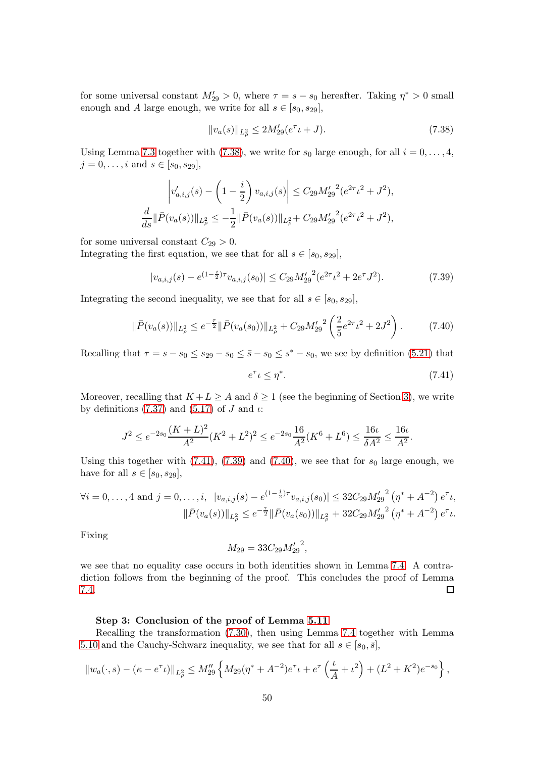for some universal constant  $M'_{29} > 0$ , where  $\tau = s - s_0$  hereafter. Taking  $\eta^* > 0$  small enough and A large enough, we write for all  $s \in [s_0, s_{29}]$ ,

<span id="page-49-0"></span>
$$
||v_a(s)||_{L^2_{\rho}} \le 2M'_{29}(e^{\tau} \iota + J). \tag{7.38}
$$

Using Lemma [7.3](#page-47-8) together with [\(7.38\)](#page-49-0), we write for  $s_0$  large enough, for all  $i = 0, \ldots, 4$ ,  $j = 0, \ldots, i$  and  $s \in [s_0, s_{29}]$ ,

$$
\left|v'_{a,i,j}(s) - \left(1 - \frac{i}{2}\right)v_{a,i,j}(s)\right| \le C_{29}M'_{29}^2(e^{2\tau}L^2 + J^2),
$$
  

$$
\frac{d}{ds}\|\bar{P}(v_a(s))\|_{L^2_{\rho}} \le -\frac{1}{2}\|\bar{P}(v_a(s))\|_{L^2_{\rho}} + C_{29}M'_{29}^2(e^{2\tau}L^2 + J^2),
$$

for some universal constant  $C_{29} > 0$ .

Integrating the first equation, we see that for all  $s \in [s_0, s_{29}]$ ,

<span id="page-49-2"></span>
$$
|v_{a,i,j}(s) - e^{(1-\frac{i}{2})\tau} v_{a,i,j}(s_0)| \le C_{29} M'_{29}^2 (e^{2\tau} \iota^2 + 2e^{\tau} J^2). \tag{7.39}
$$

Integrating the second inequality, we see that for all  $s \in [s_0, s_{29}]$ ,

$$
\|\bar{P}(v_a(s))\|_{L^2_{\rho}} \le e^{-\frac{\tau}{2}} \|\bar{P}(v_a(s_0))\|_{L^2_{\rho}} + C_{29} M'_{29}^2 \left(\frac{2}{5} e^{2\tau} t^2 + 2J^2\right). \tag{7.40}
$$

Recalling that  $\tau = s - s_0 \leq s_{29} - s_0 \leq \bar{s} - s_0 \leq s^* - s_0$ , we see by definition [\(5.21\)](#page-25-1) that

<span id="page-49-3"></span><span id="page-49-1"></span>
$$
e^{\tau} \iota \le \eta^*.\tag{7.41}
$$

Moreover, recalling that  $K + L \geq A$  and  $\delta \geq 1$  (see the beginning of Section [3\)](#page-12-0), we write by definitions [\(7.37\)](#page-48-1) and [\(5.17\)](#page-24-0) of J and  $\iota$ :

$$
J^2 \le e^{-2s_0} \frac{(K+L)^2}{A^2} (K^2+L^2)^2 \le e^{-2s_0} \frac{16}{A^2} (K^6+L^6) \le \frac{16\iota}{\delta A^2} \le \frac{16\iota}{A^2}.
$$

Using this together with  $(7.41)$ ,  $(7.39)$  and  $(7.40)$ , we see that for  $s_0$  large enough, we have for all  $s \in [s_0, s_{29}]$ ,

$$
\forall i = 0, \dots, 4 \text{ and } j = 0, \dots, i, \ |v_{a,i,j}(s) - e^{(1 - \frac{i}{2})\tau} v_{a,i,j}(s_0)| \leq 32C_{29}M'_{29}^2 \left(\eta^* + A^{-2}\right)e^{\tau}u,
$$

$$
\|\bar{P}(v_a(s))\|_{L^2_\rho} \leq e^{-\frac{\tau}{2}} \|\bar{P}(v_a(s_0))\|_{L^2_\rho} + 32C_{29}M'_{29}^2 \left(\eta^* + A^{-2}\right)e^{\tau}u.
$$

Fixing

$$
M_{29} = 33C_{29}M_{29}'^{2},
$$

we see that no equality case occurs in both identities shown in Lemma [7.4.](#page-48-0) A contradiction follows from the beginning of the proof. This concludes the proof of Lemma [7.4.](#page-48-0)  $\Box$ 

#### Step 3: Conclusion of the proof of Lemma [5.11](#page-25-0)

Recalling the transformation [\(7.30\)](#page-47-1), then using Lemma [7.4](#page-48-0) together with Lemma [5.10](#page-24-5) and the Cauchy-Schwarz inequality, we see that for all  $s \in [s_0, \bar{s}],$ 

$$
||w_a(\cdot, s) - (\kappa - e^{\tau} \iota)||_{L^2_{\rho}} \le M''_{29} \left\{ M_{29}(\eta^* + A^{-2})e^{\tau} \iota + e^{\tau} \left( \frac{\iota}{A} + \iota^2 \right) + (L^2 + K^2)e^{-s_0} \right\},
$$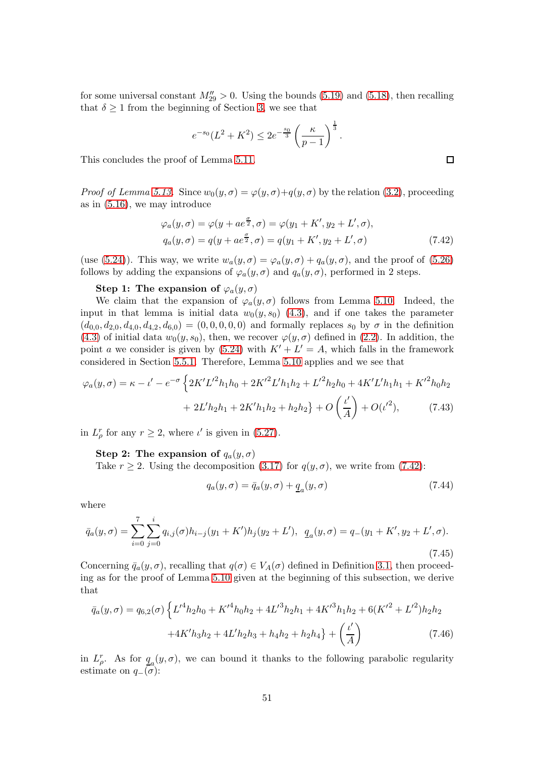for some universal constant  $M''_{29} > 0$ . Using the bounds [\(5.19\)](#page-24-6) and [\(5.18\)](#page-24-1), then recalling that  $\delta \geq 1$  from the beginning of Section [3,](#page-12-0) we see that

<span id="page-50-0"></span>
$$
e^{-s_0}(L^2 + K^2) \le 2e^{-\frac{s_0}{3}} \left(\frac{\kappa}{p-1}\right)^{\frac{1}{3}}.
$$

This concludes the proof of Lemma [5.11.](#page-25-0)

*Proof of Lemma [5.13.](#page-27-2)* Since  $w_0(y, \sigma) = \varphi(y, \sigma) + q(y, \sigma)$  by the relation [\(3.2\)](#page-12-1), proceeding as in [\(5.16\)](#page-24-3), we may introduce

$$
\varphi_a(y,\sigma) = \varphi(y + ae^{\frac{\sigma}{2}}, \sigma) = \varphi(y_1 + K', y_2 + L', \sigma),
$$
  
\n
$$
q_a(y,\sigma) = q(y + ae^{\frac{\sigma}{2}}, \sigma) = q(y_1 + K', y_2 + L', \sigma)
$$
\n(7.42)

(use [\(5.24\)](#page-27-0)). This way, we write  $w_a(y, \sigma) = \varphi_a(y, \sigma) + q_a(y, \sigma)$ , and the proof of [\(5.26\)](#page-28-3) follows by adding the expansions of  $\varphi_a(y, \sigma)$  and  $q_a(y, \sigma)$ , performed in 2 steps.

#### Step 1: The expansion of  $\varphi_a(y, \sigma)$

We claim that the expansion of  $\varphi_a(y, \sigma)$  follows from Lemma [5.10.](#page-24-5) Indeed, the input in that lemma is initial data  $w_0(y, s_0)$  [\(4.3\)](#page-18-1), and if one takes the parameter  $(d_{0,0}, d_{2,0}, d_{4,0}, d_{4,2}, d_{6,0}) = (0, 0, 0, 0, 0)$  and formally replaces  $s_0$  by  $\sigma$  in the definition [\(4.3\)](#page-18-1) of initial data  $w_0(y, s_0)$ , then, we recover  $\varphi(y, \sigma)$  defined in [\(2.2\)](#page-9-1). In addition, the point a we consider is given by  $(5.24)$  with  $K' + L' = A$ , which falls in the framework considered in Section [5.5.1.](#page-24-4) Therefore, Lemma [5.10](#page-24-5) applies and we see that

$$
\varphi_a(y,\sigma) = \kappa - \iota' - e^{-\sigma} \left\{ 2K'L'^2 h_1 h_0 + 2K'^2 L' h_1 h_2 + L'^2 h_2 h_0 + 4K'L' h_1 h_1 + K'^2 h_0 h_2 + 2L' h_2 h_1 + 2K' h_1 h_2 + h_2 h_2 \right\} + O\left(\frac{\iota'}{A}\right) + O(\iota'^2),\tag{7.43}
$$

in  $L^r_\rho$  for any  $r \geq 2$ , where  $\iota'$  is given in [\(5.27\)](#page-28-0).

Step 2: The expansion of  $q_a(y, \sigma)$ 

Take  $r \geq 2$ . Using the decomposition [\(3.17\)](#page-15-2) for  $q(y, \sigma)$ , we write from [\(7.42\)](#page-50-0):

<span id="page-50-4"></span><span id="page-50-3"></span><span id="page-50-2"></span>
$$
q_a(y,\sigma) = \bar{q}_a(y,\sigma) + \underline{q}_a(y,\sigma) \tag{7.44}
$$

where

<span id="page-50-1"></span>
$$
\bar{q}_a(y,\sigma) = \sum_{i=0}^7 \sum_{j=0}^i q_{i,j}(\sigma) h_{i-j}(y_1 + K') h_j(y_2 + L'), \quad \underline{q}_a(y,\sigma) = q_-(y_1 + K', y_2 + L', \sigma).
$$
\n(7.45)

Concerning  $\bar{q}_a(y, \sigma)$ , recalling that  $q(\sigma) \in V_A(\sigma)$  defined in Definition [3.1,](#page-15-4) then proceeding as for the proof of Lemma [5.10](#page-24-5) given at the beginning of this subsection, we derive that

$$
\bar{q}_a(y,\sigma) = q_{6,2}(\sigma) \left\{ L'^4 h_2 h_0 + K'^4 h_0 h_2 + 4L'^3 h_2 h_1 + 4K'^3 h_1 h_2 + 6(K'^2 + L'^2) h_2 h_2 + 4K' h_3 h_2 + 4L' h_2 h_3 + h_4 h_2 + h_2 h_4 \right\} + \left(\frac{\iota'}{A}\right) \tag{7.46}
$$

in  $L^r_\rho$ . As for  $q_a(y,\sigma)$ , we can bound it thanks to the following parabolic regularity estimate on  $q_-(\sigma)$ :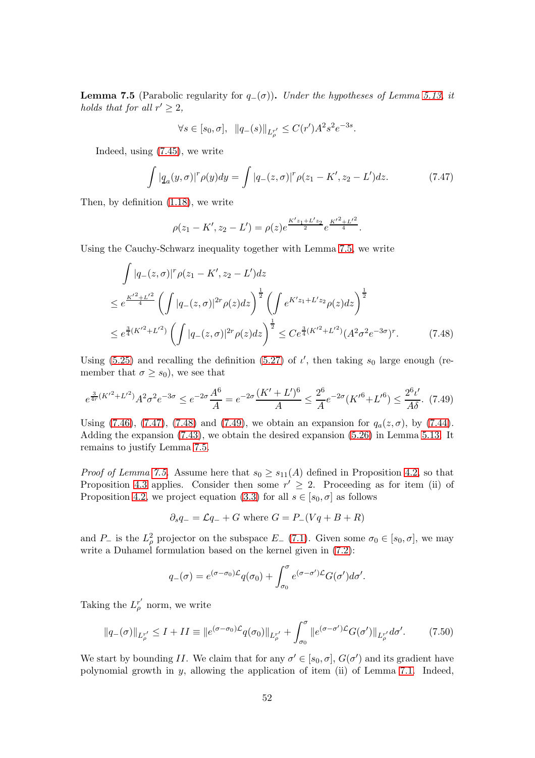<span id="page-51-0"></span>**Lemma 7.5** (Parabolic regularity for  $q_-(\sigma)$ ). Under the hypotheses of Lemma [5.13,](#page-27-2) it holds that for all  $r' \geq 2$ ,

$$
\forall s \in [s_0, \sigma], \ \ \|q_{-}(s)\|_{L^{r'}_{\rho}} \leq C(r')A^2s^2e^{-3s}.
$$

Indeed, using [\(7.45\)](#page-50-1), we write

<span id="page-51-1"></span>
$$
\int |q_a(y,\sigma)|^r \rho(y) dy = \int |q_-(z,\sigma)|^r \rho(z_1 - K', z_2 - L') dz.
$$
 (7.47)

Then, by definition [\(1.18\)](#page-4-4), we write

<span id="page-51-2"></span>
$$
\rho(z_1 - K', z_2 - L') = \rho(z)e^{\frac{K'z_1 + L'z_2}{2}}e^{\frac{K'^2 + L'^2}{4}}.
$$

Using the Cauchy-Schwarz inequality together with Lemma [7.5,](#page-51-0) we write

$$
\int |q_{-}(z,\sigma)|^{r} \rho(z_{1} - K', z_{2} - L')dz
$$
\n
$$
\leq e^{\frac{K'^{2} + L'^{2}}{4}} \left( \int |q_{-}(z,\sigma)|^{2r} \rho(z)dz \right)^{\frac{1}{2}} \left( \int e^{K'z_{1} + L'z_{2}} \rho(z)dz \right)^{\frac{1}{2}}
$$
\n
$$
\leq e^{\frac{3}{4}(K'^{2} + L'^{2})} \left( \int |q_{-}(z,\sigma)|^{2r} \rho(z)dz \right)^{\frac{1}{2}} \leq Ce^{\frac{3}{4}(K'^{2} + L'^{2})} (A^{2}\sigma^{2}e^{-3\sigma})^{r}.
$$
\n(7.48)

Using [\(5.25\)](#page-27-1) and recalling the definition [\(5.27\)](#page-28-0) of  $\iota'$ , then taking  $s_0$  large enough (remember that  $\sigma \geq s_0$ , we see that

<span id="page-51-3"></span>
$$
e^{\frac{3}{4r}(K'^2 + L'^2)}A^2\sigma^2 e^{-3\sigma} \le e^{-2\sigma}\frac{A^6}{A} = e^{-2\sigma}\frac{(K' + L')^6}{A} \le \frac{2^6}{A}e^{-2\sigma}(K'^6 + L'^6) \le \frac{2^6\iota'}{A\delta}.\tag{7.49}
$$

Using [\(7.46\)](#page-50-2), [\(7.47\)](#page-51-1), [\(7.48\)](#page-51-2) and [\(7.49\)](#page-51-3), we obtain an expansion for  $q_a(z, \sigma)$ , by [\(7.44\)](#page-50-3). Adding the expansion [\(7.43\)](#page-50-4), we obtain the desired expansion [\(5.26\)](#page-28-3) in Lemma [5.13.](#page-27-2) It remains to justify Lemma [7.5.](#page-51-0)

*Proof of Lemma [7.5.](#page-51-0)* Assume here that  $s_0 \geq s_{11}(A)$  defined in Proposition [4.2,](#page-16-1) so that Proposition [4.3](#page-17-2) applies. Consider then some  $r' \geq 2$ . Proceeding as for item (ii) of Proposition [4.2,](#page-16-1) we project equation [\(3.3\)](#page-12-2) for all  $s \in [s_0, \sigma]$  as follows

$$
\partial_s q_- = \mathcal{L}q_- + G \text{ where } G = P_-(Vq + B + R)
$$

and P<sub>−</sub> is the  $L^2_\rho$  projector on the subspace E<sub>−</sub> [\(7.1\)](#page-38-3). Given some  $\sigma_0 \in [s_0, \sigma]$ , we may write a Duhamel formulation based on the kernel given in [\(7.2\)](#page-40-4):

$$
q_{-}(\sigma) = e^{(\sigma - \sigma_0)\mathcal{L}} q(\sigma_0) + \int_{\sigma_0}^{\sigma} e^{(\sigma - \sigma')\mathcal{L}} G(\sigma') d\sigma'.
$$

Taking the  $L_{\rho}^{r'}$  norm, we write

<span id="page-51-4"></span>
$$
||q_{-}(\sigma)||_{L_{\rho}^{r'}} \leq I + II \equiv ||e^{(\sigma - \sigma_{0})\mathcal{L}}q(\sigma_{0})||_{L_{\rho}^{r'}} + \int_{\sigma_{0}}^{\sigma} ||e^{(\sigma - \sigma')\mathcal{L}}G(\sigma')||_{L_{\rho}^{r'}} d\sigma'. \tag{7.50}
$$

We start by bounding II. We claim that for any  $\sigma' \in [s_0, \sigma], G(\sigma')$  and its gradient have polynomial growth in  $y$ , allowing the application of item (ii) of Lemma [7.1.](#page-39-0) Indeed,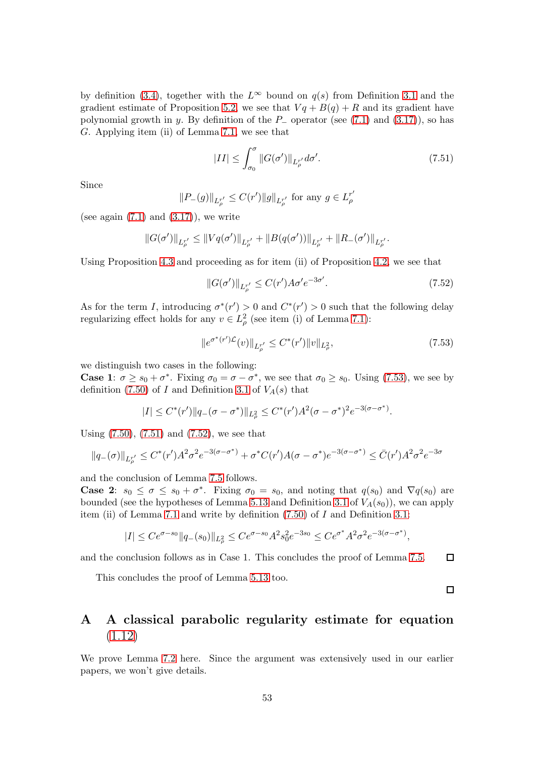by definition [\(3.4\)](#page-13-0), together with the  $L^{\infty}$  bound on  $q(s)$  from Definition [3.1](#page-15-4) and the gradient estimate of Proposition [5.2,](#page-19-2) we see that  $Vq + B(q) + R$  and its gradient have polynomial growth in y. By definition of the  $P_$  operator (see [\(7.1\)](#page-38-3) and [\(3.17\)](#page-15-2)), so has G. Applying item (ii) of Lemma [7.1,](#page-39-0) we see that

<span id="page-52-2"></span>
$$
|II| \le \int_{\sigma_0}^{\sigma} \|G(\sigma')\|_{L^{r'}_{\rho}} d\sigma'. \tag{7.51}
$$

Since

$$
||P_{-}(g)||_{L^{r'}_{\rho}} \leq C(r')||g||_{L^{r'}_{\rho}}
$$
 for any  $g \in L^{r'}_{\rho}$ 

(see again  $(7.1)$  and  $(3.17)$ ), we write

$$
||G(\sigma')||_{L^{r'}_{\rho}} \leq ||Vq(\sigma')||_{L^{r'}_{\rho}} + ||B(q(\sigma'))||_{L^{r'}_{\rho}} + ||R_{-}(\sigma')||_{L^{r'}_{\rho}}.
$$

Using Proposition [4.3](#page-17-2) and proceeding as for item (ii) of Proposition [4.2,](#page-16-1) we see that

<span id="page-52-3"></span>
$$
||G(\sigma')||_{L_{\rho}^{r'}} \le C(r')A\sigma' e^{-3\sigma'}.
$$
\n(7.52)

As for the term I, introducing  $\sigma^*(r') > 0$  and  $C^*(r') > 0$  such that the following delay regularizing effect holds for any  $v \in L^2_\rho$  (see item (i) of Lemma [7.1\)](#page-39-0):

<span id="page-52-1"></span>
$$
||e^{\sigma^*(r')\mathcal{L}}(v)||_{L^{r'}_{\rho}} \leq C^*(r')||v||_{L^{2}_{\rho}},\tag{7.53}
$$

we distinguish two cases in the following:

**Case 1**:  $\sigma \geq s_0 + \sigma^*$ . Fixing  $\sigma_0 = \sigma - \sigma^*$ , we see that  $\sigma_0 \geq s_0$ . Using [\(7.53\)](#page-52-1), we see by definition [\(7.50\)](#page-51-4) of I and Definition [3.1](#page-15-4) of  $V_A(s)$  that

$$
|I| \leq C^*(r') \|q_-(\sigma - \sigma^*)\|_{L^2_\rho} \leq C^*(r')A^2(\sigma - \sigma^*)^2 e^{-3(\sigma - \sigma^*)}.
$$

Using [\(7.50\)](#page-51-4), [\(7.51\)](#page-52-2) and [\(7.52\)](#page-52-3), we see that

$$
||q_{-}(\sigma)||_{L^{r'}_{\rho}} \leq C^*(r')A^2 \sigma^2 e^{-3(\sigma - \sigma^*)} + \sigma^* C(r')A(\sigma - \sigma^*)e^{-3(\sigma - \sigma^*)} \leq \bar{C}(r')A^2 \sigma^2 e^{-3\sigma}
$$

and the conclusion of Lemma [7.5](#page-51-0) follows.

**Case 2:**  $s_0 \leq \sigma \leq s_0 + \sigma^*$ . Fixing  $\sigma_0 = s_0$ , and noting that  $q(s_0)$  and  $\nabla q(s_0)$  are bounded (see the hypotheses of Lemma [5.13](#page-27-2) and Definition [3.1](#page-15-4) of  $V_A(s_0)$ ), we can apply item (ii) of Lemma [7.1](#page-39-0) and write by definition  $(7.50)$  of I and Definition [3.1:](#page-15-4)

$$
|I| \leq Ce^{\sigma - s_0} \|q_-(s_0)\|_{L^2_\rho} \leq Ce^{\sigma - s_0} A^2 s_0^2 e^{-3s_0} \leq Ce^{\sigma^*} A^2 \sigma^2 e^{-3(\sigma - \sigma^*)},
$$

and the conclusion follows as in Case 1. This concludes the proof of Lemma [7.5.](#page-51-0)  $\Box$ 

This concludes the proof of Lemma [5.13](#page-27-2) too.

 $\Box$ 

## <span id="page-52-0"></span>A A classical parabolic regularity estimate for equation [\(1.12\)](#page-3-1)

We prove Lemma [7.2](#page-44-3) here. Since the argument was extensively used in our earlier papers, we won't give details.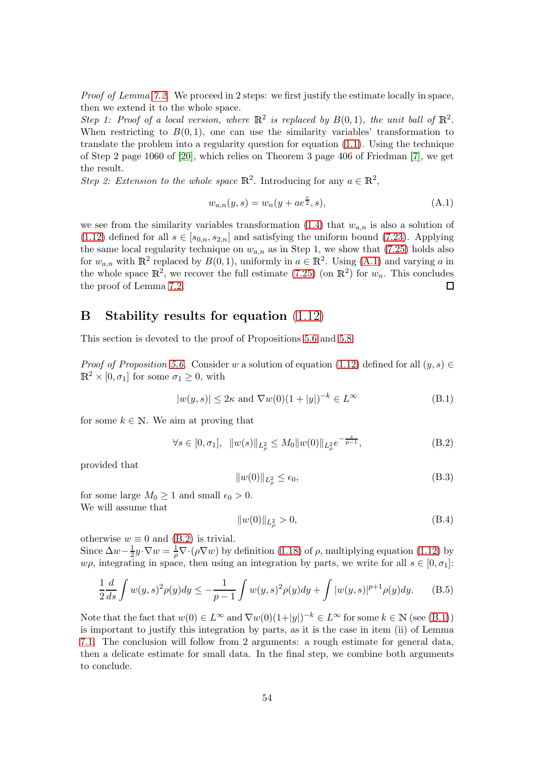Proof of Lemma [7.2.](#page-44-3) We proceed in 2 steps: we first justify the estimate locally in space, then we extend it to the whole space.

Step 1: Proof of a local version, where  $\mathbb{R}^2$  is replaced by  $B(0,1)$ , the unit ball of  $\mathbb{R}^2$ . When restricting to  $B(0, 1)$ , one can use the similarity variables' transformation to translate the problem into a regularity question for equation [\(1.1\)](#page-0-0). Using the technique of Step 2 page 1060 of [\[20\]](#page-59-15), which relies on Theorem 3 page 406 of Friedman [\[7\]](#page-59-16), we get the result.

Step 2: Extension to the whole space  $\mathbb{R}^2$ . Introducing for any  $a \in \mathbb{R}^2$ ,

<span id="page-53-1"></span>
$$
w_{a,n}(y,s) = w_n(y + ae^{\frac{s}{2}},s),
$$
\n(A.1)

we see from the similarity variables transformation  $(1.4)$  that  $w_{a,n}$  is also a solution of [\(1.12\)](#page-3-1) defined for all  $s \in [s_{0,n}, s_{2,n}]$  and satisfying the uniform bound [\(7.23\)](#page-44-0). Applying the same local regularity technique on  $w_{a,n}$  as in Step 1, we show that [\(7.25\)](#page-44-4) holds also for  $w_{a,n}$  with  $\mathbb{R}^2$  replaced by  $B(0,1)$ , uniformly in  $a \in \mathbb{R}^2$ . Using [\(A.1\)](#page-53-1) and varying a in the whole space  $\mathbb{R}^2$ , we recover the full estimate [\(7.25\)](#page-44-4) (on  $\mathbb{R}^2$ ) for  $w_n$ . This concludes the proof of Lemma [7.2.](#page-44-3) 口

## <span id="page-53-0"></span>B Stability results for equation [\(1.12\)](#page-3-1)

This section is devoted to the proof of Propositions [5.6](#page-22-0) and [5.8.](#page-23-0)

Proof of Proposition [5.6.](#page-22-0) Consider w a solution of equation [\(1.12\)](#page-3-1) defined for all  $(y, s) \in$  $\mathbb{R}^2 \times [0, \sigma_1]$  for some  $\sigma_1 \geq 0$ , with

<span id="page-53-3"></span>
$$
|w(y,s)| \le 2\kappa \text{ and } \nabla w(0)(1+|y|)^{-k} \in L^{\infty}
$$
 (B.1)

for some  $k \in \mathbb{N}$ . We aim at proving that

<span id="page-53-2"></span>
$$
\forall s \in [0, \sigma_1], \ \|w(s)\|_{L^2_\rho} \le M_0 \|w(0)\|_{L^2_\rho} e^{-\frac{s}{p-1}}, \tag{B.2}
$$

provided that

<span id="page-53-5"></span>
$$
||w(0)||_{L^2_\rho} \le \epsilon_0,\tag{B.3}
$$

for some large  $M_0 \geq 1$  and small  $\epsilon_0 > 0$ . We will assume that

<span id="page-53-6"></span>
$$
||w(0)||_{L^2_{\rho}} > 0,
$$
\n(B.4)

otherwise  $w \equiv 0$  and [\(B.2\)](#page-53-2) is trivial.

Since  $\Delta w-\frac{1}{2}$  $\frac{1}{2}y \cdot \nabla w = \frac{1}{\rho} \nabla \cdot (\rho \nabla w)$  by definition [\(1.18\)](#page-4-4) of  $\rho$ , multiplying equation [\(1.12\)](#page-3-1) by  $w\rho$ , integrating in space, then using an integration by parts, we write for all  $s \in [0, \sigma_1]$ :

<span id="page-53-4"></span>
$$
\frac{1}{2}\frac{d}{ds}\int w(y,s)^2\rho(y)dy \le -\frac{1}{p-1}\int w(y,s)^2\rho(y)dy + \int |w(y,s)|^{p+1}\rho(y)dy. \tag{B.5}
$$

Note that the fact that  $w(0) \in L^{\infty}$  and  $\nabla w(0)(1+|y|)^{-k} \in L^{\infty}$  for some  $k \in \mathbb{N}$  (see [\(B.1\)](#page-53-3)) is important to justify this integration by parts, as it is the case in item (ii) of Lemma [7.1.](#page-39-0) The conclusion will follow from 2 arguments: a rough estimate for general data, then a delicate estimate for small data. In the final step, we combine both arguments to conclude.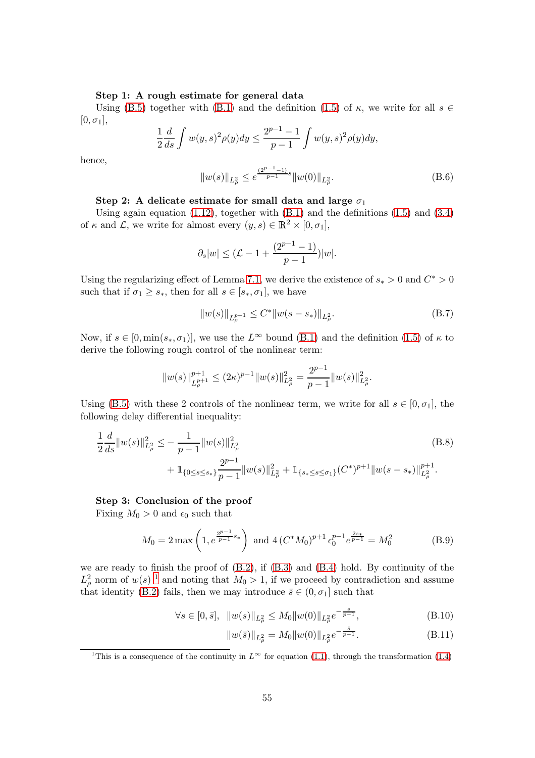#### Step 1: A rough estimate for general data

Using [\(B.5\)](#page-53-4) together with [\(B.1\)](#page-53-3) and the definition [\(1.5\)](#page-1-7) of  $\kappa$ , we write for all  $s \in$  $[0, \sigma_1],$ 

$$
\frac{1}{2}\frac{d}{ds}\int w(y,s)^2\rho(y)dy \le \frac{2^{p-1}-1}{p-1}\int w(y,s)^2\rho(y)dy,
$$

hence,

<span id="page-54-1"></span>
$$
||w(s)||_{L^2_{\rho}} \le e^{\frac{(2^{p-1}-1)}{p-1}s} ||w(0)||_{L^2_{\rho}}.
$$
\n(B.6)

## Step 2: A delicate estimate for small data and large  $\sigma_1$

Using again equation  $(1.12)$ , together with  $(B.1)$  and the definitions  $(1.5)$  and  $(3.4)$ of  $\kappa$  and  $\mathcal{L}$ , we write for almost every  $(y, s) \in \mathbb{R}^2 \times [0, \sigma_1]$ ,

$$
\partial_s |w| \leq (L - 1 + \frac{(2^{p-1} - 1)}{p-1})|w|.
$$

Using the regularizing effect of Lemma [7.1,](#page-39-0) we derive the existence of  $s_* > 0$  and  $C^* > 0$ such that if  $\sigma_1 \geq s_*$ , then for all  $s \in [s_*, \sigma_1]$ , we have

<span id="page-54-6"></span><span id="page-54-4"></span>
$$
||w(s)||_{L^{p+1}_{\rho}} \leq C^* ||w(s-s_*)||_{L^2_{\rho}}.
$$
\n(B.7)

Now, if  $s \in [0, \min(s_*, \sigma_1)]$ , we use the  $L^{\infty}$  bound [\(B.1\)](#page-53-3) and the definition [\(1.5\)](#page-1-7) of  $\kappa$  to derive the following rough control of the nonlinear term:

$$
||w(s)||_{L^{p+1}_{\rho}}^{p+1} \le (2\kappa)^{p-1} ||w(s)||_{L^{2}_{\rho}}^{2} = \frac{2^{p-1}}{p-1} ||w(s)||_{L^{2}_{\rho}}^{2}.
$$

Using [\(B.5\)](#page-53-4) with these 2 controls of the nonlinear term, we write for all  $s \in [0, \sigma_1]$ , the following delay differential inequality:

$$
\frac{1}{2}\frac{d}{ds}||w(s)||_{L^2_{\rho}}^2 \le -\frac{1}{p-1}||w(s)||_{L^2_{\rho}}^2
$$
\n
$$
+ \mathbb{1}_{\{0 \le s \le s_*\}}\frac{2^{p-1}}{p-1}||w(s)||_{L^2_{\rho}}^2 + \mathbb{1}_{\{s_* \le s \le \sigma_1\}}(C^*)^{p+1}||w(s-s_*)||_{L^2_{\rho}}^{p+1}.
$$
\n(B.8)

#### Step 3: Conclusion of the proof

Fixing  $M_0 > 0$  and  $\epsilon_0$  such that

<span id="page-54-2"></span>
$$
M_0 = 2 \max \left( 1, e^{\frac{2^{p-1}}{p-1} s_*} \right) \text{ and } 4 \left( C^* M_0 \right)^{p+1} \epsilon_0^{p-1} e^{\frac{2s_*}{p-1}} = M_0^2 \tag{B.9}
$$

we are ready to finish the proof of [\(B.2\)](#page-53-2), if [\(B.3\)](#page-53-5) and [\(B.4\)](#page-53-6) hold. By continuity of the  $L^2_{\rho}$  norm of  $w(s)^{-1}$  $w(s)^{-1}$  $w(s)^{-1}$  and noting that  $M_0 > 1$ , if we proceed by contradiction and assume that identity [\(B.2\)](#page-53-2) fails, then we may introduce  $\bar{s} \in (0, \sigma_1]$  such that

$$
\forall s \in [0, \bar{s}], \quad \|w(s)\|_{L^2_\rho} \le M_0 \|w(0)\|_{L^2_\rho} e^{-\frac{s}{p-1}},\tag{B.10}
$$

<span id="page-54-5"></span><span id="page-54-3"></span>
$$
||w(\bar{s})||_{L^2_{\rho}} = M_0 ||w(0)||_{L^2_{\rho}} e^{-\frac{s}{p-1}}.
$$
\n(B.11)

<span id="page-54-0"></span><sup>&</sup>lt;sup>1</sup>This is a consequence of the continuity in  $L^{\infty}$  for equation [\(1.1\)](#page-0-0), through the transformation [\(1.4\)](#page-1-5)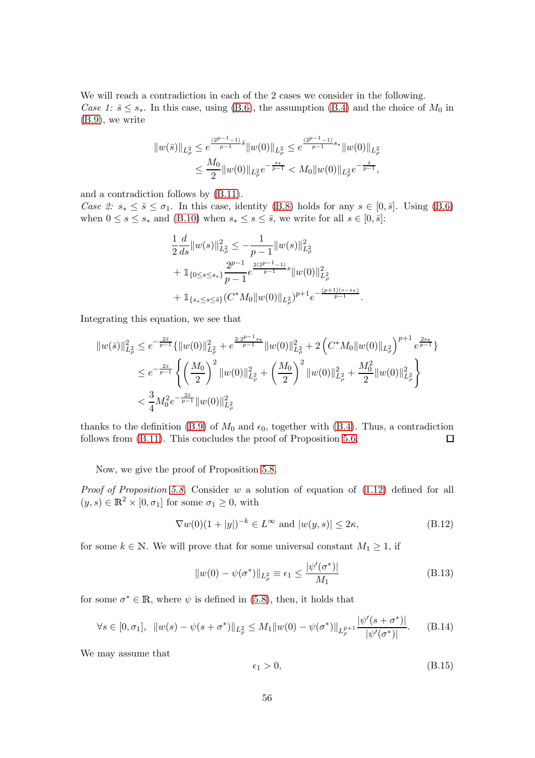We will reach a contradiction in each of the 2 cases we consider in the following. Case 1:  $\bar{s} \leq s_*$ . In this case, using [\(B.6\)](#page-54-1), the assumption [\(B.4\)](#page-53-6) and the choice of  $M_0$  in [\(B.9\)](#page-54-2), we write

$$
||w(\bar{s})||_{L^2_\rho}\leq e^{\frac{(2^{p-1}-1)}{p-1}\bar{s}}||w(0)||_{L^2_\rho}\leq e^{\frac{(2^{p-1}-1)}{p-1}s_*}||w(0)||_{L^2_\rho}\\ \leq \frac{M_0}{2}||w(0)||_{L^2_\rho}e^{-\frac{s_*}{p-1}}
$$

and a contradiction follows by [\(B.11\)](#page-54-3).

Case 2:  $s_* \leq \bar{s} \leq \sigma_1$ . In this case, identity [\(B.8\)](#page-54-4) holds for any  $s \in [0, \bar{s}]$ . Using [\(B.6\)](#page-54-1) when  $0 \le s \le s_*$  and [\(B.10\)](#page-54-5) when  $s_* \le s \le \overline{s}$ , we write for all  $s \in [0, \overline{s}]$ :

$$
\begin{split} &\frac{1}{2}\frac{d}{ds}\|w(s)\|_{L^2_{\rho}}^2 \leq -\frac{1}{p-1}\|w(s)\|_{L^2_{\rho}}^2\\ &+\mathbb{1}_{\{0\leq s\leq s_*\}}\frac{2^{p-1}}{p-1}e^{\frac{2(2^{p-1}-1)}{p-1}s}\|w(0)\|_{L^2_{\rho}}^2\\ &+\mathbb{1}_{\{s_*\leq s\leq \bar s\}}(C^*M_0\|w(0)\|_{L^2_{\rho}})^{p+1}e^{-\frac{(p+1)(s-s_*)}{p-1}}. \end{split}
$$

Integrating this equation, we see that

$$
\|w(\bar{s})\|_{L^2_{\rho}}^2 \le e^{-\frac{2\bar{s}}{p-1}} \{ \|w(0)\|_{L^2_{\rho}}^2 + e^{\frac{2\cdot 2^{p-1}s_*}{p-1}} \|w(0)\|_{L^2_{\rho}}^2 + 2\left(C^* M_0 \|w(0)\|_{L^2_{\rho}}\right)^{p+1} e^{\frac{2s_*}{p-1}} \}
$$
  

$$
\le e^{-\frac{2\bar{s}}{p-1}} \left\{ \left(\frac{M_0}{2}\right)^2 \|w(0)\|_{L^2_{\rho}}^2 + \left(\frac{M_0}{2}\right)^2 \|w(0)\|_{L^2_{\rho}}^2 + \frac{M_0^2}{2} \|w(0)\|_{L^2_{\rho}}^2 \right\}
$$
  

$$
< \frac{3}{4} M_0^2 e^{-\frac{2\bar{s}}{p-1}} \|w(0)\|_{L^2_{\rho}}^2
$$

thanks to the definition [\(B.9\)](#page-54-2) of  $M_0$  and  $\epsilon_0$ , together with [\(B.4\)](#page-53-6). Thus, a contradiction follows from  $(B.11)$ . This concludes the proof of Proposition [5.6.](#page-22-0)  $\Box$ 

Now, we give the proof of Proposition [5.8.](#page-23-0)

Proof of Proposition [5.8.](#page-23-0) Consider w a solution of equation of  $(1.12)$  defined for all  $(y, s) \in \mathbb{R}^2 \times [0, \sigma_1]$  for some  $\sigma_1 \geq 0$ , with

<span id="page-55-1"></span>
$$
\nabla w(0)(1+|y|)^{-k} \in L^{\infty} \text{ and } |w(y,s)| \le 2\kappa,
$$
\n(B.12)

for some  $k \in \mathbb{N}$ . We will prove that for some universal constant  $M_1 \geq 1$ , if

<span id="page-55-2"></span>
$$
||w(0) - \psi(\sigma^*)||_{L^2_{\rho}} \equiv \epsilon_1 \le \frac{|\psi'(\sigma^*)|}{M_1}
$$
\n(B.13)

for some  $\sigma^* \in \mathbb{R}$ , where  $\psi$  is defined in [\(5.8\)](#page-20-0), then, it holds that

<span id="page-55-0"></span>
$$
\forall s \in [0, \sigma_1], \ \ \|w(s) - \psi(s + \sigma^*)\|_{L^2_\rho} \le M_1 \|w(0) - \psi(\sigma^*)\|_{L^{p+1}_\rho} \frac{|\psi'(s + \sigma^*)|}{|\psi'(\sigma^*)|}.\tag{B.14}
$$

We may assume that

<span id="page-55-3"></span>
$$
\epsilon_1 > 0,\tag{B.15}
$$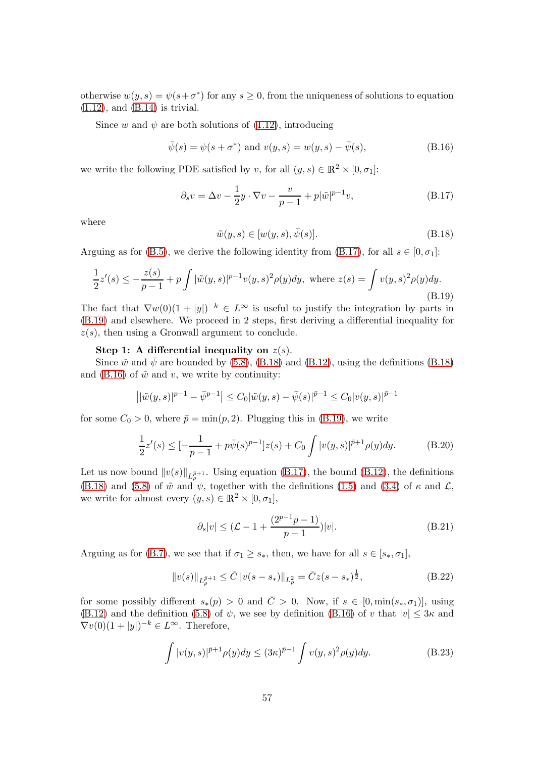otherwise  $w(y, s) = \psi(s + \sigma^*)$  for any  $s \ge 0$ , from the uniqueness of solutions to equation  $(1.12)$ , and  $(B.14)$  is trivial.

Since w and  $\psi$  are both solutions of [\(1.12\)](#page-3-1), introducing

<span id="page-56-3"></span>
$$
\bar{\psi}(s) = \psi(s + \sigma^*)
$$
 and  $v(y, s) = w(y, s) - \bar{\psi}(s)$ , (B.16)

we write the following PDE satisfied by v, for all  $(y, s) \in \mathbb{R}^2 \times [0, \sigma_1]$ :

<span id="page-56-0"></span>
$$
\partial_s v = \Delta v - \frac{1}{2}y \cdot \nabla v - \frac{v}{p-1} + p|\tilde{w}|^{p-1}v,\tag{B.17}
$$

where

<span id="page-56-2"></span>
$$
\tilde{w}(y,s) \in [w(y,s), \bar{\psi}(s)].
$$
\n(B.18)

Arguing as for [\(B.5\)](#page-53-4), we derive the following identity from [\(B.17\)](#page-56-0), for all  $s \in [0, \sigma_1]$ :

<span id="page-56-1"></span>
$$
\frac{1}{2}z'(s) \le -\frac{z(s)}{p-1} + p \int |\tilde{w}(y,s)|^{p-1} v(y,s)^2 \rho(y) dy, \text{ where } z(s) = \int v(y,s)^2 \rho(y) dy.
$$
\n(B.19)

The fact that  $\nabla w(0)(1+|y|)^{-k} \in L^{\infty}$  is useful to justify the integration by parts in [\(B.19\)](#page-56-1) and elsewhere. We proceed in 2 steps, first deriving a differential inequality for  $z(s)$ , then using a Gronwall argument to conclude.

#### Step 1: A differential inequality on  $z(s)$ .

Since  $\tilde{w}$  and  $\bar{\psi}$  are bounded by [\(5.8\)](#page-20-0), [\(B.18\)](#page-56-2) and [\(B.12\)](#page-55-1), using the definitions (B.18) and [\(B.16\)](#page-56-3) of  $\tilde{w}$  and v, we write by continuity:

$$
\left| |\tilde{w}(y,s)|^{p-1} - \bar{\psi}^{p-1} \right| \leq C_0 |\tilde{w}(y,s) - \bar{\psi}(s)|^{\bar{p}-1} \leq C_0 |v(y,s)|^{\bar{p}-1}
$$

for some  $C_0 > 0$ , where  $\bar{p} = \min(p, 2)$ . Plugging this in [\(B.19\)](#page-56-1), we write

<span id="page-56-6"></span>
$$
\frac{1}{2}z'(s) \le \left[-\frac{1}{p-1} + p\bar{\psi}(s)^{p-1}\right]z(s) + C_0 \int |v(y,s)|^{\bar{p}+1} \rho(y)dy. \tag{B.20}
$$

Let us now bound  $||v(s)||_{L^{\bar{p}+1}_{\rho}}$ . Using equation [\(B.17\)](#page-56-0), the bound [\(B.12\)](#page-55-1), the definitions [\(B.18\)](#page-56-2) and [\(5.8\)](#page-20-0) of  $\tilde{w}$  and  $\psi$ , together with the definitions [\(1.5\)](#page-1-7) and [\(3.4\)](#page-13-0) of  $\kappa$  and  $\mathcal{L}$ , we write for almost every  $(y, s) \in \mathbb{R}^2 \times [0, \sigma_1],$ 

<span id="page-56-4"></span>
$$
\partial_s |v| \le (\mathcal{L} - 1 + \frac{(2^{p-1}p - 1)}{p-1})|v|. \tag{B.21}
$$

Arguing as for [\(B.7\)](#page-54-6), we see that if  $\sigma_1 \geq s_*$ , then, we have for all  $s \in [s_*, \sigma_1]$ ,

<span id="page-56-7"></span>
$$
||v(s)||_{L_{\rho}^{\bar{p}+1}} \leq \bar{C}||v(s-s_*)||_{L_{\rho}^2} = \bar{C}z(s-s_*)^{\frac{1}{2}},
$$
\n(B.22)

for some possibly different  $s_*(p) > 0$  and  $\overline{C} > 0$ . Now, if  $s \in [0, \min(s_*, \sigma_1)],$  using  $(B.12)$  and the definition  $(5.8)$  of  $\psi$ , we see by definition  $(B.16)$  of v that  $|v| \leq 3\kappa$  and  $\nabla v(0)(1+|y|)^{-k} \in L^{\infty}$ . Therefore,

<span id="page-56-5"></span>
$$
\int |v(y,s)|^{\bar{p}+1} \rho(y) dy \le (3\kappa)^{\bar{p}-1} \int v(y,s)^2 \rho(y) dy.
$$
 (B.23)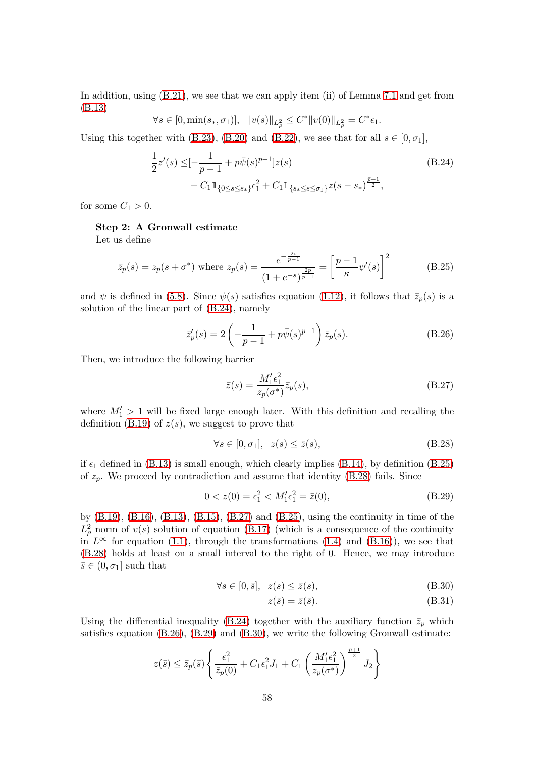In addition, using  $(B.21)$ , we see that we can apply item (ii) of Lemma [7.1](#page-39-0) and get from [\(B.13\)](#page-55-2)

<span id="page-57-0"></span>
$$
\forall s \in [0, \min(s_*, \sigma_1)], \ \ \|v(s)\|_{L^2_{\rho}} \le C^* \|v(0)\|_{L^2_{\rho}} = C^* \epsilon_1.
$$

Using this together with [\(B.23\)](#page-56-5), [\(B.20\)](#page-56-6) and [\(B.22\)](#page-56-7), we see that for all  $s \in [0, \sigma_1]$ ,

$$
\frac{1}{2}z'(s) \leq [-\frac{1}{p-1} + p\bar{\psi}(s)^{p-1}]z(s) \n+ C_1 1\!\!1_{\{0 \leq s \leq s_*\}}\epsilon_1^2 + C_1 1\!\!1_{\{s_* \leq s \leq \sigma_1\}} z(s-s_*)^{\frac{\bar{p}+1}{2}},
$$
\n(B.24)

for some  $C_1 > 0$ .

#### Step 2: A Gronwall estimate

Let us define

<span id="page-57-1"></span>
$$
\bar{z}_p(s) = z_p(s + \sigma^*) \text{ where } z_p(s) = \frac{e^{-\frac{2s}{p-1}}}{(1 + e^{-s})^{\frac{2p}{p-1}}} = \left[\frac{p-1}{\kappa}\psi'(s)\right]^2 \quad (B.25)
$$

and  $\psi$  is defined in [\(5.8\)](#page-20-0). Since  $\psi(s)$  satisfies equation [\(1.12\)](#page-3-1), it follows that  $\bar{z}_p(s)$  is a solution of the linear part of [\(B.24\)](#page-57-0), namely

<span id="page-57-4"></span>
$$
\bar{z}'_p(s) = 2\left(-\frac{1}{p-1} + p\bar{\psi}(s)^{p-1}\right)\bar{z}_p(s).
$$
 (B.26)

Then, we introduce the following barrier

<span id="page-57-3"></span>
$$
\bar{z}(s) = \frac{M_1' \epsilon_1^2}{z_p(\sigma^*)} \bar{z}_p(s),\tag{B.27}
$$

where  $M'_1 > 1$  will be fixed large enough later. With this definition and recalling the definition [\(B.19\)](#page-56-1) of  $z(s)$ , we suggest to prove that

<span id="page-57-2"></span>
$$
\forall s \in [0, \sigma_1], \ z(s) \le \bar{z}(s), \tag{B.28}
$$

if  $\epsilon_1$  defined in [\(B.13\)](#page-55-2) is small enough, which clearly implies [\(B.14\)](#page-55-0), by definition [\(B.25\)](#page-57-1) of  $z_p$ . We proceed by contradiction and assume that identity [\(B.28\)](#page-57-2) fails. Since

<span id="page-57-5"></span>
$$
0 < z(0) = \epsilon_1^2 < M_1' \epsilon_1^2 = \bar{z}(0),\tag{B.29}
$$

by [\(B.19\)](#page-56-1), [\(B.16\)](#page-56-3), [\(B.13\)](#page-55-2), [\(B.15\)](#page-55-3), [\(B.27\)](#page-57-3) and [\(B.25\)](#page-57-1), using the continuity in time of the  $L^2_{\rho}$  norm of  $v(s)$  solution of equation [\(B.17\)](#page-56-0) (which is a consequence of the continuity in  $L^{\infty}$  for equation [\(1.1\)](#page-0-0), through the transformations [\(1.4\)](#page-1-5) and [\(B.16\)](#page-56-3)), we see that [\(B.28\)](#page-57-2) holds at least on a small interval to the right of 0. Hence, we may introduce  $\bar{s} \in (0, \sigma_1]$  such that

$$
\forall s \in [0, \bar{s}], \ z(s) \le \bar{z}(s), \tag{B.30}
$$

<span id="page-57-7"></span><span id="page-57-6"></span>
$$
z(\bar{s}) = \bar{z}(\bar{s}).\tag{B.31}
$$

Using the differential inequality [\(B.24\)](#page-57-0) together with the auxiliary function  $\bar{z}_p$  which satisfies equation [\(B.26\)](#page-57-4), [\(B.29\)](#page-57-5) and [\(B.30\)](#page-57-6), we write the following Gronwall estimate:

$$
z(\bar{s}) \le \bar{z}_p(\bar{s}) \left\{ \frac{\epsilon_1^2}{\bar{z}_p(0)} + C_1 \epsilon_1^2 J_1 + C_1 \left( \frac{M_1' \epsilon_1^2}{z_p(\sigma^*)} \right)^{\frac{\bar{p}+1}{2}} J_2 \right\}
$$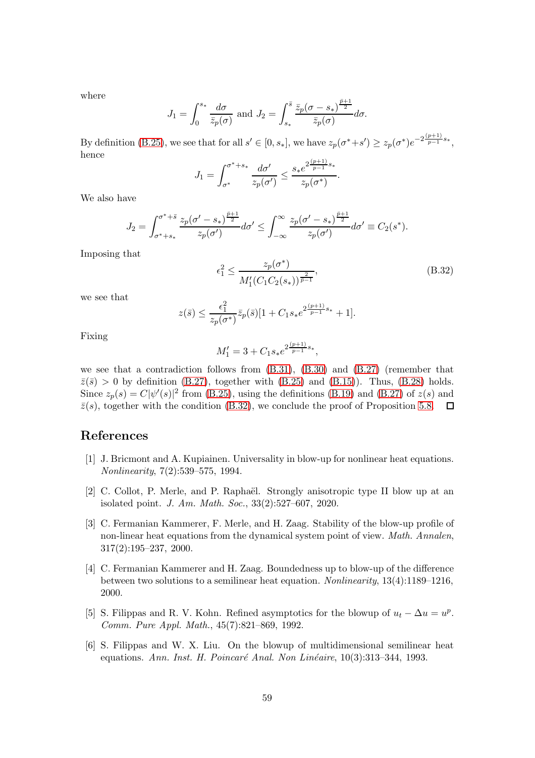where

$$
J_1 = \int_0^{s_*} \frac{d\sigma}{\bar{z}_p(\sigma)} \text{ and } J_2 = \int_{s_*}^{\bar{s}} \frac{\bar{z}_p(\sigma - s_*)^{\frac{\bar{p}+1}{2}}}{\bar{z}_p(\sigma)} d\sigma.
$$

By definition [\(B.25\)](#page-57-1), we see that for all  $s' \in [0, s_*]$ , we have  $z_p(\sigma^* + s') \ge z_p(\sigma^*)e^{-2\frac{(p+1)}{p-1}s_*}$ , hence

$$
J_1 = \int_{\sigma^*}^{\sigma^* + s_*} \frac{d\sigma'}{z_p(\sigma')} \le \frac{s_* e^{2\frac{(p+1)}{p-1}s_*}}{z_p(\sigma^*)}.
$$

We also have

$$
J_2 = \int_{\sigma^* + s_*}^{\sigma^* + \bar{s}} \frac{z_p(\sigma' - s_*)^{\frac{\bar{p}+1}{2}}}{z_p(\sigma')} d\sigma' \le \int_{-\infty}^{\infty} \frac{z_p(\sigma' - s_*)^{\frac{\bar{p}+1}{2}}}{z_p(\sigma')} d\sigma' \equiv C_2(s^*).
$$

Imposing that

<span id="page-58-6"></span>
$$
\epsilon_1^2 \le \frac{z_p(\sigma^*)}{M_1'(C_1 C_2(s_*))^{\frac{2}{\bar{p}-1}}},\tag{B.32}
$$

we see that

$$
z(\bar{s}) \le \frac{\epsilon_1^2}{z_p(\sigma^*)} \bar{z}_p(\bar{s}) [1 + C_1 s_* e^{2\frac{(p+1)}{p-1} s_*} + 1].
$$

Fixing

$$
M_1'=3+C_1s_*e^{2\frac{(p+1)}{p-1}s_*},
$$

we see that a contradiction follows from  $(B.31)$ ,  $(B.30)$  and  $(B.27)$  (remember that  $\bar{z}(\bar{s}) > 0$  by definition [\(B.27\)](#page-57-3), together with [\(B.25\)](#page-57-1) and [\(B.15\)](#page-55-3)). Thus, [\(B.28\)](#page-57-2) holds. Since  $z_p(s) = C|\psi'(s)|^2$  from [\(B.25\)](#page-57-1), using the definitions [\(B.19\)](#page-56-1) and [\(B.27\)](#page-57-3) of  $z(s)$  and  $\bar{z}(s)$ , together with the condition [\(B.32\)](#page-58-6), we conclude the proof of Proposition [5.8.](#page-23-0)  $\Box$ 

## <span id="page-58-2"></span>References

- [1] J. Bricmont and A. Kupiainen. Universality in blow-up for nonlinear heat equations. Nonlinearity, 7(2):539–575, 1994.
- <span id="page-58-5"></span>[2] C. Collot, P. Merle, and P. Raphaël. Strongly anisotropic type II blow up at an isolated point. J. Am. Math. Soc., 33(2):527–607, 2020.
- <span id="page-58-3"></span>[3] C. Fermanian Kammerer, F. Merle, and H. Zaag. Stability of the blow-up profile of non-linear heat equations from the dynamical system point of view. Math. Annalen, 317(2):195–237, 2000.
- <span id="page-58-4"></span>[4] C. Fermanian Kammerer and H. Zaag. Boundedness up to blow-up of the difference between two solutions to a semilinear heat equation. Nonlinearity, 13(4):1189–1216, 2000.
- <span id="page-58-0"></span>[5] S. Filippas and R. V. Kohn. Refined asymptotics for the blowup of  $u_t - \Delta u = u^p$ . Comm. Pure Appl. Math., 45(7):821–869, 1992.
- <span id="page-58-1"></span>[6] S. Filippas and W. X. Liu. On the blowup of multidimensional semilinear heat equations. Ann. Inst. H. Poincaré Anal. Non Linéaire,  $10(3):313-344$ , 1993.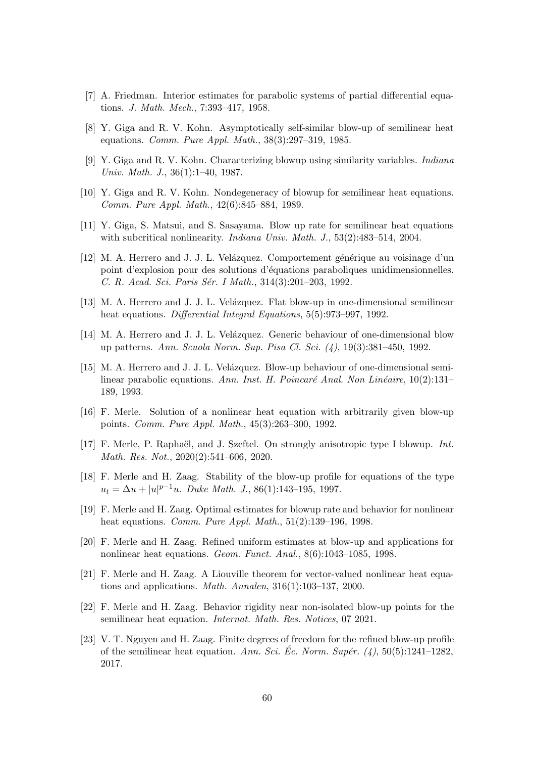- <span id="page-59-16"></span><span id="page-59-2"></span>[7] A. Friedman. Interior estimates for parabolic systems of partial differential equations. J. Math. Mech., 7:393–417, 1958.
- <span id="page-59-0"></span>[8] Y. Giga and R. V. Kohn. Asymptotically self-similar blow-up of semilinear heat equations. Comm. Pure Appl. Math., 38(3):297–319, 1985.
- <span id="page-59-3"></span>[9] Y. Giga and R. V. Kohn. Characterizing blowup using similarity variables. Indiana Univ. Math. J., 36(1):1–40, 1987.
- <span id="page-59-1"></span>[10] Y. Giga and R. V. Kohn. Nondegeneracy of blowup for semilinear heat equations. Comm. Pure Appl. Math., 42(6):845–884, 1989.
- <span id="page-59-8"></span>[11] Y. Giga, S. Matsui, and S. Sasayama. Blow up rate for semilinear heat equations with subcritical nonlinearity. *Indiana Univ. Math. J.*, 53(2):483–514, 2004.
- [12] M. A. Herrero and J. J. L. Velázquez. Comportement générique au voisinage d'un point d'explosion pour des solutions d'´equations paraboliques unidimensionnelles. C. R. Acad. Sci. Paris Sér. I Math., 314(3):201–203, 1992.
- <span id="page-59-7"></span><span id="page-59-5"></span>[13] M. A. Herrero and J. J. L. Velázquez. Flat blow-up in one-dimensional semilinear heat equations. Differential Integral Equations, 5(5):973–997, 1992.
- <span id="page-59-14"></span>[14] M. A. Herrero and J. J. L. Velázquez. Generic behaviour of one-dimensional blow up patterns. Ann. Scuola Norm. Sup. Pisa Cl. Sci. (4), 19(3):381–450, 1992.
- [15] M. A. Herrero and J. J. L. Velázquez. Blow-up behaviour of one-dimensional semilinear parabolic equations. Ann. Inst. H. Poincaré Anal. Non Linéaire,  $10(2):131-$ 189, 1993.
- <span id="page-59-13"></span>[16] F. Merle. Solution of a nonlinear heat equation with arbitrarily given blow-up points. Comm. Pure Appl. Math., 45(3):263–300, 1992.
- <span id="page-59-4"></span>[17] F. Merle, P. Raphaël, and J. Szeftel. On strongly anisotropic type I blowup. Int. Math. Res. Not., 2020(2):541–606, 2020.
- <span id="page-59-6"></span>[18] F. Merle and H. Zaag. Stability of the blow-up profile for equations of the type  $u_t = \Delta u + |u|^{p-1}u$ . Duke Math. J., 86(1):143-195, 1997.
- <span id="page-59-15"></span><span id="page-59-10"></span>[19] F. Merle and H. Zaag. Optimal estimates for blowup rate and behavior for nonlinear heat equations. Comm. Pure Appl. Math., 51(2):139–196, 1998.
- [20] F. Merle and H. Zaag. Refined uniform estimates at blow-up and applications for nonlinear heat equations. Geom. Funct. Anal., 8(6):1043–1085, 1998.
- <span id="page-59-12"></span>[21] F. Merle and H. Zaag. A Liouville theorem for vector-valued nonlinear heat equations and applications. Math. Annalen, 316(1):103–137, 2000.
- <span id="page-59-11"></span>[22] F. Merle and H. Zaag. Behavior rigidity near non-isolated blow-up points for the semilinear heat equation. Internat. Math. Res. Notices, 07 2021.
- <span id="page-59-9"></span>[23] V. T. Nguyen and H. Zaag. Finite degrees of freedom for the refined blow-up profile of the semilinear heat equation. Ann. Sci. Ec. Norm. Supér.  $(4)$ , 50(5):1241–1282, 2017.